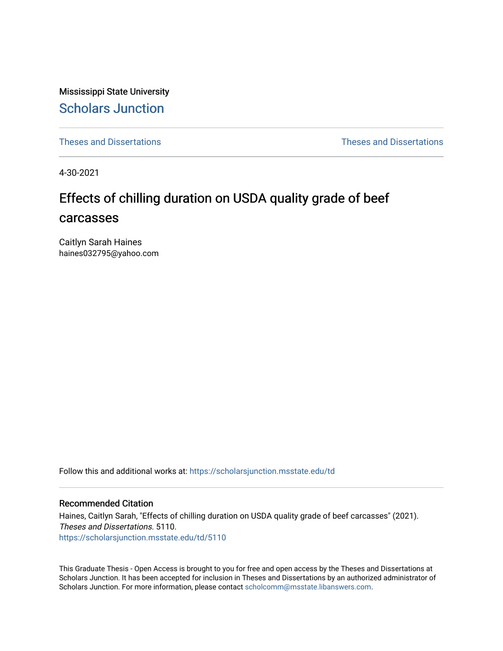Mississippi State University [Scholars Junction](https://scholarsjunction.msstate.edu/) 

[Theses and Dissertations](https://scholarsjunction.msstate.edu/td) [Theses and Dissertations](https://scholarsjunction.msstate.edu/theses-dissertations) 

4-30-2021

# Effects of chilling duration on USDA quality grade of beef carcasses

Caitlyn Sarah Haines haines032795@yahoo.com

Follow this and additional works at: [https://scholarsjunction.msstate.edu/td](https://scholarsjunction.msstate.edu/td?utm_source=scholarsjunction.msstate.edu%2Ftd%2F5110&utm_medium=PDF&utm_campaign=PDFCoverPages) 

#### Recommended Citation

Haines, Caitlyn Sarah, "Effects of chilling duration on USDA quality grade of beef carcasses" (2021). Theses and Dissertations. 5110. [https://scholarsjunction.msstate.edu/td/5110](https://scholarsjunction.msstate.edu/td/5110?utm_source=scholarsjunction.msstate.edu%2Ftd%2F5110&utm_medium=PDF&utm_campaign=PDFCoverPages) 

This Graduate Thesis - Open Access is brought to you for free and open access by the Theses and Dissertations at Scholars Junction. It has been accepted for inclusion in Theses and Dissertations by an authorized administrator of Scholars Junction. For more information, please contact [scholcomm@msstate.libanswers.com.](mailto:scholcomm@msstate.libanswers.com)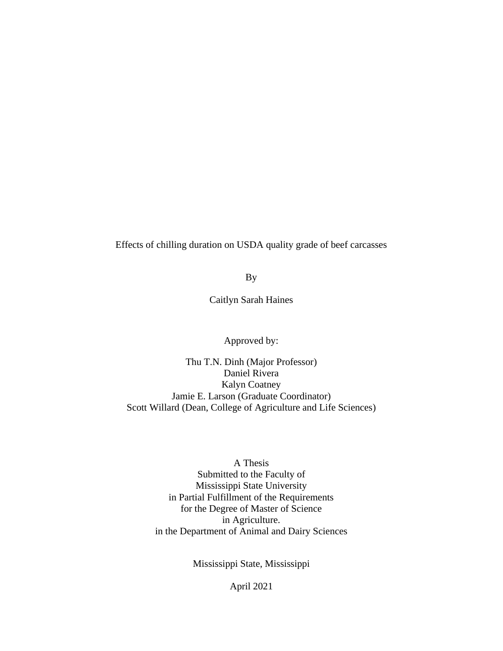Effects of chilling duration on USDA quality grade of beef carcasses

By

Caitlyn Sarah Haines

Approved by:

Thu T.N. Dinh (Major Professor) Daniel Rivera Kalyn Coatney Jamie E. Larson (Graduate Coordinator) Scott Willard (Dean, College of Agriculture and Life Sciences)

> A Thesis Submitted to the Faculty of Mississippi State University in Partial Fulfillment of the Requirements for the Degree of Master of Science in Agriculture. in the Department of Animal and Dairy Sciences

> > Mississippi State, Mississippi

April 2021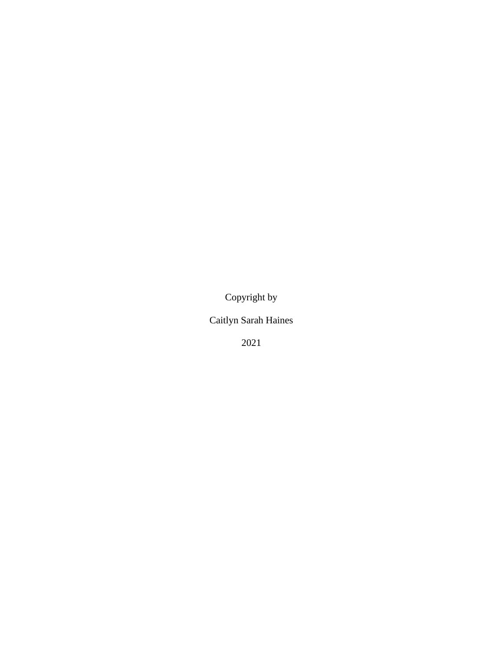Copyright by

Caitlyn Sarah Haines

2021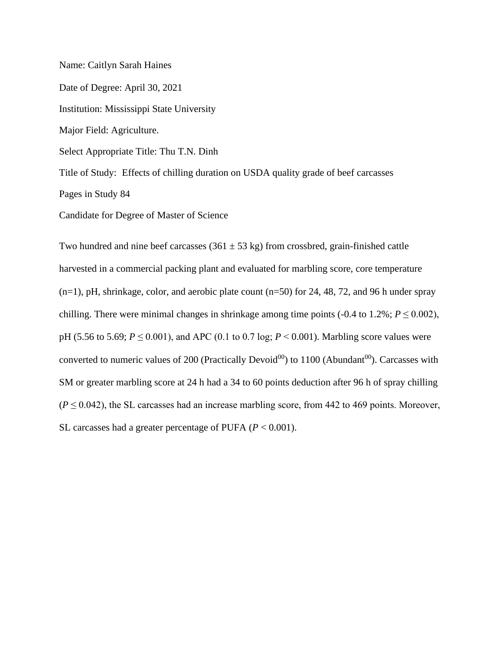Name: Caitlyn Sarah Haines Date of Degree: April 30, 2021 Institution: Mississippi State University Major Field: Agriculture. Select Appropriate Title: Thu T.N. Dinh Title of Study: Effects of chilling duration on USDA quality grade of beef carcasses Pages in Study 84 Candidate for Degree of Master of Science

Two hundred and nine beef carcasses  $(361 \pm 53 \text{ kg})$  from crossbred, grain-finished cattle harvested in a commercial packing plant and evaluated for marbling score, core temperature (n=1), pH, shrinkage, color, and aerobic plate count (n=50) for 24, 48, 72, and 96 h under spray chilling. There were minimal changes in shrinkage among time points (-0.4 to 1.2%;  $P \le 0.002$ ), pH (5.56 to 5.69; *P* ≤ 0.001), and APC (0.1 to 0.7 log; *P* ˂ 0.001). Marbling score values were converted to numeric values of 200 (Practically Devoid<sup>00</sup>) to 1100 (Abundant<sup>00</sup>). Carcasses with SM or greater marbling score at 24 h had a 34 to 60 points deduction after 96 h of spray chilling  $(P \le 0.042)$ , the SL carcasses had an increase marbling score, from 442 to 469 points. Moreover, SL carcasses had a greater percentage of PUFA  $(P < 0.001)$ .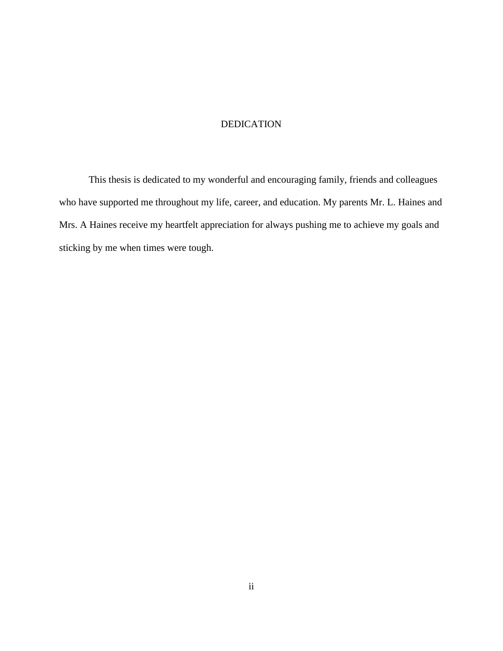## DEDICATION

<span id="page-4-0"></span>This thesis is dedicated to my wonderful and encouraging family, friends and colleagues who have supported me throughout my life, career, and education. My parents Mr. L. Haines and Mrs. A Haines receive my heartfelt appreciation for always pushing me to achieve my goals and sticking by me when times were tough.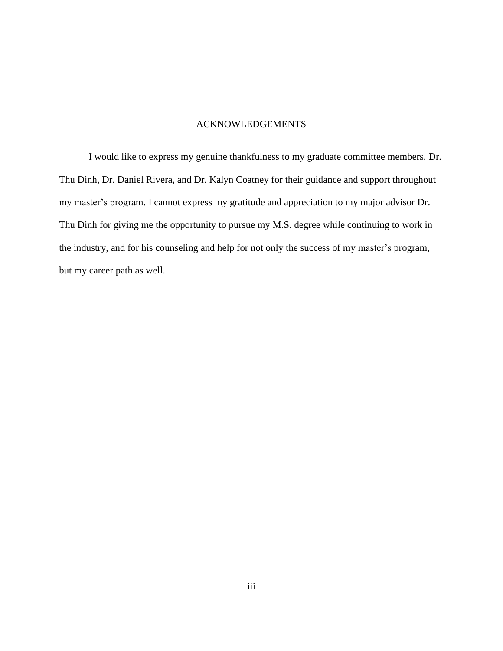## ACKNOWLEDGEMENTS

<span id="page-5-0"></span>I would like to express my genuine thankfulness to my graduate committee members, Dr. Thu Dinh, Dr. Daniel Rivera, and Dr. Kalyn Coatney for their guidance and support throughout my master's program. I cannot express my gratitude and appreciation to my major advisor Dr. Thu Dinh for giving me the opportunity to pursue my M.S. degree while continuing to work in the industry, and for his counseling and help for not only the success of my master's program, but my career path as well.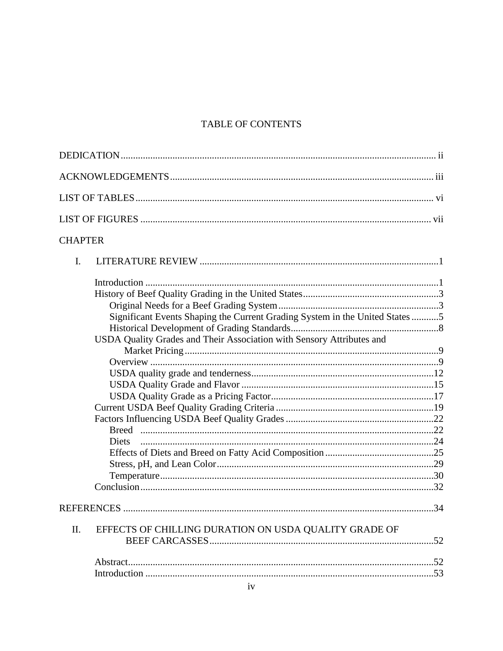# TABLE OF CONTENTS

| <b>CHAPTER</b> |                                                                             |  |
|----------------|-----------------------------------------------------------------------------|--|
| $\mathbf{I}$ . |                                                                             |  |
|                |                                                                             |  |
|                |                                                                             |  |
|                |                                                                             |  |
|                | Significant Events Shaping the Current Grading System in the United States5 |  |
|                |                                                                             |  |
|                | USDA Quality Grades and Their Association with Sensory Attributes and       |  |
|                |                                                                             |  |
|                |                                                                             |  |
|                |                                                                             |  |
|                |                                                                             |  |
|                |                                                                             |  |
|                |                                                                             |  |
|                |                                                                             |  |
|                |                                                                             |  |
|                |                                                                             |  |
|                |                                                                             |  |
|                |                                                                             |  |
|                |                                                                             |  |
|                |                                                                             |  |
|                |                                                                             |  |
| II.            | EFFECTS OF CHILLING DURATION ON USDA QUALITY GRADE OF                       |  |
|                |                                                                             |  |
|                |                                                                             |  |
|                |                                                                             |  |
|                |                                                                             |  |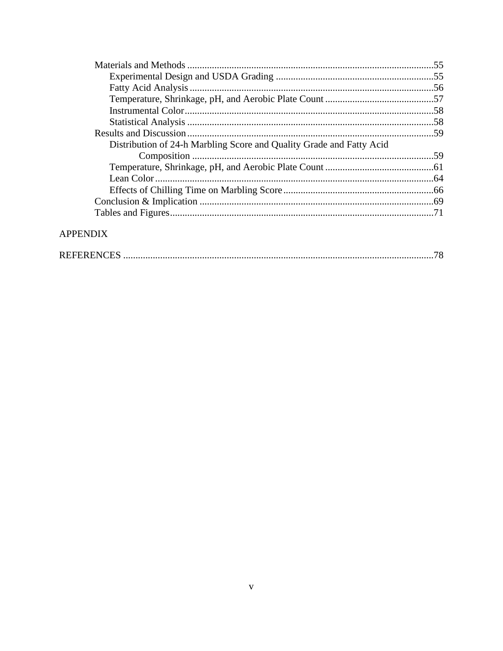| Distribution of 24-h Marbling Score and Quality Grade and Fatty Acid |  |
|----------------------------------------------------------------------|--|
|                                                                      |  |
|                                                                      |  |
|                                                                      |  |
|                                                                      |  |
|                                                                      |  |
|                                                                      |  |
|                                                                      |  |

# **APPENDIX**

|--|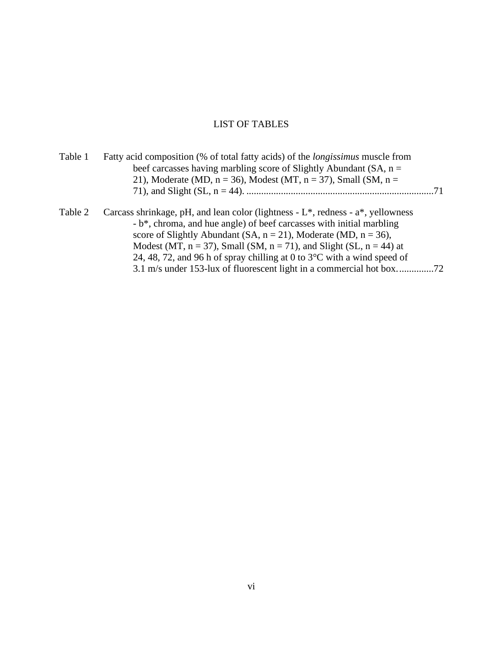# LIST OF TABLES

<span id="page-8-0"></span>

| Table 1 | Fatty acid composition (% of total fatty acids) of the <i>longissimus</i> muscle from<br>beef carcasses having marbling score of Slightly Abundant (SA, $n =$ |  |
|---------|---------------------------------------------------------------------------------------------------------------------------------------------------------------|--|
|         | 21), Moderate (MD, $n = 36$ ), Modest (MT, $n = 37$ ), Small (SM, $n =$                                                                                       |  |
|         |                                                                                                                                                               |  |
| Table 2 | Carcass shrinkage, pH, and lean color (lightness - $L^*$ , redness - $a^*$ , yellowness                                                                       |  |
|         | - b <sup>*</sup> , chroma, and hue angle) of beef carcasses with initial marbling                                                                             |  |
|         | score of Slightly Abundant (SA, $n = 21$ ), Moderate (MD, $n = 36$ ),                                                                                         |  |
|         | Modest (MT, $n = 37$ ), Small (SM, $n = 71$ ), and Slight (SL, $n = 44$ ) at                                                                                  |  |
|         | 24, 48, 72, and 96 h of spray chilling at 0 to $3^{\circ}$ C with a wind speed of                                                                             |  |
|         |                                                                                                                                                               |  |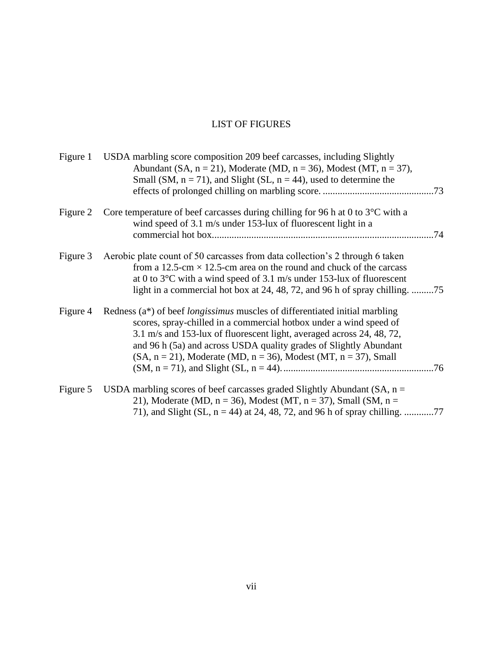# LIST OF FIGURES

<span id="page-9-0"></span>

| Figure 1 | USDA marbling score composition 209 beef carcasses, including Slightly<br>Abundant (SA, $n = 21$ ), Moderate (MD, $n = 36$ ), Modest (MT, $n = 37$ ),<br>Small (SM, $n = 71$ ), and Slight (SL, $n = 44$ ), used to determine the                                                                                                                                                  |
|----------|------------------------------------------------------------------------------------------------------------------------------------------------------------------------------------------------------------------------------------------------------------------------------------------------------------------------------------------------------------------------------------|
| Figure 2 | Core temperature of beef carcasses during chilling for 96 h at 0 to $3^{\circ}$ C with a<br>wind speed of 3.1 m/s under 153-lux of fluorescent light in a                                                                                                                                                                                                                          |
| Figure 3 | Aerobic plate count of 50 carcasses from data collection's 2 through 6 taken<br>from a 12.5-cm $\times$ 12.5-cm area on the round and chuck of the carcass<br>at 0 to $3^{\circ}$ C with a wind speed of 3.1 m/s under 153-lux of fluorescent<br>light in a commercial hot box at 24, 48, 72, and 96 h of spray chilling. 75                                                       |
| Figure 4 | Redness (a*) of beef <i>longissimus</i> muscles of differentiated initial marbling<br>scores, spray-chilled in a commercial hotbox under a wind speed of<br>3.1 m/s and 153-lux of fluorescent light, averaged across 24, 48, 72,<br>and 96 h (5a) and across USDA quality grades of Slightly Abundant<br>$(SA, n = 21)$ , Moderate (MD, $n = 36$ ), Modest (MT, $n = 37$ ), Small |
| Figure 5 | USDA marbling scores of beef carcasses graded Slightly Abundant (SA, $n =$<br>21), Moderate (MD, $n = 36$ ), Modest (MT, $n = 37$ ), Small (SM, $n =$                                                                                                                                                                                                                              |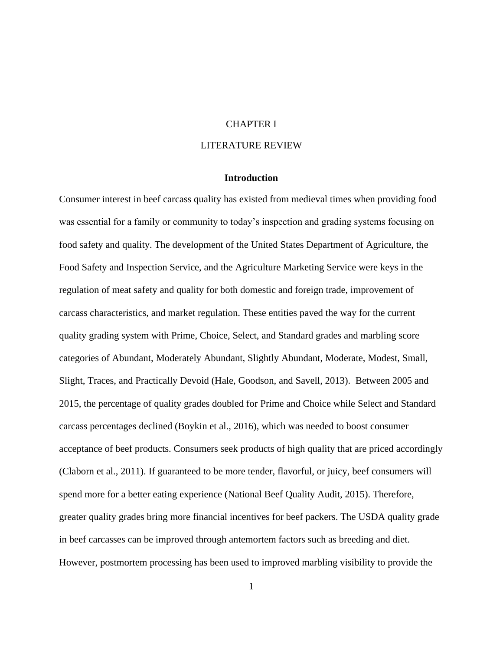#### CHAPTER I

## LITERATURE REVIEW

## **Introduction**

<span id="page-10-2"></span><span id="page-10-1"></span><span id="page-10-0"></span>Consumer interest in beef carcass quality has existed from medieval times when providing food was essential for a family or community to today's inspection and grading systems focusing on food safety and quality. The development of the United States Department of Agriculture, the Food Safety and Inspection Service, and the Agriculture Marketing Service were keys in the regulation of meat safety and quality for both domestic and foreign trade, improvement of carcass characteristics, and market regulation. These entities paved the way for the current quality grading system with Prime, Choice, Select, and Standard grades and marbling score categories of Abundant, Moderately Abundant, Slightly Abundant, Moderate, Modest, Small, Slight, Traces, and Practically Devoid (Hale, Goodson, and Savell, 2013). Between 2005 and 2015, the percentage of quality grades doubled for Prime and Choice while Select and Standard carcass percentages declined (Boykin et al., 2016), which was needed to boost consumer acceptance of beef products. Consumers seek products of high quality that are priced accordingly (Claborn et al., 2011). If guaranteed to be more tender, flavorful, or juicy, beef consumers will spend more for a better eating experience (National Beef Quality Audit, 2015). Therefore, greater quality grades bring more financial incentives for beef packers. The USDA quality grade in beef carcasses can be improved through antemortem factors such as breeding and diet. However, postmortem processing has been used to improved marbling visibility to provide the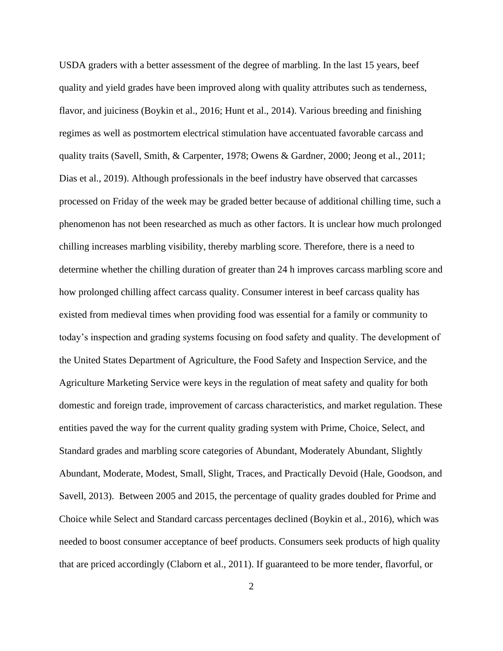USDA graders with a better assessment of the degree of marbling. In the last 15 years, beef quality and yield grades have been improved along with quality attributes such as tenderness, flavor, and juiciness (Boykin et al., 2016; Hunt et al., 2014). Various breeding and finishing regimes as well as postmortem electrical stimulation have accentuated favorable carcass and quality traits (Savell, Smith, & Carpenter, 1978; Owens & Gardner, 2000; Jeong et al., 2011; Dias et al., 2019). Although professionals in the beef industry have observed that carcasses processed on Friday of the week may be graded better because of additional chilling time, such a phenomenon has not been researched as much as other factors. It is unclear how much prolonged chilling increases marbling visibility, thereby marbling score. Therefore, there is a need to determine whether the chilling duration of greater than 24 h improves carcass marbling score and how prolonged chilling affect carcass quality. Consumer interest in beef carcass quality has existed from medieval times when providing food was essential for a family or community to today's inspection and grading systems focusing on food safety and quality. The development of the United States Department of Agriculture, the Food Safety and Inspection Service, and the Agriculture Marketing Service were keys in the regulation of meat safety and quality for both domestic and foreign trade, improvement of carcass characteristics, and market regulation. These entities paved the way for the current quality grading system with Prime, Choice, Select, and Standard grades and marbling score categories of Abundant, Moderately Abundant, Slightly Abundant, Moderate, Modest, Small, Slight, Traces, and Practically Devoid (Hale, Goodson, and Savell, 2013). Between 2005 and 2015, the percentage of quality grades doubled for Prime and Choice while Select and Standard carcass percentages declined (Boykin et al., 2016), which was needed to boost consumer acceptance of beef products. Consumers seek products of high quality that are priced accordingly (Claborn et al., 2011). If guaranteed to be more tender, flavorful, or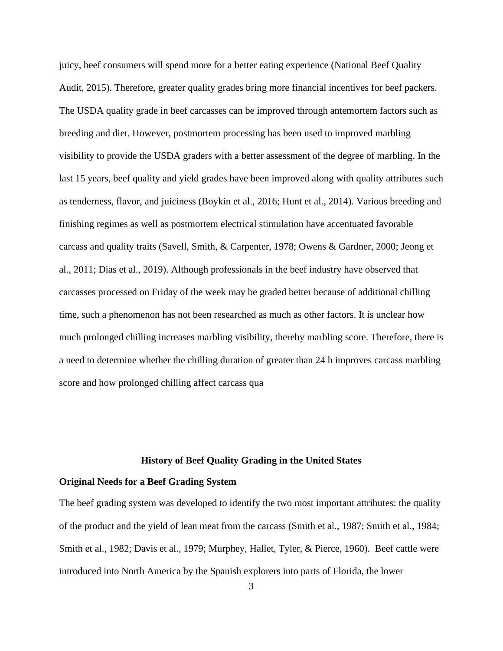juicy, beef consumers will spend more for a better eating experience (National Beef Quality Audit, 2015). Therefore, greater quality grades bring more financial incentives for beef packers. The USDA quality grade in beef carcasses can be improved through antemortem factors such as breeding and diet. However, postmortem processing has been used to improved marbling visibility to provide the USDA graders with a better assessment of the degree of marbling. In the last 15 years, beef quality and yield grades have been improved along with quality attributes such as tenderness, flavor, and juiciness (Boykin et al., 2016; Hunt et al., 2014). Various breeding and finishing regimes as well as postmortem electrical stimulation have accentuated favorable carcass and quality traits (Savell, Smith, & Carpenter, 1978; Owens & Gardner, 2000; Jeong et al., 2011; Dias et al., 2019). Although professionals in the beef industry have observed that carcasses processed on Friday of the week may be graded better because of additional chilling time, such a phenomenon has not been researched as much as other factors. It is unclear how much prolonged chilling increases marbling visibility, thereby marbling score. Therefore, there is a need to determine whether the chilling duration of greater than 24 h improves carcass marbling score and how prolonged chilling affect carcass qua

## **History of Beef Quality Grading in the United States**

#### <span id="page-12-1"></span><span id="page-12-0"></span>**Original Needs for a Beef Grading System**

The beef grading system was developed to identify the two most important attributes: the quality of the product and the yield of lean meat from the carcass (Smith et al., 1987; Smith et al., 1984; Smith et al., 1982; Davis et al., 1979; Murphey, Hallet, Tyler, & Pierce, 1960). Beef cattle were introduced into North America by the Spanish explorers into parts of Florida, the lower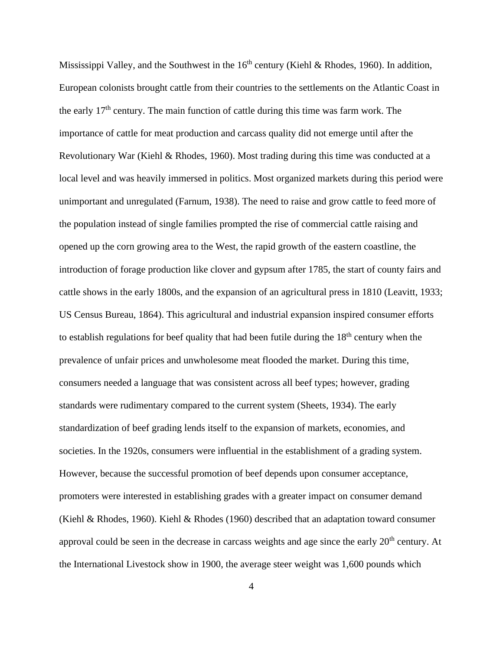Mississippi Valley, and the Southwest in the  $16<sup>th</sup>$  century (Kiehl & Rhodes, 1960). In addition, European colonists brought cattle from their countries to the settlements on the Atlantic Coast in the early  $17<sup>th</sup>$  century. The main function of cattle during this time was farm work. The importance of cattle for meat production and carcass quality did not emerge until after the Revolutionary War (Kiehl & Rhodes, 1960). Most trading during this time was conducted at a local level and was heavily immersed in politics. Most organized markets during this period were unimportant and unregulated (Farnum, 1938). The need to raise and grow cattle to feed more of the population instead of single families prompted the rise of commercial cattle raising and opened up the corn growing area to the West, the rapid growth of the eastern coastline, the introduction of forage production like clover and gypsum after 1785, the start of county fairs and cattle shows in the early 1800s, and the expansion of an agricultural press in 1810 (Leavitt, 1933; US Census Bureau, 1864). This agricultural and industrial expansion inspired consumer efforts to establish regulations for beef quality that had been futile during the  $18<sup>th</sup>$  century when the prevalence of unfair prices and unwholesome meat flooded the market. During this time, consumers needed a language that was consistent across all beef types; however, grading standards were rudimentary compared to the current system (Sheets, 1934). The early standardization of beef grading lends itself to the expansion of markets, economies, and societies. In the 1920s, consumers were influential in the establishment of a grading system. However, because the successful promotion of beef depends upon consumer acceptance, promoters were interested in establishing grades with a greater impact on consumer demand (Kiehl & Rhodes, 1960). Kiehl & Rhodes (1960) described that an adaptation toward consumer approval could be seen in the decrease in carcass weights and age since the early  $20<sup>th</sup>$  century. At the International Livestock show in 1900, the average steer weight was 1,600 pounds which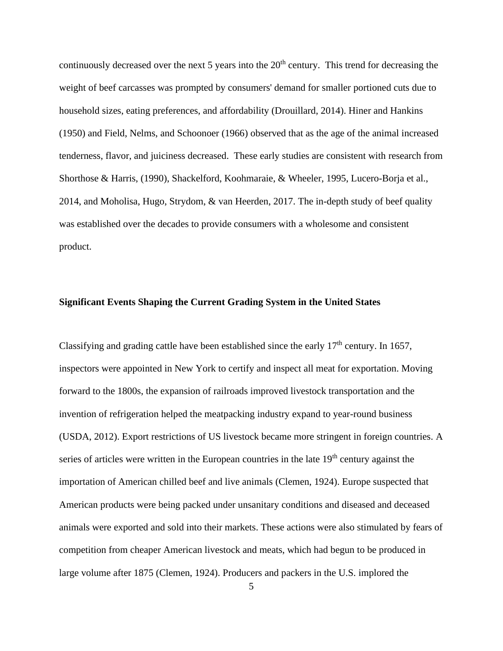continuously decreased over the next 5 years into the  $20<sup>th</sup>$  century. This trend for decreasing the weight of beef carcasses was prompted by consumers' demand for smaller portioned cuts due to household sizes, eating preferences, and affordability (Drouillard, 2014). Hiner and Hankins (1950) and Field, Nelms, and Schoonoer (1966) observed that as the age of the animal increased tenderness, flavor, and juiciness decreased. These early studies are consistent with research from Shorthose & Harris, (1990), Shackelford, Koohmaraie, & Wheeler, 1995, Lucero-Borja et al., 2014, and Moholisa, Hugo, Strydom, & van Heerden, 2017. The in-depth study of beef quality was established over the decades to provide consumers with a wholesome and consistent product.

#### <span id="page-14-0"></span>**Significant Events Shaping the Current Grading System in the United States**

Classifying and grading cattle have been established since the early  $17<sup>th</sup>$  century. In 1657, inspectors were appointed in New York to certify and inspect all meat for exportation. Moving forward to the 1800s, the expansion of railroads improved livestock transportation and the invention of refrigeration helped the meatpacking industry expand to year-round business (USDA, 2012). Export restrictions of US livestock became more stringent in foreign countries. A series of articles were written in the European countries in the late  $19<sup>th</sup>$  century against the importation of American chilled beef and live animals (Clemen, 1924). Europe suspected that American products were being packed under unsanitary conditions and diseased and deceased animals were exported and sold into their markets. These actions were also stimulated by fears of competition from cheaper American livestock and meats, which had begun to be produced in large volume after 1875 (Clemen, 1924). Producers and packers in the U.S. implored the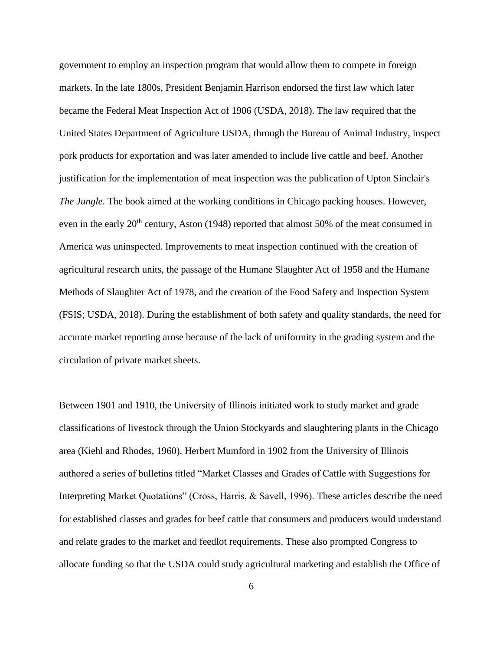government to employ an inspection program that would allow them to compete in foreign markets. In the late 1800s, President Benjamin Harrison endorsed the first law which later became the Federal Meat Inspection Act of 1906 (USDA, 2018). The law required that the United States Department of Agriculture USDA, through the Bureau of Animal Industry, inspect pork products for exportation and was later amended to include live cattle and beef. Another justification for the implementation of meat inspection was the publication of Upton Sinclair's *The Jungle*. The book aimed at the working conditions in Chicago packing houses. However, even in the early  $20<sup>th</sup>$  century, Aston (1948) reported that almost 50% of the meat consumed in America was uninspected. Improvements to meat inspection continued with the creation of agricultural research units, the passage of the Humane Slaughter Act of 1958 and the Humane Methods of Slaughter Act of 1978, and the creation of the Food Safety and Inspection System (FSIS; USDA, 2018). During the establishment of both safety and quality standards, the need for accurate market reporting arose because of the lack of uniformity in the grading system and the circulation of private market sheets.

Between 1901 and 1910, the University of Illinois initiated work to study market and grade classifications of livestock through the Union Stockyards and slaughtering plants in the Chicago area (Kiehl and Rhodes, 1960). Herbert Mumford in 1902 from the University of Illinois authored a series of bulletins titled "Market Classes and Grades of Cattle with Suggestions for Interpreting Market Quotations" (Cross, Harris, & Savell, 1996). These articles describe the need for established classes and grades for beef cattle that consumers and producers would understand and relate grades to the market and feedlot requirements. These also prompted Congress to allocate funding so that the USDA could study agricultural marketing and establish the Office of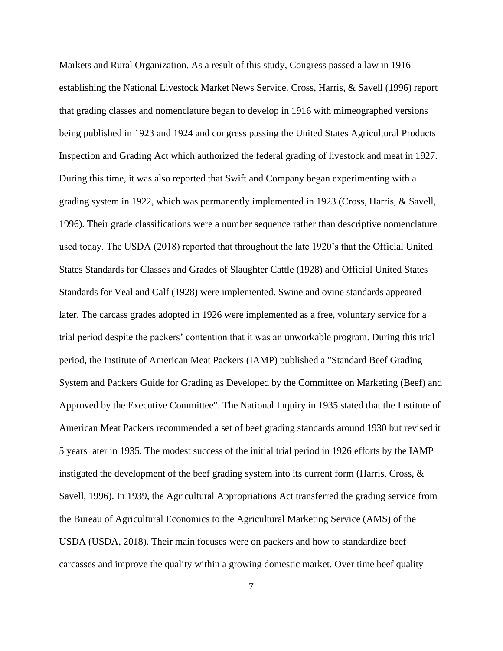Markets and Rural Organization. As a result of this study, Congress passed a law in 1916 establishing the National Livestock Market News Service. Cross, Harris, & Savell (1996) report that grading classes and nomenclature began to develop in 1916 with mimeographed versions being published in 1923 and 1924 and congress passing the United States Agricultural Products Inspection and Grading Act which authorized the federal grading of livestock and meat in 1927. During this time, it was also reported that Swift and Company began experimenting with a grading system in 1922, which was permanently implemented in 1923 (Cross, Harris, & Savell, 1996). Their grade classifications were a number sequence rather than descriptive nomenclature used today. The USDA (2018) reported that throughout the late 1920's that the Official United States Standards for Classes and Grades of Slaughter Cattle (1928) and Official United States Standards for Veal and Calf (1928) were implemented. Swine and ovine standards appeared later. The carcass grades adopted in 1926 were implemented as a free, voluntary service for a trial period despite the packers' contention that it was an unworkable program. During this trial period, the Institute of American Meat Packers (IAMP) published a "Standard Beef Grading System and Packers Guide for Grading as Developed by the Committee on Marketing (Beef) and Approved by the Executive Committee". The National Inquiry in 1935 stated that the Institute of American Meat Packers recommended a set of beef grading standards around 1930 but revised it 5 years later in 1935. The modest success of the initial trial period in 1926 efforts by the IAMP instigated the development of the beef grading system into its current form (Harris, Cross,  $\&$ Savell, 1996). In 1939, the Agricultural Appropriations Act transferred the grading service from the Bureau of Agricultural Economics to the Agricultural Marketing Service (AMS) of the USDA (USDA, 2018). Their main focuses were on packers and how to standardize beef carcasses and improve the quality within a growing domestic market. Over time beef quality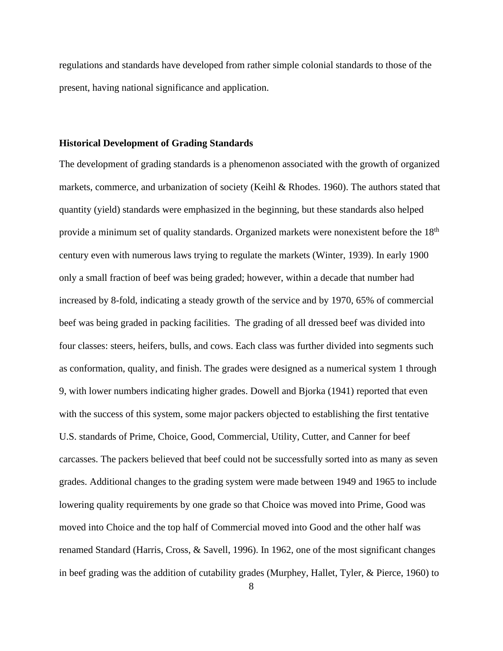regulations and standards have developed from rather simple colonial standards to those of the present, having national significance and application.

#### <span id="page-17-0"></span>**Historical Development of Grading Standards**

The development of grading standards is a phenomenon associated with the growth of organized markets, commerce, and urbanization of society (Keihl & Rhodes. 1960). The authors stated that quantity (yield) standards were emphasized in the beginning, but these standards also helped provide a minimum set of quality standards. Organized markets were nonexistent before the 18<sup>th</sup> century even with numerous laws trying to regulate the markets (Winter, 1939). In early 1900 only a small fraction of beef was being graded; however, within a decade that number had increased by 8-fold, indicating a steady growth of the service and by 1970, 65% of commercial beef was being graded in packing facilities. The grading of all dressed beef was divided into four classes: steers, heifers, bulls, and cows. Each class was further divided into segments such as conformation, quality, and finish. The grades were designed as a numerical system 1 through 9, with lower numbers indicating higher grades. Dowell and Bjorka (1941) reported that even with the success of this system, some major packers objected to establishing the first tentative U.S. standards of Prime, Choice, Good, Commercial, Utility, Cutter, and Canner for beef carcasses. The packers believed that beef could not be successfully sorted into as many as seven grades. Additional changes to the grading system were made between 1949 and 1965 to include lowering quality requirements by one grade so that Choice was moved into Prime, Good was moved into Choice and the top half of Commercial moved into Good and the other half was renamed Standard (Harris, Cross, & Savell, 1996). In 1962, one of the most significant changes in beef grading was the addition of cutability grades (Murphey, Hallet, Tyler, & Pierce, 1960) to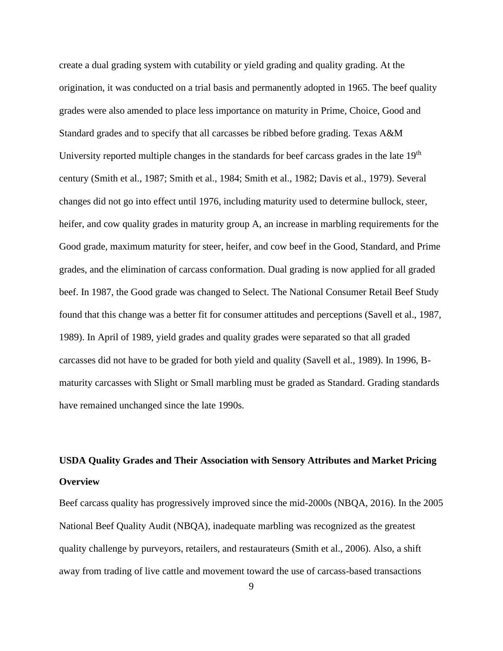create a dual grading system with cutability or yield grading and quality grading. At the origination, it was conducted on a trial basis and permanently adopted in 1965. The beef quality grades were also amended to place less importance on maturity in Prime, Choice, Good and Standard grades and to specify that all carcasses be ribbed before grading. Texas A&M University reported multiple changes in the standards for beef carcass grades in the late 19<sup>th</sup> century (Smith et al., 1987; Smith et al., 1984; Smith et al., 1982; Davis et al., 1979). Several changes did not go into effect until 1976, including maturity used to determine bullock, steer, heifer, and cow quality grades in maturity group A, an increase in marbling requirements for the Good grade, maximum maturity for steer, heifer, and cow beef in the Good, Standard, and Prime grades, and the elimination of carcass conformation. Dual grading is now applied for all graded beef. In 1987, the Good grade was changed to Select. The National Consumer Retail Beef Study found that this change was a better fit for consumer attitudes and perceptions (Savell et al., 1987, 1989). In April of 1989, yield grades and quality grades were separated so that all graded carcasses did not have to be graded for both yield and quality (Savell et al., 1989). In 1996, Bmaturity carcasses with Slight or Small marbling must be graded as Standard. Grading standards have remained unchanged since the late 1990s.

# <span id="page-18-1"></span><span id="page-18-0"></span>**USDA Quality Grades and Their Association with Sensory Attributes and Market Pricing Overview**

Beef carcass quality has progressively improved since the mid-2000s (NBQA, 2016). In the 2005 National Beef Quality Audit (NBQA), inadequate marbling was recognized as the greatest quality challenge by purveyors, retailers, and restaurateurs (Smith et al., 2006). Also, a shift away from trading of live cattle and movement toward the use of carcass-based transactions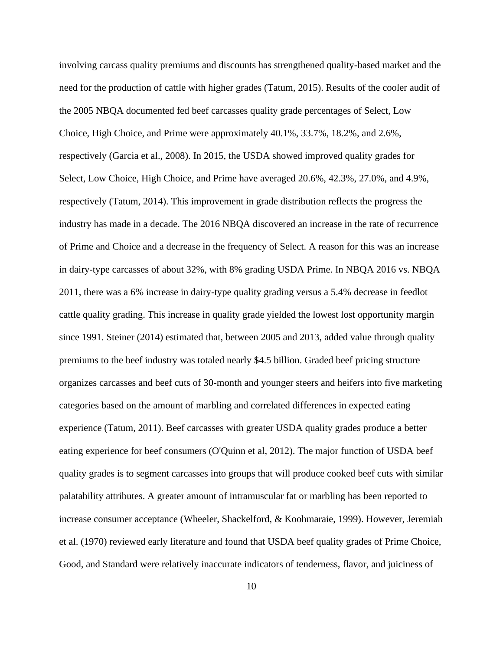involving carcass quality premiums and discounts has strengthened quality-based market and the need for the production of cattle with higher grades (Tatum, 2015). Results of the cooler audit of the 2005 NBQA documented fed beef carcasses quality grade percentages of Select, Low Choice, High Choice, and Prime were approximately 40.1%, 33.7%, 18.2%, and 2.6%, respectively (Garcia et al., 2008). In 2015, the USDA showed improved quality grades for Select, Low Choice, High Choice, and Prime have averaged 20.6%, 42.3%, 27.0%, and 4.9%, respectively (Tatum, 2014). This improvement in grade distribution reflects the progress the industry has made in a decade. The 2016 NBQA discovered an increase in the rate of recurrence of Prime and Choice and a decrease in the frequency of Select. A reason for this was an increase in dairy-type carcasses of about 32%, with 8% grading USDA Prime. In NBQA 2016 vs. NBQA 2011, there was a 6% increase in dairy-type quality grading versus a 5.4% decrease in feedlot cattle quality grading. This increase in quality grade yielded the lowest lost opportunity margin since 1991. Steiner (2014) estimated that, between 2005 and 2013, added value through quality premiums to the beef industry was totaled nearly \$4.5 billion. Graded beef pricing structure organizes carcasses and beef cuts of 30-month and younger steers and heifers into five marketing categories based on the amount of marbling and correlated differences in expected eating experience (Tatum, 2011). Beef carcasses with greater USDA quality grades produce a better eating experience for beef consumers (O'Quinn et al, 2012). The major function of USDA beef quality grades is to segment carcasses into groups that will produce cooked beef cuts with similar palatability attributes. A greater amount of intramuscular fat or marbling has been reported to increase consumer acceptance (Wheeler, Shackelford, & Koohmaraie, 1999). However, Jeremiah et al. (1970) reviewed early literature and found that USDA beef quality grades of Prime Choice, Good, and Standard were relatively inaccurate indicators of tenderness, flavor, and juiciness of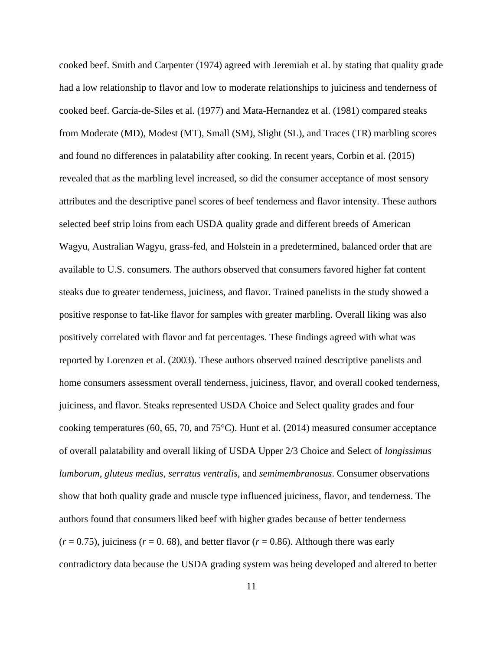cooked beef. Smith and Carpenter (1974) agreed with Jeremiah et al. by stating that quality grade had a low relationship to flavor and low to moderate relationships to juiciness and tenderness of cooked beef. Garcia-de-Siles et al. (1977) and Mata-Hernandez et al. (1981) compared steaks from Moderate (MD), Modest (MT), Small (SM), Slight (SL), and Traces (TR) marbling scores and found no differences in palatability after cooking. In recent years, Corbin et al. (2015) revealed that as the marbling level increased, so did the consumer acceptance of most sensory attributes and the descriptive panel scores of beef tenderness and flavor intensity. These authors selected beef strip loins from each USDA quality grade and different breeds of American Wagyu, Australian Wagyu, grass-fed, and Holstein in a predetermined, balanced order that are available to U.S. consumers. The authors observed that consumers favored higher fat content steaks due to greater tenderness, juiciness, and flavor. Trained panelists in the study showed a positive response to fat-like flavor for samples with greater marbling. Overall liking was also positively correlated with flavor and fat percentages. These findings agreed with what was reported by Lorenzen et al. (2003). These authors observed trained descriptive panelists and home consumers assessment overall tenderness, juiciness, flavor, and overall cooked tenderness, juiciness, and flavor. Steaks represented USDA Choice and Select quality grades and four cooking temperatures (60, 65, 70, and 75°C). Hunt et al. (2014) measured consumer acceptance of overall palatability and overall liking of USDA Upper 2/3 Choice and Select of *longissimus lumborum*, *gluteus medius*, *serratus ventralis*, and *semimembranosus*. Consumer observations show that both quality grade and muscle type influenced juiciness, flavor, and tenderness. The authors found that consumers liked beef with higher grades because of better tenderness  $(r = 0.75)$ , juiciness  $(r = 0.68)$ , and better flavor  $(r = 0.86)$ . Although there was early contradictory data because the USDA grading system was being developed and altered to better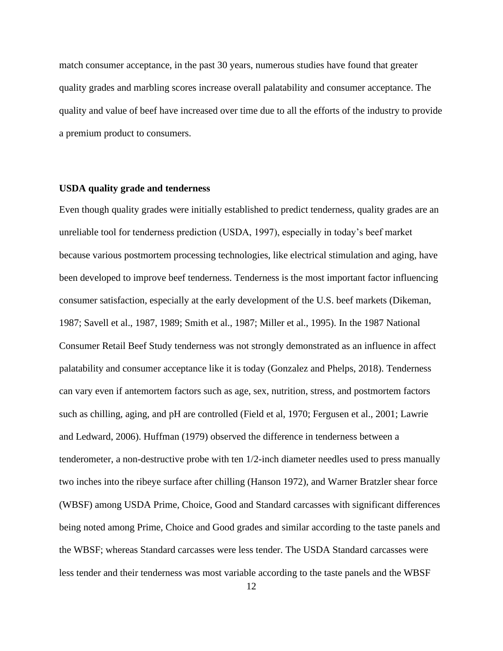match consumer acceptance, in the past 30 years, numerous studies have found that greater quality grades and marbling scores increase overall palatability and consumer acceptance. The quality and value of beef have increased over time due to all the efforts of the industry to provide a premium product to consumers.

#### <span id="page-21-0"></span>**USDA quality grade and tenderness**

Even though quality grades were initially established to predict tenderness, quality grades are an unreliable tool for tenderness prediction (USDA, 1997), especially in today's beef market because various postmortem processing technologies, like electrical stimulation and aging, have been developed to improve beef tenderness. Tenderness is the most important factor influencing consumer satisfaction, especially at the early development of the U.S. beef markets (Dikeman, 1987; Savell et al., 1987, 1989; Smith et al., 1987; Miller et al., 1995). In the 1987 National Consumer Retail Beef Study tenderness was not strongly demonstrated as an influence in affect palatability and consumer acceptance like it is today (Gonzalez and Phelps, 2018). Tenderness can vary even if antemortem factors such as age, sex, nutrition, stress, and postmortem factors such as chilling, aging, and pH are controlled (Field et al, 1970; Fergusen et al., 2001; Lawrie and Ledward, 2006). Huffman (1979) observed the difference in tenderness between a tenderometer, a non-destructive probe with ten 1/2-inch diameter needles used to press manually two inches into the ribeye surface after chilling (Hanson 1972), and Warner Bratzler shear force (WBSF) among USDA Prime, Choice, Good and Standard carcasses with significant differences being noted among Prime, Choice and Good grades and similar according to the taste panels and the WBSF; whereas Standard carcasses were less tender. The USDA Standard carcasses were less tender and their tenderness was most variable according to the taste panels and the WBSF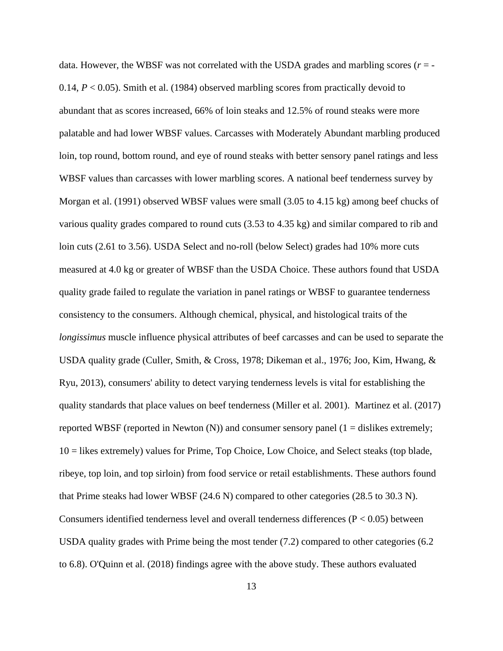data. However, the WBSF was not correlated with the USDA grades and marbling scores  $(r = -1)$ 0.14, *P* < 0.05). Smith et al. (1984) observed marbling scores from practically devoid to abundant that as scores increased, 66% of loin steaks and 12.5% of round steaks were more palatable and had lower WBSF values. Carcasses with Moderately Abundant marbling produced loin, top round, bottom round, and eye of round steaks with better sensory panel ratings and less WBSF values than carcasses with lower marbling scores. A national beef tenderness survey by Morgan et al. (1991) observed WBSF values were small (3.05 to 4.15 kg) among beef chucks of various quality grades compared to round cuts (3.53 to 4.35 kg) and similar compared to rib and loin cuts (2.61 to 3.56). USDA Select and no-roll (below Select) grades had 10% more cuts measured at 4.0 kg or greater of WBSF than the USDA Choice. These authors found that USDA quality grade failed to regulate the variation in panel ratings or WBSF to guarantee tenderness consistency to the consumers. Although chemical, physical, and histological traits of the *longissimus* muscle influence physical attributes of beef carcasses and can be used to separate the USDA quality grade (Culler, Smith, & Cross, 1978; Dikeman et al., 1976; Joo, Kim, Hwang, & Ryu, 2013), consumers' ability to detect varying tenderness levels is vital for establishing the quality standards that place values on beef tenderness (Miller et al. 2001). Martinez et al. (2017) reported WBSF (reported in Newton  $(N)$ ) and consumer sensory panel  $(1 -$  dislikes extremely; 10 = likes extremely) values for Prime, Top Choice, Low Choice, and Select steaks (top blade, ribeye, top loin, and top sirloin) from food service or retail establishments. These authors found that Prime steaks had lower WBSF (24.6 N) compared to other categories (28.5 to 30.3 N). Consumers identified tenderness level and overall tenderness differences ( $P < 0.05$ ) between USDA quality grades with Prime being the most tender (7.2) compared to other categories (6.2 to 6.8). O'Quinn et al. (2018) findings agree with the above study. These authors evaluated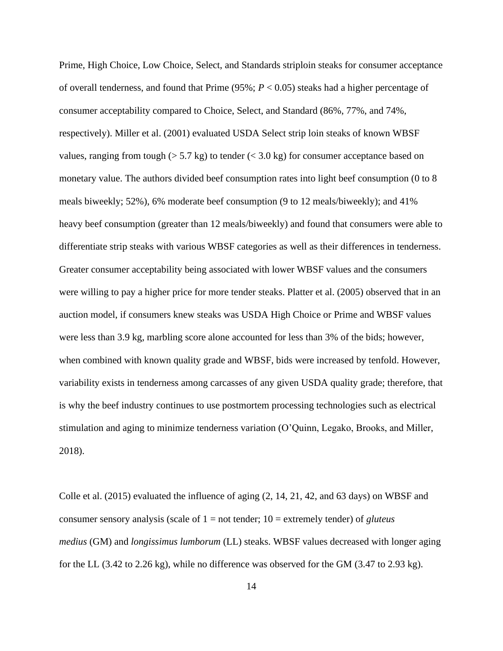Prime, High Choice, Low Choice, Select, and Standards striploin steaks for consumer acceptance of overall tenderness, and found that Prime (95%; *P* < 0.05) steaks had a higher percentage of consumer acceptability compared to Choice, Select, and Standard (86%, 77%, and 74%, respectively). Miller et al. (2001) evaluated USDA Select strip loin steaks of known WBSF values, ranging from tough ( $> 5.7$  kg) to tender ( $< 3.0$  kg) for consumer acceptance based on monetary value. The authors divided beef consumption rates into light beef consumption (0 to 8 meals biweekly; 52%), 6% moderate beef consumption (9 to 12 meals/biweekly); and 41% heavy beef consumption (greater than 12 meals/biweekly) and found that consumers were able to differentiate strip steaks with various WBSF categories as well as their differences in tenderness. Greater consumer acceptability being associated with lower WBSF values and the consumers were willing to pay a higher price for more tender steaks. Platter et al. (2005) observed that in an auction model, if consumers knew steaks was USDA High Choice or Prime and WBSF values were less than 3.9 kg, marbling score alone accounted for less than 3% of the bids; however, when combined with known quality grade and WBSF, bids were increased by tenfold. However, variability exists in tenderness among carcasses of any given USDA quality grade; therefore, that is why the beef industry continues to use postmortem processing technologies such as electrical stimulation and aging to minimize tenderness variation (O'Quinn, Legako, Brooks, and Miller, 2018).

Colle et al. (2015) evaluated the influence of aging (2, 14, 21, 42, and 63 days) on WBSF and consumer sensory analysis (scale of 1 = not tender; 10 = extremely tender) of *gluteus medius* (GM) and *longissimus lumborum* (LL) steaks. WBSF values decreased with longer aging for the LL (3.42 to 2.26 kg), while no difference was observed for the GM (3.47 to 2.93 kg).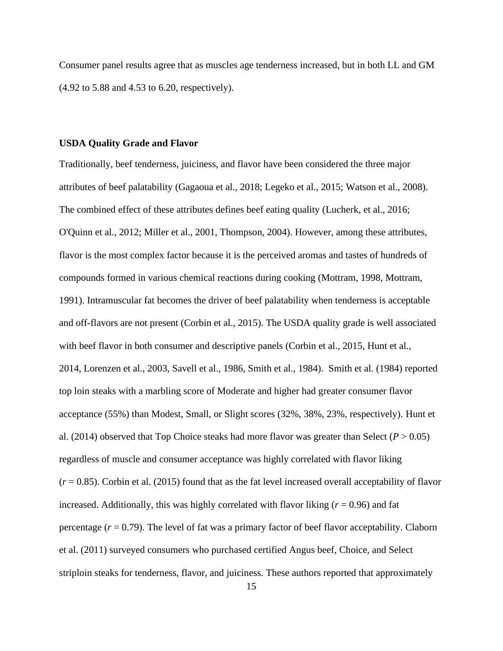Consumer panel results agree that as muscles age tenderness increased, but in both LL and GM (4.92 to 5.88 and 4.53 to 6.20, respectively).

#### <span id="page-24-0"></span>**USDA Quality Grade and Flavor**

Traditionally, beef tenderness, juiciness, and flavor have been considered the three major attributes of beef palatability (Gagaoua et al., 2018; Legeko et al., 2015; Watson et al., 2008). The combined effect of these attributes defines beef eating quality (Lucherk, et al., 2016; O'Quinn et al., 2012; Miller et al., 2001, Thompson, 2004). However, among these attributes, flavor is the most complex factor because it is the perceived aromas and tastes of hundreds of compounds formed in various chemical reactions during cooking (Mottram, 1998, Mottram, 1991). Intramuscular fat becomes the driver of beef palatability when tenderness is acceptable and off-flavors are not present (Corbin et al., 2015). The USDA quality grade is well associated with beef flavor in both consumer and descriptive panels (Corbin et al., 2015, Hunt et al., 2014, Lorenzen et al., 2003, Savell et al., 1986, Smith et al., 1984). Smith et al. (1984) reported top loin steaks with a marbling score of Moderate and higher had greater consumer flavor acceptance (55%) than Modest, Small, or Slight scores (32%, 38%, 23%, respectively). Hunt et al. (2014) observed that Top Choice steaks had more flavor was greater than Select ( $P > 0.05$ ) regardless of muscle and consumer acceptance was highly correlated with flavor liking  $(r = 0.85)$ . Corbin et al. (2015) found that as the fat level increased overall acceptability of flavor increased. Additionally, this was highly correlated with flavor liking  $(r = 0.96)$  and fat percentage  $(r = 0.79)$ . The level of fat was a primary factor of beef flavor acceptability. Claborn et al. (2011) surveyed consumers who purchased certified Angus beef, Choice, and Select striploin steaks for tenderness, flavor, and juiciness. These authors reported that approximately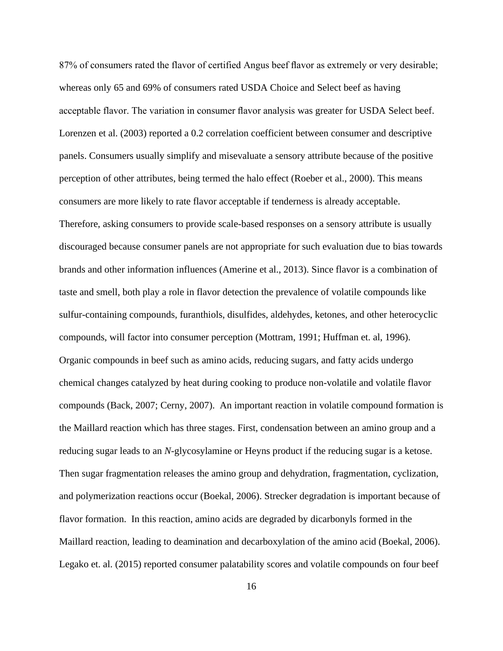87% of consumers rated the flavor of certified Angus beef flavor as extremely or very desirable; whereas only 65 and 69% of consumers rated USDA Choice and Select beef as having acceptable flavor. The variation in consumer flavor analysis was greater for USDA Select beef. Lorenzen et al. (2003) reported a 0.2 correlation coefficient between consumer and descriptive panels. Consumers usually simplify and misevaluate a sensory attribute because of the positive perception of other attributes, being termed the halo effect (Roeber et al., 2000). This means consumers are more likely to rate flavor acceptable if tenderness is already acceptable. Therefore, asking consumers to provide scale-based responses on a sensory attribute is usually discouraged because consumer panels are not appropriate for such evaluation due to bias towards brands and other information influences (Amerine et al., 2013). Since flavor is a combination of taste and smell, both play a role in flavor detection the prevalence of volatile compounds like sulfur-containing compounds, furanthiols, disulfides, aldehydes, ketones, and other heterocyclic compounds, will factor into consumer perception (Mottram, 1991; Huffman et. al, 1996). Organic compounds in beef such as amino acids, reducing sugars, and fatty acids undergo chemical changes catalyzed by heat during cooking to produce non-volatile and volatile flavor compounds (Back, 2007; Cerny, 2007). An important reaction in volatile compound formation is the Maillard reaction which has three stages. First, condensation between an amino group and a reducing sugar leads to an *N*-glycosylamine or Heyns product if the reducing sugar is a ketose. Then sugar fragmentation releases the amino group and dehydration, fragmentation, cyclization, and polymerization reactions occur (Boekal, 2006). Strecker degradation is important because of flavor formation. In this reaction, amino acids are degraded by dicarbonyls formed in the Maillard reaction, leading to deamination and decarboxylation of the amino acid (Boekal, 2006). Legako et. al. (2015) reported consumer palatability scores and volatile compounds on four beef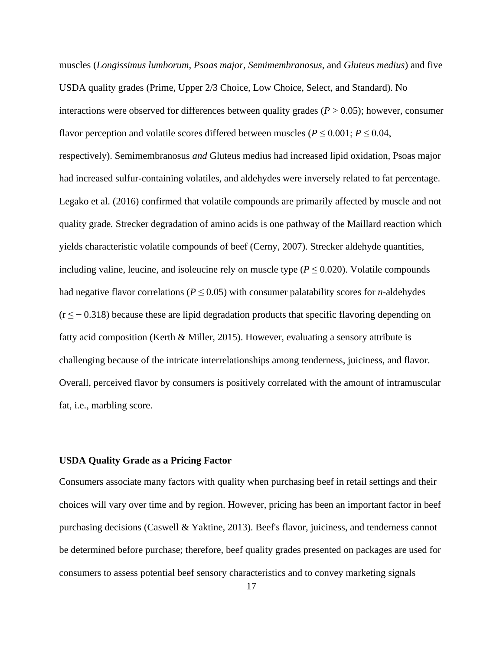muscles (*Longissimus lumborum*, *Psoas major, Semimembranosus*, and *Gluteus medius*) and five USDA quality grades (Prime, Upper 2/3 Choice, Low Choice, Select, and Standard). No interactions were observed for differences between quality grades ( $P > 0.05$ ); however, consumer flavor perception and volatile scores differed between muscles ( $P \le 0.001$ ;  $P \le 0.04$ , respectively). Semimembranosus *and* Gluteus medius had increased lipid oxidation, Psoas major had increased sulfur-containing volatiles, and aldehydes were inversely related to fat percentage. Legako et al. (2016) confirmed that volatile compounds are primarily affected by muscle and not quality grade*.* Strecker degradation of amino acids is one pathway of the Maillard reaction which yields characteristic volatile compounds of beef (Cerny, 2007). Strecker aldehyde quantities, including valine, leucine, and isoleucine rely on muscle type ( $P \leq 0.020$ ). Volatile compounds had negative flavor correlations ( $P \leq 0.05$ ) with consumer palatability scores for *n*-aldehydes  $(r \leq -0.318)$  because these are lipid degradation products that specific flavoring depending on fatty acid composition (Kerth & Miller, 2015). However, evaluating a sensory attribute is challenging because of the intricate interrelationships among tenderness, juiciness, and flavor. Overall, perceived flavor by consumers is positively correlated with the amount of intramuscular fat, i.e., marbling score.

## <span id="page-26-0"></span>**USDA Quality Grade as a Pricing Factor**

Consumers associate many factors with quality when purchasing beef in retail settings and their choices will vary over time and by region. However, pricing has been an important factor in beef purchasing decisions (Caswell & Yaktine, 2013). Beef's flavor, juiciness, and tenderness cannot be determined before purchase; therefore, beef quality grades presented on packages are used for consumers to assess potential beef sensory characteristics and to convey marketing signals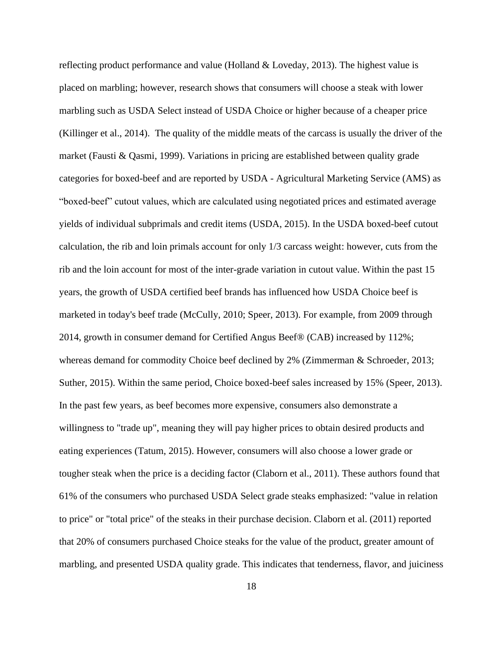reflecting product performance and value (Holland & Loveday, 2013). The highest value is placed on marbling; however, research shows that consumers will choose a steak with lower marbling such as USDA Select instead of USDA Choice or higher because of a cheaper price (Killinger et al., 2014). The quality of the middle meats of the carcass is usually the driver of the market (Fausti & Qasmi, 1999). Variations in pricing are established between quality grade categories for boxed-beef and are reported by USDA - Agricultural Marketing Service (AMS) as "boxed-beef" cutout values, which are calculated using negotiated prices and estimated average yields of individual subprimals and credit items (USDA, 2015). In the USDA boxed-beef cutout calculation, the rib and loin primals account for only 1/3 carcass weight: however, cuts from the rib and the loin account for most of the inter-grade variation in cutout value. Within the past 15 years, the growth of USDA certified beef brands has influenced how USDA Choice beef is marketed in today's beef trade (McCully, 2010; Speer, 2013). For example, from 2009 through 2014, growth in consumer demand for Certified Angus Beef® (CAB) increased by 112%; whereas demand for commodity Choice beef declined by 2% (Zimmerman & Schroeder, 2013; Suther, 2015). Within the same period, Choice boxed-beef sales increased by 15% (Speer, 2013). In the past few years, as beef becomes more expensive, consumers also demonstrate a willingness to "trade up", meaning they will pay higher prices to obtain desired products and eating experiences (Tatum, 2015). However, consumers will also choose a lower grade or tougher steak when the price is a deciding factor (Claborn et al., 2011). These authors found that 61% of the consumers who purchased USDA Select grade steaks emphasized: "value in relation to price" or "total price" of the steaks in their purchase decision. Claborn et al. (2011) reported that 20% of consumers purchased Choice steaks for the value of the product, greater amount of marbling, and presented USDA quality grade. This indicates that tenderness, flavor, and juiciness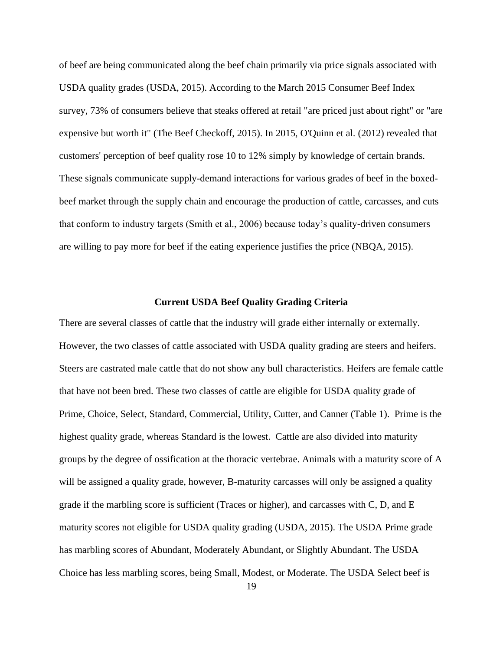of beef are being communicated along the beef chain primarily via price signals associated with USDA quality grades (USDA, 2015). According to the March 2015 Consumer Beef Index survey, 73% of consumers believe that steaks offered at retail "are priced just about right" or "are expensive but worth it" (The Beef Checkoff, 2015). In 2015, O'Quinn et al. (2012) revealed that customers' perception of beef quality rose 10 to 12% simply by knowledge of certain brands. These signals communicate supply-demand interactions for various grades of beef in the boxedbeef market through the supply chain and encourage the production of cattle, carcasses, and cuts that conform to industry targets (Smith et al., 2006) because today's quality-driven consumers are willing to pay more for beef if the eating experience justifies the price (NBQA, 2015).

#### **Current USDA Beef Quality Grading Criteria**

<span id="page-28-0"></span>There are several classes of cattle that the industry will grade either internally or externally. However, the two classes of cattle associated with USDA quality grading are steers and heifers. Steers are castrated male cattle that do not show any bull characteristics. Heifers are female cattle that have not been bred. These two classes of cattle are eligible for USDA quality grade of Prime, Choice, Select, Standard, Commercial, Utility, Cutter, and Canner (Table 1). Prime is the highest quality grade, whereas Standard is the lowest. Cattle are also divided into maturity groups by the degree of ossification at the thoracic vertebrae. Animals with a maturity score of A will be assigned a quality grade, however, B-maturity carcasses will only be assigned a quality grade if the marbling score is sufficient (Traces or higher), and carcasses with C, D, and E maturity scores not eligible for USDA quality grading (USDA, 2015). The USDA Prime grade has marbling scores of Abundant, Moderately Abundant, or Slightly Abundant. The USDA Choice has less marbling scores, being Small, Modest, or Moderate. The USDA Select beef is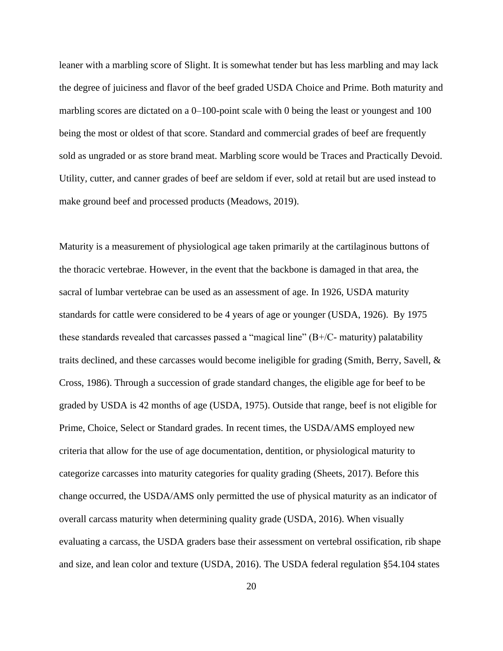leaner with a marbling score of Slight. It is somewhat tender but has less marbling and may lack the degree of juiciness and flavor of the beef graded USDA Choice and Prime. Both maturity and marbling scores are dictated on a 0–100-point scale with 0 being the least or youngest and 100 being the most or oldest of that score. Standard and commercial grades of beef are frequently sold as ungraded or as store brand meat. Marbling score would be Traces and Practically Devoid. Utility, cutter, and canner grades of beef are seldom if ever, sold at retail but are used instead to make ground beef and processed products (Meadows, 2019).

Maturity is a measurement of physiological age taken primarily at the cartilaginous buttons of the thoracic vertebrae. However, in the event that the backbone is damaged in that area, the sacral of lumbar vertebrae can be used as an assessment of age. In 1926, USDA maturity standards for cattle were considered to be 4 years of age or younger (USDA, 1926). By 1975 these standards revealed that carcasses passed a "magical line"  $(B+/C-)$  maturity) palatability traits declined, and these carcasses would become ineligible for grading (Smith, Berry, Savell, & Cross, 1986). Through a succession of grade standard changes, the eligible age for beef to be graded by USDA is 42 months of age (USDA, 1975). Outside that range, beef is not eligible for Prime, Choice, Select or Standard grades. In recent times, the USDA/AMS employed new criteria that allow for the use of age documentation, dentition, or physiological maturity to categorize carcasses into maturity categories for quality grading (Sheets, 2017). Before this change occurred, the USDA/AMS only permitted the use of physical maturity as an indicator of overall carcass maturity when determining quality grade (USDA, 2016). When visually evaluating a carcass, the USDA graders base their assessment on vertebral ossification, rib shape and size, and lean color and texture (USDA, 2016). The USDA federal regulation §54.104 states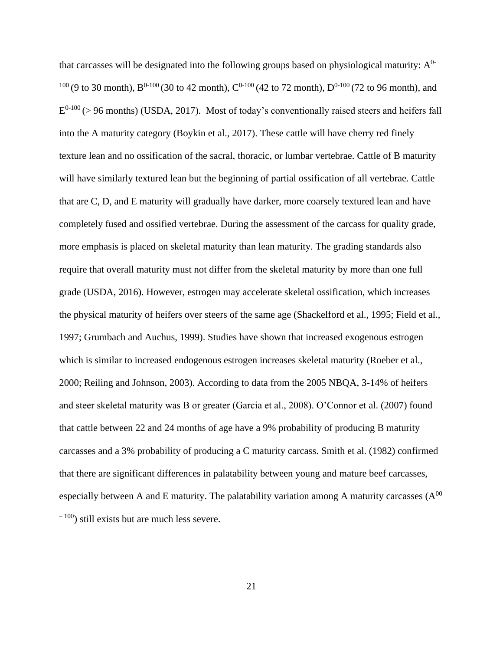that carcasses will be designated into the following groups based on physiological maturity:  $A^{0-}$  $100$  (9 to 30 month), B<sup>0-100</sup> (30 to 42 month), C<sup>0-100</sup> (42 to 72 month), D<sup>0-100</sup> (72 to 96 month), and  $E^{0-100}$  (> 96 months) (USDA, 2017). Most of today's conventionally raised steers and heifers fall into the A maturity category (Boykin et al., 2017). These cattle will have cherry red finely texture lean and no ossification of the sacral, thoracic, or lumbar vertebrae. Cattle of B maturity will have similarly textured lean but the beginning of partial ossification of all vertebrae. Cattle that are C, D, and E maturity will gradually have darker, more coarsely textured lean and have completely fused and ossified vertebrae. During the assessment of the carcass for quality grade, more emphasis is placed on skeletal maturity than lean maturity. The grading standards also require that overall maturity must not differ from the skeletal maturity by more than one full grade (USDA, 2016). However, estrogen may accelerate skeletal ossification, which increases the physical maturity of heifers over steers of the same age (Shackelford et al., 1995; Field et al., 1997; Grumbach and Auchus, 1999). Studies have shown that increased exogenous estrogen which is similar to increased endogenous estrogen increases skeletal maturity (Roeber et al., 2000; Reiling and Johnson, 2003). According to data from the 2005 NBQA, 3-14% of heifers and steer skeletal maturity was B or greater (Garcia et al., 2008). O'Connor et al. (2007) found that cattle between 22 and 24 months of age have a 9% probability of producing B maturity carcasses and a 3% probability of producing a C maturity carcass. Smith et al. (1982) confirmed that there are significant differences in palatability between young and mature beef carcasses, especially between A and E maturity. The palatability variation among A maturity carcasses  $(A^{00})$  $^{(-100)}$  still exists but are much less severe.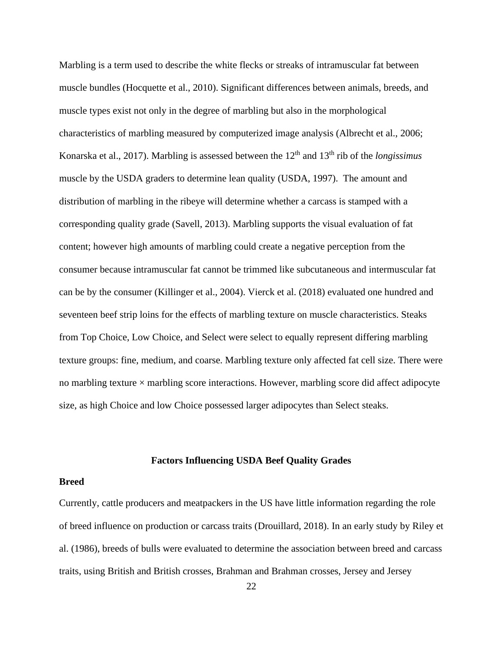Marbling is a term used to describe the white flecks or streaks of intramuscular fat between muscle bundles (Hocquette et al., 2010). Significant differences between animals, breeds, and muscle types exist not only in the degree of marbling but also in the morphological characteristics of marbling measured by computerized image analysis (Albrecht et al., 2006; Konarska et al., 2017). Marbling is assessed between the 12<sup>th</sup> and 13<sup>th</sup> rib of the *longissimus* muscle by the USDA graders to determine lean quality (USDA, 1997). The amount and distribution of marbling in the ribeye will determine whether a carcass is stamped with a corresponding quality grade (Savell, 2013). Marbling supports the visual evaluation of fat content; however high amounts of marbling could create a negative perception from the consumer because intramuscular fat cannot be trimmed like subcutaneous and intermuscular fat can be by the consumer (Killinger et al., 2004). Vierck et al. (2018) evaluated one hundred and seventeen beef strip loins for the effects of marbling texture on muscle characteristics. Steaks from Top Choice, Low Choice, and Select were select to equally represent differing marbling texture groups: fine, medium, and coarse. Marbling texture only affected fat cell size. There were no marbling texture  $\times$  marbling score interactions. However, marbling score did affect adipocyte size, as high Choice and low Choice possessed larger adipocytes than Select steaks.

## **Factors Influencing USDA Beef Quality Grades**

#### <span id="page-31-1"></span><span id="page-31-0"></span>**Breed**

Currently, cattle producers and meatpackers in the US have little information regarding the role of breed influence on production or carcass traits (Drouillard, 2018). In an early study by Riley et al. (1986), breeds of bulls were evaluated to determine the association between breed and carcass traits, using British and British crosses, Brahman and Brahman crosses, Jersey and Jersey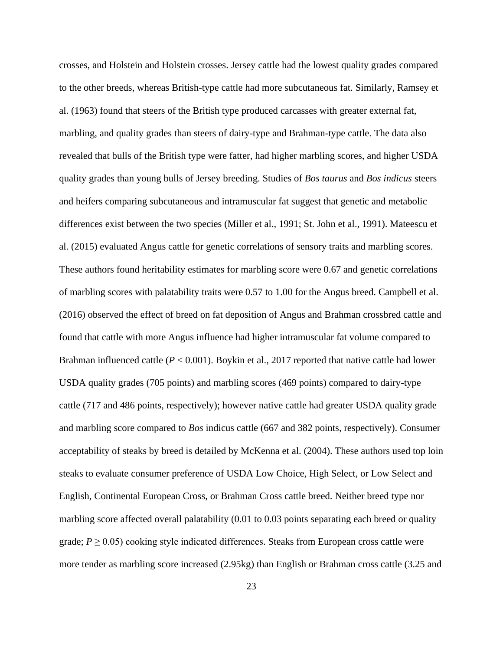crosses, and Holstein and Holstein crosses. Jersey cattle had the lowest quality grades compared to the other breeds, whereas British-type cattle had more subcutaneous fat. Similarly, Ramsey et al. (1963) found that steers of the British type produced carcasses with greater external fat, marbling, and quality grades than steers of dairy-type and Brahman-type cattle. The data also revealed that bulls of the British type were fatter, had higher marbling scores, and higher USDA quality grades than young bulls of Jersey breeding. Studies of *Bos taurus* and *Bos indicus* steers and heifers comparing subcutaneous and intramuscular fat suggest that genetic and metabolic differences exist between the two species (Miller et al., 1991; St. John et al., 1991). Mateescu et al. (2015) evaluated Angus cattle for genetic correlations of sensory traits and marbling scores. These authors found heritability estimates for marbling score were 0.67 and genetic correlations of marbling scores with palatability traits were 0.57 to 1.00 for the Angus breed. Campbell et al. (2016) observed the effect of breed on fat deposition of Angus and Brahman crossbred cattle and found that cattle with more Angus influence had higher intramuscular fat volume compared to Brahman influenced cattle (*P* < 0.001). Boykin et al., 2017 reported that native cattle had lower USDA quality grades (705 points) and marbling scores (469 points) compared to dairy-type cattle (717 and 486 points, respectively); however native cattle had greater USDA quality grade and marbling score compared to *Bos* indicus cattle (667 and 382 points, respectively). Consumer acceptability of steaks by breed is detailed by McKenna et al. (2004). These authors used top loin steaks to evaluate consumer preference of USDA Low Choice, High Select, or Low Select and English, Continental European Cross, or Brahman Cross cattle breed. Neither breed type nor marbling score affected overall palatability (0.01 to 0.03 points separating each breed or quality grade;  $P \geq 0.05$ ) cooking style indicated differences. Steaks from European cross cattle were more tender as marbling score increased (2.95kg) than English or Brahman cross cattle (3.25 and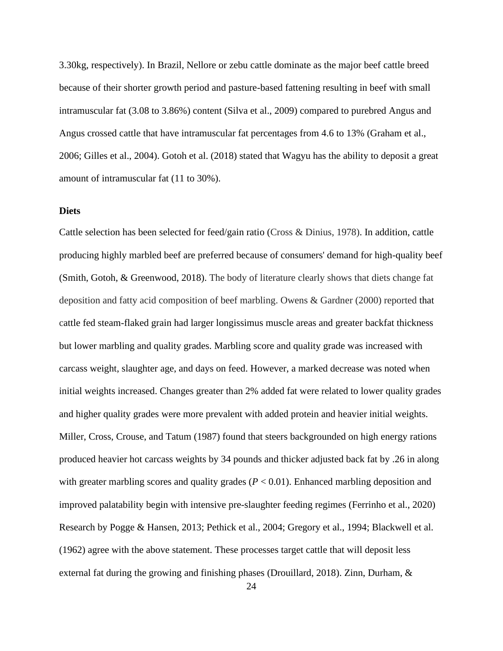3.30kg, respectively). In Brazil, Nellore or zebu cattle dominate as the major beef cattle breed because of their shorter growth period and pasture-based fattening resulting in beef with small intramuscular fat (3.08 to 3.86%) content (Silva et al., 2009) compared to purebred Angus and Angus crossed cattle that have intramuscular fat percentages from 4.6 to 13% (Graham et al., 2006; Gilles et al., 2004). Gotoh et al. (2018) stated that Wagyu has the ability to deposit a great amount of intramuscular fat (11 to 30%).

#### <span id="page-33-0"></span>**Diets**

Cattle selection has been selected for feed/gain ratio (Cross & Dinius, 1978). In addition, cattle producing highly marbled beef are preferred because of consumers' demand for high-quality beef (Smith, Gotoh, & Greenwood, 2018). The body of literature clearly shows that diets change fat deposition and fatty acid composition of beef marbling. Owens & Gardner (2000) reported that cattle fed steam-flaked grain had larger longissimus muscle areas and greater backfat thickness but lower marbling and quality grades. Marbling score and quality grade was increased with carcass weight, slaughter age, and days on feed. However, a marked decrease was noted when initial weights increased. Changes greater than 2% added fat were related to lower quality grades and higher quality grades were more prevalent with added protein and heavier initial weights. Miller, Cross, Crouse, and Tatum (1987) found that steers backgrounded on high energy rations produced heavier hot carcass weights by 34 pounds and thicker adjusted back fat by .26 in along with greater marbling scores and quality grades ( $P < 0.01$ ). Enhanced marbling deposition and improved palatability begin with intensive pre-slaughter feeding regimes (Ferrinho et al., 2020) Research by Pogge & Hansen, 2013; Pethick et al., 2004; Gregory et al., 1994; Blackwell et al. (1962) agree with the above statement. These processes target cattle that will deposit less external fat during the growing and finishing phases (Drouillard, 2018). Zinn, Durham, &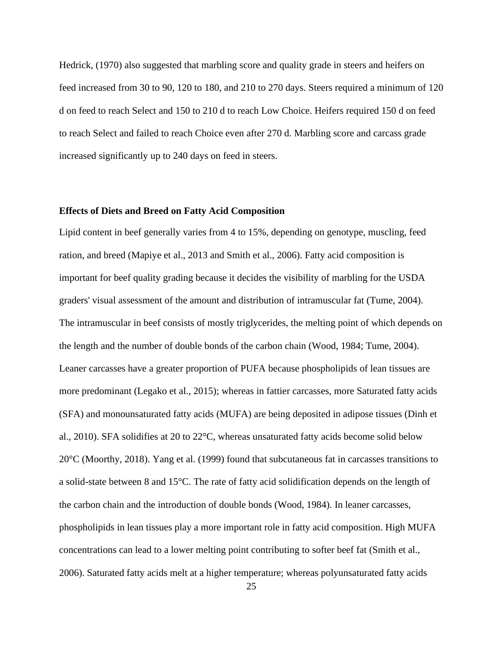Hedrick, (1970) also suggested that marbling score and quality grade in steers and heifers on feed increased from 30 to 90, 120 to 180, and 210 to 270 days. Steers required a minimum of 120 d on feed to reach Select and 150 to 210 d to reach Low Choice. Heifers required 150 d on feed to reach Select and failed to reach Choice even after 270 d. Marbling score and carcass grade increased significantly up to 240 days on feed in steers.

#### <span id="page-34-0"></span>**Effects of Diets and Breed on Fatty Acid Composition**

Lipid content in beef generally varies from 4 to 15%, depending on genotype, muscling, feed ration, and breed (Mapiye et al., 2013 and Smith et al., 2006). Fatty acid composition is important for beef quality grading because it decides the visibility of marbling for the USDA graders' visual assessment of the amount and distribution of intramuscular fat (Tume, 2004). The intramuscular in beef consists of mostly triglycerides, the melting point of which depends on the length and the number of double bonds of the carbon chain (Wood, 1984; Tume, 2004). Leaner carcasses have a greater proportion of PUFA because phospholipids of lean tissues are more predominant (Legako et al., 2015); whereas in fattier carcasses, more Saturated fatty acids (SFA) and monounsaturated fatty acids (MUFA) are being deposited in adipose tissues (Dinh et al., 2010). SFA solidifies at 20 to 22°C, whereas unsaturated fatty acids become solid below 20°C (Moorthy, 2018). Yang et al. (1999) found that subcutaneous fat in carcasses transitions to a solid-state between 8 and 15°C. The rate of fatty acid solidification depends on the length of the carbon chain and the introduction of double bonds (Wood, 1984). In leaner carcasses, phospholipids in lean tissues play a more important role in fatty acid composition. High MUFA concentrations can lead to a lower melting point contributing to softer beef fat (Smith et al., 2006). Saturated fatty acids melt at a higher temperature; whereas polyunsaturated fatty acids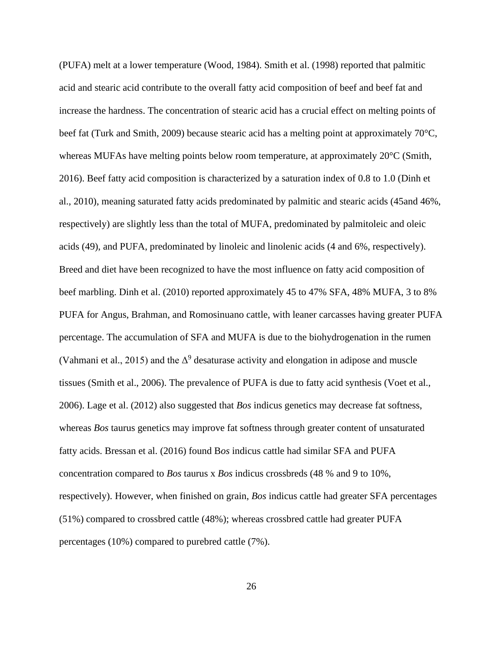(PUFA) melt at a lower temperature (Wood, 1984). Smith et al. (1998) reported that palmitic acid and stearic acid contribute to the overall fatty acid composition of beef and beef fat and increase the hardness. The concentration of stearic acid has a crucial effect on melting points of beef fat (Turk and Smith, 2009) because stearic acid has a melting point at approximately 70°C, whereas MUFAs have melting points below room temperature, at approximately 20°C (Smith, 2016). Beef fatty acid composition is characterized by a saturation index of 0.8 to 1.0 (Dinh et al., 2010), meaning saturated fatty acids predominated by palmitic and stearic acids (45and 46%, respectively) are slightly less than the total of MUFA, predominated by palmitoleic and oleic acids (49), and PUFA, predominated by linoleic and linolenic acids (4 and 6%, respectively). Breed and diet have been recognized to have the most influence on fatty acid composition of beef marbling. Dinh et al. (2010) reported approximately 45 to 47% SFA, 48% MUFA, 3 to 8% PUFA for Angus, Brahman, and Romosinuano cattle, with leaner carcasses having greater PUFA percentage. The accumulation of SFA and MUFA is due to the biohydrogenation in the rumen (Vahmani et al., 2015) and the  $\Delta^9$  desaturase activity and elongation in adipose and muscle tissues (Smith et al., 2006). The prevalence of PUFA is due to fatty acid synthesis (Voet et al., 2006). Lage et al. (2012) also suggested that *Bos* indicus genetics may decrease fat softness, whereas *Bos* taurus genetics may improve fat softness through greater content of unsaturated fatty acids. Bressan et al. (2016) found B*os* indicus cattle had similar SFA and PUFA concentration compared to *Bos* taurus x *Bos* indicus crossbreds (48 % and 9 to 10%, respectively). However, when finished on grain, *Bos* indicus cattle had greater SFA percentages (51%) compared to crossbred cattle (48%); whereas crossbred cattle had greater PUFA percentages (10%) compared to purebred cattle (7%).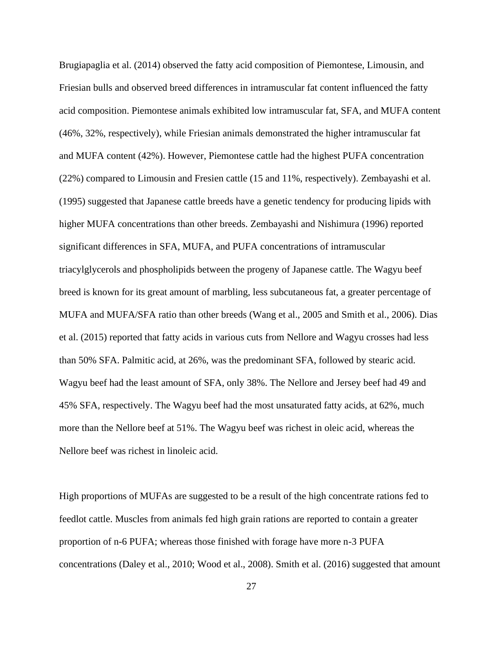Brugiapaglia et al. (2014) observed the fatty acid composition of Piemontese, Limousin, and Friesian bulls and observed breed differences in intramuscular fat content influenced the fatty acid composition. Piemontese animals exhibited low intramuscular fat, SFA, and MUFA content (46%, 32%, respectively), while Friesian animals demonstrated the higher intramuscular fat and MUFA content (42%). However, Piemontese cattle had the highest PUFA concentration (22%) compared to Limousin and Fresien cattle (15 and 11%, respectively). Zembayashi et al. (1995) suggested that Japanese cattle breeds have a genetic tendency for producing lipids with higher MUFA concentrations than other breeds. Zembayashi and Nishimura (1996) reported significant differences in SFA, MUFA, and PUFA concentrations of intramuscular triacylglycerols and phospholipids between the progeny of Japanese cattle. The Wagyu beef breed is known for its great amount of marbling, less subcutaneous fat, a greater percentage of MUFA and MUFA/SFA ratio than other breeds (Wang et al., 2005 and Smith et al., 2006). Dias et al. (2015) reported that fatty acids in various cuts from Nellore and Wagyu crosses had less than 50% SFA. Palmitic acid, at 26%, was the predominant SFA, followed by stearic acid. Wagyu beef had the least amount of SFA, only 38%. The Nellore and Jersey beef had 49 and 45% SFA, respectively. The Wagyu beef had the most unsaturated fatty acids, at 62%, much more than the Nellore beef at 51%. The Wagyu beef was richest in oleic acid, whereas the Nellore beef was richest in linoleic acid.

High proportions of MUFAs are suggested to be a result of the high concentrate rations fed to feedlot cattle. Muscles from animals fed high grain rations are reported to contain a greater proportion of n-6 PUFA; whereas those finished with forage have more n-3 PUFA concentrations (Daley et al., 2010; Wood et al., 2008). Smith et al. (2016) suggested that amount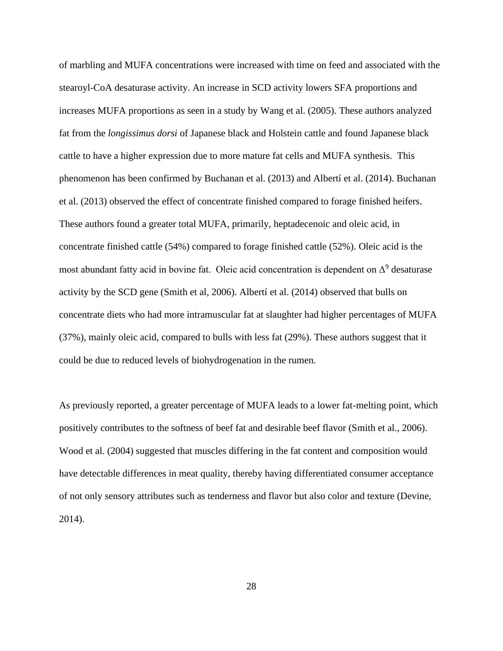of marbling and MUFA concentrations were increased with time on feed and associated with the stearoyl-CoA desaturase activity. An increase in SCD activity lowers SFA proportions and increases MUFA proportions as seen in a study by Wang et al. (2005). These authors analyzed fat from the *longissimus dorsi* of Japanese black and Holstein cattle and found Japanese black cattle to have a higher expression due to more mature fat cells and MUFA synthesis. This phenomenon has been confirmed by Buchanan et al. (2013) and Albertí et al. (2014). Buchanan et al. (2013) observed the effect of concentrate finished compared to forage finished heifers. These authors found a greater total MUFA, primarily, heptadecenoic and oleic acid, in concentrate finished cattle (54%) compared to forage finished cattle (52%). Oleic acid is the most abundant fatty acid in bovine fat. Oleic acid concentration is dependent on  $\Delta^9$  desaturase activity by the SCD gene (Smith et al, 2006). Albertí et al. (2014) observed that bulls on concentrate diets who had more intramuscular fat at slaughter had higher percentages of MUFA (37%), mainly oleic acid, compared to bulls with less fat (29%). These authors suggest that it could be due to reduced levels of biohydrogenation in the rumen.

As previously reported, a greater percentage of MUFA leads to a lower fat-melting point, which positively contributes to the softness of beef fat and desirable beef flavor (Smith et al., 2006). Wood et al. (2004) suggested that muscles differing in the fat content and composition would have detectable differences in meat quality, thereby having differentiated consumer acceptance of not only sensory attributes such as tenderness and flavor but also color and texture (Devine, 2014).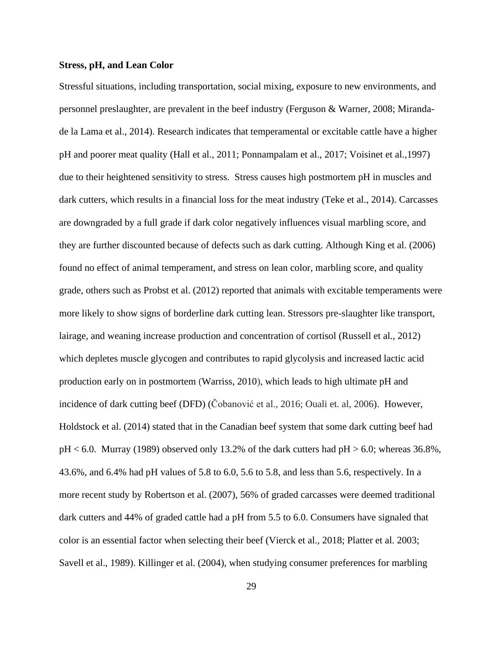## **Stress, pH, and Lean Color**

Stressful situations, including transportation, social mixing, exposure to new environments, and personnel preslaughter, are prevalent in the beef industry (Ferguson & Warner, 2008; Mirandade la Lama et al., 2014). Research indicates that temperamental or excitable cattle have a higher pH and poorer meat quality (Hall et al., 2011; Ponnampalam et al., 2017; Voisinet et al.,1997) due to their heightened sensitivity to stress. Stress causes high postmortem pH in muscles and dark cutters, which results in a financial loss for the meat industry (Teke et al., 2014). Carcasses are downgraded by a full grade if dark color negatively influences visual marbling score, and they are further discounted because of defects such as dark cutting. Although King et al. (2006) found no effect of animal temperament, and stress on lean color, marbling score, and quality grade, others such as Probst et al. (2012) reported that animals with excitable temperaments were more likely to show signs of borderline dark cutting lean. Stressors pre-slaughter like transport, lairage, and weaning increase production and concentration of cortisol (Russell et al., 2012) which depletes muscle glycogen and contributes to rapid glycolysis and increased lactic acid production early on in postmortem (Warriss, 2010), which leads to high ultimate pH and incidence of dark cutting beef (DFD) (Čobanović et al., 2016; Ouali et. al, 2006). However, Holdstock et al. (2014) stated that in the Canadian beef system that some dark cutting beef had  $pH < 6.0$ . Murray (1989) observed only 13.2% of the dark cutters had  $pH > 6.0$ ; whereas 36.8%, 43.6%, and 6.4% had pH values of 5.8 to 6.0, 5.6 to 5.8, and less than 5.6, respectively. In a more recent study by Robertson et al. (2007), 56% of graded carcasses were deemed traditional dark cutters and 44% of graded cattle had a pH from 5.5 to 6.0. Consumers have signaled that color is an essential factor when selecting their beef (Vierck et al., 2018; Platter et al. 2003; Savell et al., 1989). Killinger et al. (2004), when studying consumer preferences for marbling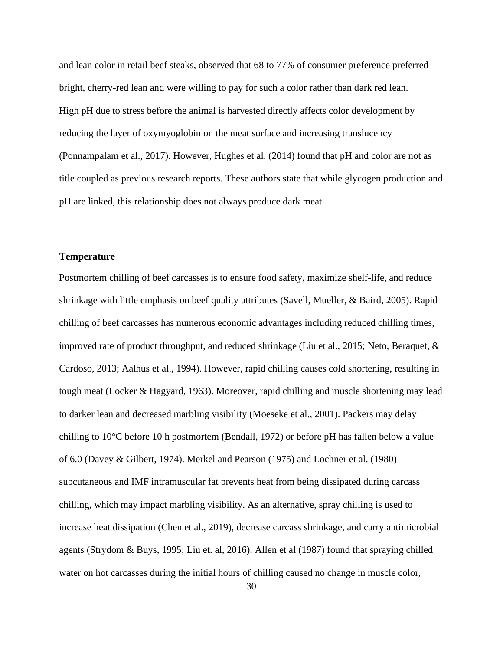and lean color in retail beef steaks, observed that 68 to 77% of consumer preference preferred bright, cherry-red lean and were willing to pay for such a color rather than dark red lean. High pH due to stress before the animal is harvested directly affects color development by reducing the layer of oxymyoglobin on the meat surface and increasing translucency (Ponnampalam et al., 2017). However, Hughes et al. (2014) found that pH and color are not as title coupled as previous research reports. These authors state that while glycogen production and pH are linked, this relationship does not always produce dark meat.

## **Temperature**

Postmortem chilling of beef carcasses is to ensure food safety, maximize shelf-life, and reduce shrinkage with little emphasis on beef quality attributes (Savell, Mueller, & Baird, 2005). Rapid chilling of beef carcasses has numerous economic advantages including reduced chilling times, improved rate of product throughput, and reduced shrinkage (Liu et al., 2015; Neto, Beraquet, & Cardoso, 2013; Aalhus et al., 1994). However, rapid chilling causes cold shortening, resulting in tough meat (Locker & Hagyard, 1963). Moreover, rapid chilling and muscle shortening may lead to darker lean and decreased marbling visibility (Moeseke et al., 2001). Packers may delay chilling to 10°C before 10 h postmortem (Bendall, 1972) or before pH has fallen below a value of 6.0 (Davey & Gilbert, 1974). Merkel and Pearson (1975) and Lochner et al. (1980) subcutaneous and IMF intramuscular fat prevents heat from being dissipated during carcass chilling, which may impact marbling visibility. As an alternative, spray chilling is used to increase heat dissipation (Chen et al., 2019), decrease carcass shrinkage, and carry antimicrobial agents (Strydom & Buys, 1995; Liu et. al, 2016). Allen et al (1987) found that spraying chilled water on hot carcasses during the initial hours of chilling caused no change in muscle color,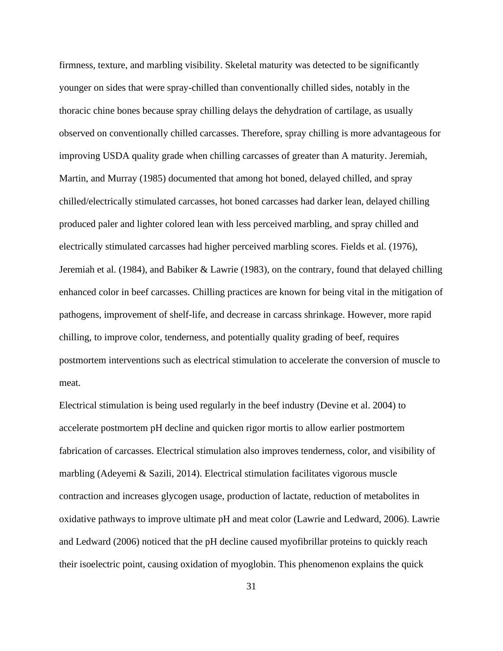firmness, texture, and marbling visibility. Skeletal maturity was detected to be significantly younger on sides that were spray-chilled than conventionally chilled sides, notably in the thoracic chine bones because spray chilling delays the dehydration of cartilage, as usually observed on conventionally chilled carcasses. Therefore, spray chilling is more advantageous for improving USDA quality grade when chilling carcasses of greater than A maturity. Jeremiah, Martin, and Murray (1985) documented that among hot boned, delayed chilled, and spray chilled/electrically stimulated carcasses, hot boned carcasses had darker lean, delayed chilling produced paler and lighter colored lean with less perceived marbling, and spray chilled and electrically stimulated carcasses had higher perceived marbling scores. Fields et al. (1976), Jeremiah et al. (1984), and Babiker & Lawrie (1983), on the contrary, found that delayed chilling enhanced color in beef carcasses. Chilling practices are known for being vital in the mitigation of pathogens, improvement of shelf-life, and decrease in carcass shrinkage. However, more rapid chilling, to improve color, tenderness, and potentially quality grading of beef, requires postmortem interventions such as electrical stimulation to accelerate the conversion of muscle to meat.

Electrical stimulation is being used regularly in the beef industry (Devine et al. 2004) to accelerate postmortem pH decline and quicken rigor mortis to allow earlier postmortem fabrication of carcasses. Electrical stimulation also improves tenderness, color, and visibility of marbling (Adeyemi & Sazili, 2014). Electrical stimulation facilitates vigorous muscle contraction and increases glycogen usage, production of lactate, reduction of metabolites in oxidative pathways to improve ultimate pH and meat color (Lawrie and Ledward, 2006). Lawrie and Ledward (2006) noticed that the pH decline caused myofibrillar proteins to quickly reach their isoelectric point, causing oxidation of myoglobin. This phenomenon explains the quick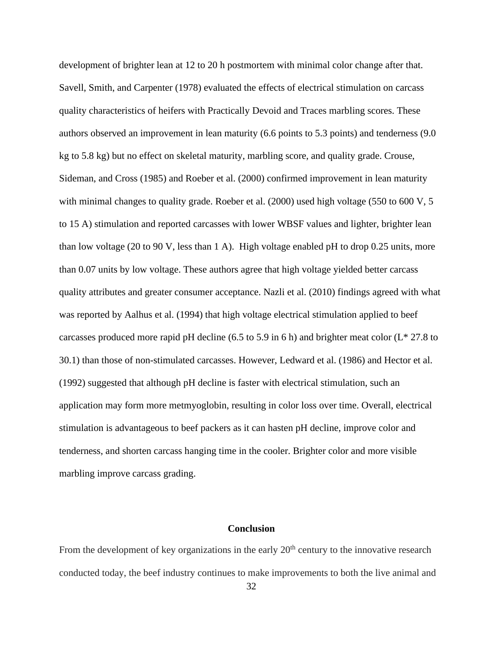development of brighter lean at 12 to 20 h postmortem with minimal color change after that. Savell, Smith, and Carpenter (1978) evaluated the effects of electrical stimulation on carcass quality characteristics of heifers with Practically Devoid and Traces marbling scores. These authors observed an improvement in lean maturity (6.6 points to 5.3 points) and tenderness (9.0 kg to 5.8 kg) but no effect on skeletal maturity, marbling score, and quality grade. Crouse, Sideman, and Cross (1985) and Roeber et al. (2000) confirmed improvement in lean maturity with minimal changes to quality grade. Roeber et al. (2000) used high voltage (550 to 600 V, 5 to 15 A) stimulation and reported carcasses with lower WBSF values and lighter, brighter lean than low voltage (20 to 90 V, less than 1 A). High voltage enabled pH to drop 0.25 units, more than 0.07 units by low voltage. These authors agree that high voltage yielded better carcass quality attributes and greater consumer acceptance. Nazli et al. (2010) findings agreed with what was reported by Aalhus et al. (1994) that high voltage electrical stimulation applied to beef carcasses produced more rapid pH decline (6.5 to 5.9 in 6 h) and brighter meat color ( $L^*$  27.8 to 30.1) than those of non-stimulated carcasses. However, Ledward et al. (1986) and Hector et al. (1992) suggested that although pH decline is faster with electrical stimulation, such an application may form more metmyoglobin, resulting in color loss over time. Overall, electrical stimulation is advantageous to beef packers as it can hasten pH decline, improve color and tenderness, and shorten carcass hanging time in the cooler. Brighter color and more visible marbling improve carcass grading.

# **Conclusion**

From the development of key organizations in the early  $20<sup>th</sup>$  century to the innovative research conducted today, the beef industry continues to make improvements to both the live animal and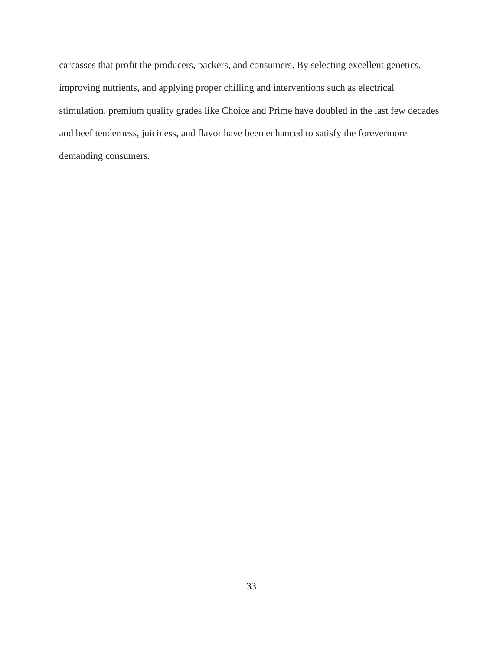carcasses that profit the producers, packers, and consumers. By selecting excellent genetics, improving nutrients, and applying proper chilling and interventions such as electrical stimulation, premium quality grades like Choice and Prime have doubled in the last few decades and beef tenderness, juiciness, and flavor have been enhanced to satisfy the forevermore demanding consumers.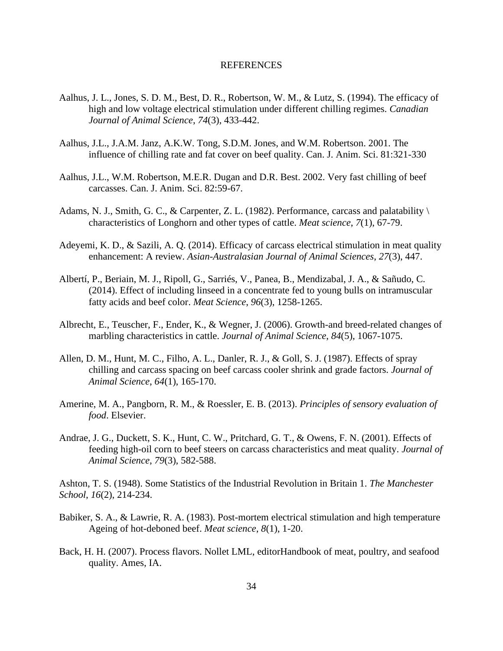## REFERENCES

- Aalhus, J. L., Jones, S. D. M., Best, D. R., Robertson, W. M., & Lutz, S. (1994). The efficacy of high and low voltage electrical stimulation under different chilling regimes. *Canadian Journal of Animal Science*, *74*(3), 433-442.
- Aalhus, J.L., J.A.M. Janz, A.K.W. Tong, S.D.M. Jones, and W.M. Robertson. 2001. The influence of chilling rate and fat cover on beef quality. Can. J. Anim. Sci. 81:321-330
- Aalhus, J.L., W.M. Robertson, M.E.R. Dugan and D.R. Best. 2002. Very fast chilling of beef carcasses. Can. J. Anim. Sci. 82:59-67.
- Adams, N. J., Smith, G. C., & Carpenter, Z. L. (1982). Performance, carcass and palatability \ characteristics of Longhorn and other types of cattle. *Meat science*, *7*(1), 67-79.
- Adeyemi, K. D., & Sazili, A. Q. (2014). Efficacy of carcass electrical stimulation in meat quality enhancement: A review. *Asian-Australasian Journal of Animal Sciences*, *27*(3), 447.
- Albertí, P., Beriain, M. J., Ripoll, G., Sarriés, V., Panea, B., Mendizabal, J. A., & Sañudo, C. (2014). Effect of including linseed in a concentrate fed to young bulls on intramuscular fatty acids and beef color. *Meat Science*, *96*(3), 1258-1265.
- Albrecht, E., Teuscher, F., Ender, K., & Wegner, J. (2006). Growth-and breed-related changes of marbling characteristics in cattle. *Journal of Animal Science*, *84*(5), 1067-1075.
- Allen, D. M., Hunt, M. C., Filho, A. L., Danler, R. J., & Goll, S. J. (1987). Effects of spray chilling and carcass spacing on beef carcass cooler shrink and grade factors. *Journal of Animal Science*, *64*(1), 165-170.
- Amerine, M. A., Pangborn, R. M., & Roessler, E. B. (2013). *Principles of sensory evaluation of food*. Elsevier.
- Andrae, J. G., Duckett, S. K., Hunt, C. W., Pritchard, G. T., & Owens, F. N. (2001). Effects of feeding high-oil corn to beef steers on carcass characteristics and meat quality. *Journal of Animal Science*, *79*(3), 582-588.

Ashton, T. S. (1948). Some Statistics of the Industrial Revolution in Britain 1. *The Manchester School*, *16*(2), 214-234.

- Babiker, S. A., & Lawrie, R. A. (1983). Post-mortem electrical stimulation and high temperature Ageing of hot-deboned beef. *Meat science*, *8*(1), 1-20.
- Back, H. H. (2007). Process flavors. Nollet LML, editorHandbook of meat, poultry, and seafood quality. Ames, IA.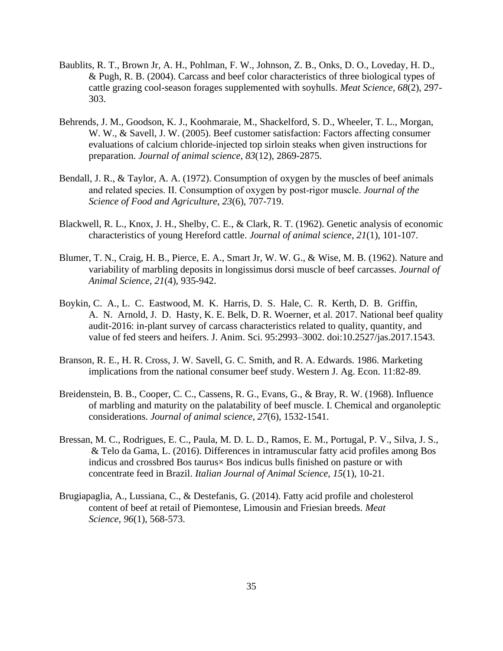- Baublits, R. T., Brown Jr, A. H., Pohlman, F. W., Johnson, Z. B., Onks, D. O., Loveday, H. D., & Pugh, R. B. (2004). Carcass and beef color characteristics of three biological types of cattle grazing cool-season forages supplemented with soyhulls. *Meat Science*, *68*(2), 297- 303.
- Behrends, J. M., Goodson, K. J., Koohmaraie, M., Shackelford, S. D., Wheeler, T. L., Morgan, W. W., & Savell, J. W. (2005). Beef customer satisfaction: Factors affecting consumer evaluations of calcium chloride-injected top sirloin steaks when given instructions for preparation. *Journal of animal science*, *83*(12), 2869-2875.
- Bendall, J. R., & Taylor, A. A. (1972). Consumption of oxygen by the muscles of beef animals and related species. II. Consumption of oxygen by post‐rigor muscle. *Journal of the Science of Food and Agriculture*, *23*(6), 707-719.
- Blackwell, R. L., Knox, J. H., Shelby, C. E., & Clark, R. T. (1962). Genetic analysis of economic characteristics of young Hereford cattle. *Journal of animal science*, *21*(1), 101-107.
- Blumer, T. N., Craig, H. B., Pierce, E. A., Smart Jr, W. W. G., & Wise, M. B. (1962). Nature and variability of marbling deposits in longissimus dorsi muscle of beef carcasses. *Journal of Animal Science*, *21*(4), 935-942.
- Boykin, C. A., L. C. Eastwood, M. K. Harris, D. S. Hale, C. R. Kerth, D. B. Griffin, A. N. Arnold, J. D. Hasty, K. E. Belk, D. R. Woerner, et al. 2017. National beef quality audit-2016: in-plant survey of carcass characteristics related to quality, quantity, and value of fed steers and heifers. J. Anim. Sci. 95:2993–3002. doi:10.2527/jas.2017.1543.
- Branson, R. E., H. R. Cross, J. W. Savell, G. C. Smith, and R. A. Edwards. 1986. Marketing implications from the national consumer beef study. Western J. Ag. Econ. 11:82-89.
- Breidenstein, B. B., Cooper, C. C., Cassens, R. G., Evans, G., & Bray, R. W. (1968). Influence of marbling and maturity on the palatability of beef muscle. I. Chemical and organoleptic considerations. *Journal of animal science*, *27*(6), 1532-1541.
- Bressan, M. C., Rodrigues, E. C., Paula, M. D. L. D., Ramos, E. M., Portugal, P. V., Silva, J. S., & Telo da Gama, L. (2016). Differences in intramuscular fatty acid profiles among Bos indicus and crossbred Bos taurus× Bos indicus bulls finished on pasture or with concentrate feed in Brazil. *Italian Journal of Animal Science*, *15*(1), 10-21.
- Brugiapaglia, A., Lussiana, C., & Destefanis, G. (2014). Fatty acid profile and cholesterol content of beef at retail of Piemontese, Limousin and Friesian breeds. *Meat Science*, *96*(1), 568-573.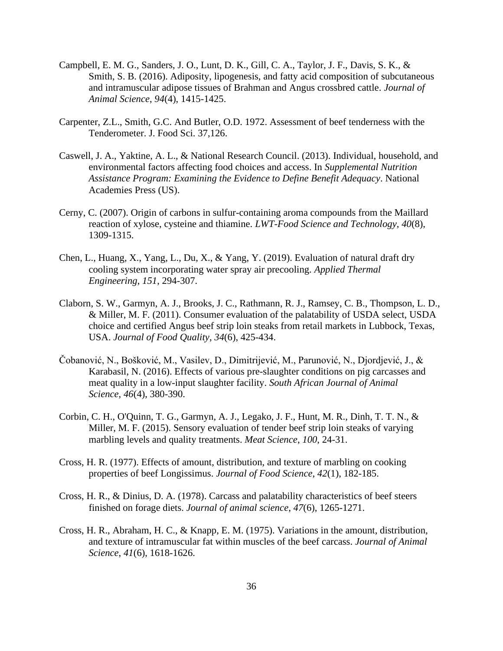- Campbell, E. M. G., Sanders, J. O., Lunt, D. K., Gill, C. A., Taylor, J. F., Davis, S. K., & Smith, S. B. (2016). Adiposity, lipogenesis, and fatty acid composition of subcutaneous and intramuscular adipose tissues of Brahman and Angus crossbred cattle. *Journal of Animal Science*, *94*(4), 1415-1425.
- Carpenter, Z.L., Smith, G.C. And Butler, O.D. 1972. Assessment of beef tenderness with the Tenderometer. J. Food Sci. 37,126.
- Caswell, J. A., Yaktine, A. L., & National Research Council. (2013). Individual, household, and environmental factors affecting food choices and access. In *Supplemental Nutrition Assistance Program: Examining the Evidence to Define Benefit Adequacy*. National Academies Press (US).
- Cerny, C. (2007). Origin of carbons in sulfur-containing aroma compounds from the Maillard reaction of xylose, cysteine and thiamine. *LWT-Food Science and Technology*, *40*(8), 1309-1315.
- Chen, L., Huang, X., Yang, L., Du, X., & Yang, Y. (2019). Evaluation of natural draft dry cooling system incorporating water spray air precooling. *Applied Thermal Engineering*, *151*, 294-307.
- Claborn, S. W., Garmyn, A. J., Brooks, J. C., Rathmann, R. J., Ramsey, C. B., Thompson, L. D., & Miller, M. F. (2011). Consumer evaluation of the palatability of USDA select, USDA choice and certified Angus beef strip loin steaks from retail markets in Lubbock, Texas, USA. *Journal of Food Quality*, *34*(6), 425-434.
- Čobanović, N., Bošković, M., Vasilev, D., Dimitrijević, M., Parunović, N., Djordjević, J., & Karabasil, N. (2016). Effects of various pre-slaughter conditions on pig carcasses and meat quality in a low-input slaughter facility. *South African Journal of Animal Science*, *46*(4), 380-390.
- Corbin, C. H., O'Quinn, T. G., Garmyn, A. J., Legako, J. F., Hunt, M. R., Dinh, T. T. N., & Miller, M. F. (2015). Sensory evaluation of tender beef strip loin steaks of varying marbling levels and quality treatments. *Meat Science*, *100*, 24-31.
- Cross, H. R. (1977). Effects of amount, distribution, and texture of marbling on cooking properties of beef Longissimus. *Journal of Food Science*, *42*(1), 182-185.
- Cross, H. R., & Dinius, D. A. (1978). Carcass and palatability characteristics of beef steers finished on forage diets. *Journal of animal science*, *47*(6), 1265-1271.
- Cross, H. R., Abraham, H. C., & Knapp, E. M. (1975). Variations in the amount, distribution, and texture of intramuscular fat within muscles of the beef carcass. *Journal of Animal Science*, *41*(6), 1618-1626.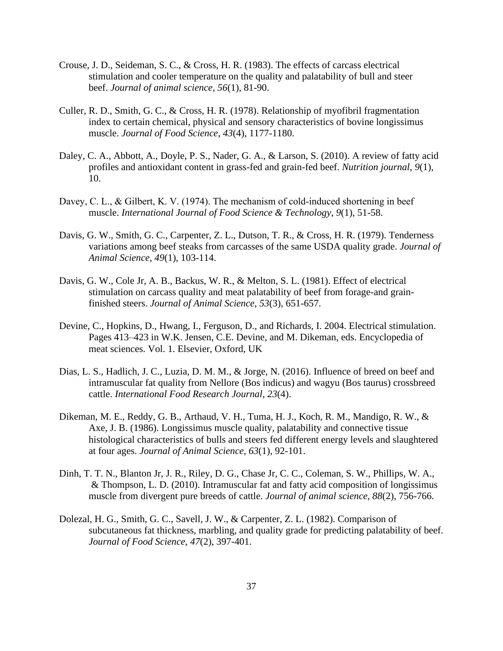- Crouse, J. D., Seideman, S. C., & Cross, H. R. (1983). The effects of carcass electrical stimulation and cooler temperature on the quality and palatability of bull and steer beef. *Journal of animal science*, *56*(1), 81-90.
- Culler, R. D., Smith, G. C., & Cross, H. R. (1978). Relationship of myofibril fragmentation index to certain chemical, physical and sensory characteristics of bovine longissimus muscle. *Journal of Food Science*, *43*(4), 1177-1180.
- Daley, C. A., Abbott, A., Doyle, P. S., Nader, G. A., & Larson, S. (2010). A review of fatty acid profiles and antioxidant content in grass-fed and grain-fed beef. *Nutrition journal*, *9*(1), 10.
- Davey, C. L., & Gilbert, K. V. (1974). The mechanism of cold-induced shortening in beef muscle. *International Journal of Food Science & Technology*, *9*(1), 51-58.
- Davis, G. W., Smith, G. C., Carpenter, Z. L., Dutson, T. R., & Cross, H. R. (1979). Tenderness variations among beef steaks from carcasses of the same USDA quality grade. *Journal of Animal Science*, *49*(1), 103-114.
- Davis, G. W., Cole Jr, A. B., Backus, W. R., & Melton, S. L. (1981). Effect of electrical stimulation on carcass quality and meat palatability of beef from forage-and grainfinished steers. *Journal of Animal Science*, *53*(3), 651-657.
- Devine, C., Hopkins, D., Hwang, I., Ferguson, D., and Richards, I. 2004. Electrical stimulation. Pages 413–423 in W.K. Jensen, C.E. Devine, and M. Dikeman, eds. Encyclopedia of meat sciences. Vol. 1. Elsevier, Oxford, UK
- Dias, L. S., Hadlich, J. C., Luzia, D. M. M., & Jorge, N. (2016). Influence of breed on beef and intramuscular fat quality from Nellore (Bos indicus) and wagyu (Bos taurus) crossbreed cattle. *International Food Research Journal*, *23*(4).
- Dikeman, M. E., Reddy, G. B., Arthaud, V. H., Tuma, H. J., Koch, R. M., Mandigo, R. W., & Axe, J. B. (1986). Longissimus muscle quality, palatability and connective tissue histological characteristics of bulls and steers fed different energy levels and slaughtered at four ages. *Journal of Animal Science*, *63*(1), 92-101.
- Dinh, T. T. N., Blanton Jr, J. R., Riley, D. G., Chase Jr, C. C., Coleman, S. W., Phillips, W. A., & Thompson, L. D. (2010). Intramuscular fat and fatty acid composition of longissimus muscle from divergent pure breeds of cattle. *Journal of animal science*, *88*(2), 756-766.
- Dolezal, H. G., Smith, G. C., Savell, J. W., & Carpenter, Z. L. (1982). Comparison of subcutaneous fat thickness, marbling, and quality grade for predicting palatability of beef. *Journal of Food Science*, *47*(2), 397-401.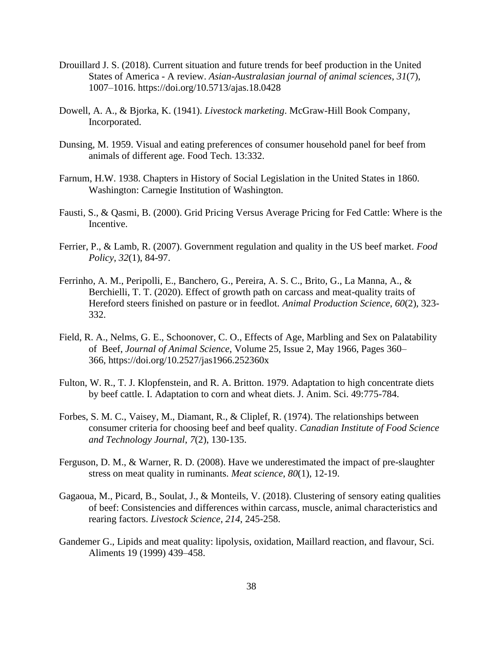- Drouillard J. S. (2018). Current situation and future trends for beef production in the United States of America - A review. *Asian-Australasian journal of animal sciences*, *31*(7), 1007–1016. https://doi.org/10.5713/ajas.18.0428
- Dowell, A. A., & Bjorka, K. (1941). *Livestock marketing*. McGraw-Hill Book Company, Incorporated.
- Dunsing, M. 1959. Visual and eating preferences of consumer household panel for beef from animals of different age. Food Tech. 13:332.
- Farnum, H.W. 1938. Chapters in History of Social Legislation in the United States in 1860. Washington: Carnegie Institution of Washington.
- Fausti, S., & Qasmi, B. (2000). Grid Pricing Versus Average Pricing for Fed Cattle: Where is the Incentive.
- Ferrier, P., & Lamb, R. (2007). Government regulation and quality in the US beef market. *Food Policy*, *32*(1), 84-97.
- Ferrinho, A. M., Peripolli, E., Banchero, G., Pereira, A. S. C., Brito, G., La Manna, A., & Berchielli, T. T. (2020). Effect of growth path on carcass and meat-quality traits of Hereford steers finished on pasture or in feedlot. *Animal Production Science*, *60*(2), 323- 332.
- Field, R. A., Nelms, G. E., Schoonover, C. O., Effects of Age, Marbling and Sex on Palatability of Beef, *Journal of Animal Science*, Volume 25, Issue 2, May 1966, Pages 360– 366, https://doi.org/10.2527/jas1966.252360x
- Fulton, W. R., T. J. Klopfenstein, and R. A. Britton. 1979. Adaptation to high concentrate diets by beef cattle. I. Adaptation to corn and wheat diets. J. Anim. Sci. 49:775-784.
- Forbes, S. M. C., Vaisey, M., Diamant, R., & Cliplef, R. (1974). The relationships between consumer criteria for choosing beef and beef quality. *Canadian Institute of Food Science and Technology Journal*, *7*(2), 130-135.
- Ferguson, D. M., & Warner, R. D. (2008). Have we underestimated the impact of pre-slaughter stress on meat quality in ruminants. *Meat science*, *80*(1), 12-19.
- Gagaoua, M., Picard, B., Soulat, J., & Monteils, V. (2018). Clustering of sensory eating qualities of beef: Consistencies and differences within carcass, muscle, animal characteristics and rearing factors. *Livestock Science*, *214*, 245-258.
- Gandemer G., Lipids and meat quality: lipolysis, oxidation, Maillard reaction, and flavour, Sci. Aliments 19 (1999) 439–458.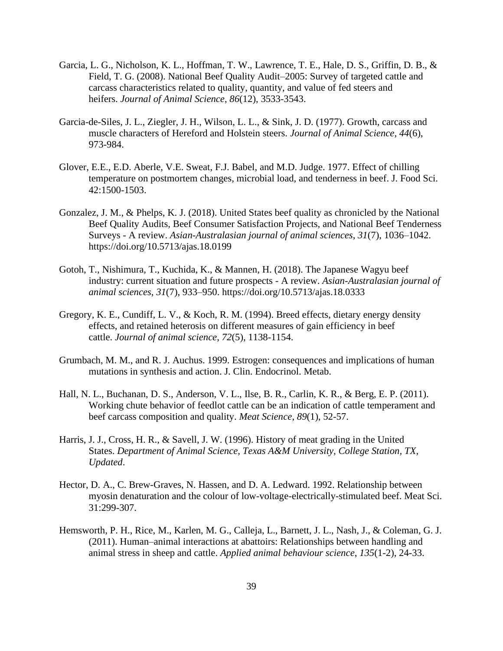- Garcia, L. G., Nicholson, K. L., Hoffman, T. W., Lawrence, T. E., Hale, D. S., Griffin, D. B., & Field, T. G. (2008). National Beef Quality Audit–2005: Survey of targeted cattle and carcass characteristics related to quality, quantity, and value of fed steers and heifers. *Journal of Animal Science*, *86*(12), 3533-3543.
- Garcia-de-Siles, J. L., Ziegler, J. H., Wilson, L. L., & Sink, J. D. (1977). Growth, carcass and muscle characters of Hereford and Holstein steers. *Journal of Animal Science*, *44*(6), 973-984.
- Glover, E.E., E.D. Aberle, V.E. Sweat, F.J. Babel, and M.D. Judge. 1977. Effect of chilling temperature on postmortem changes, microbial load, and tenderness in beef. J. Food Sci. 42:1500-1503.
- Gonzalez, J. M., & Phelps, K. J. (2018). United States beef quality as chronicled by the National Beef Quality Audits, Beef Consumer Satisfaction Projects, and National Beef Tenderness Surveys - A review. *Asian-Australasian journal of animal sciences*, *31*(7), 1036–1042. https://doi.org/10.5713/ajas.18.0199
- Gotoh, T., Nishimura, T., Kuchida, K., & Mannen, H. (2018). The Japanese Wagyu beef industry: current situation and future prospects - A review. *Asian-Australasian journal of animal sciences*, *31*(7), 933–950. https://doi.org/10.5713/ajas.18.0333
- Gregory, K. E., Cundiff, L. V., & Koch, R. M. (1994). Breed effects, dietary energy density effects, and retained heterosis on different measures of gain efficiency in beef cattle. *Journal of animal science*, *72*(5), 1138-1154.
- Grumbach, M. M., and R. J. Auchus. 1999. Estrogen: consequences and implications of human mutations in synthesis and action. J. Clin. Endocrinol. Metab.
- Hall, N. L., Buchanan, D. S., Anderson, V. L., Ilse, B. R., Carlin, K. R., & Berg, E. P. (2011). Working chute behavior of feedlot cattle can be an indication of cattle temperament and beef carcass composition and quality. *Meat Science*, *89*(1), 52-57.
- Harris, J. J., Cross, H. R., & Savell, J. W. (1996). History of meat grading in the United States. *Department of Animal Science, Texas A&M University, College Station, TX, Updated*.
- Hector, D. A., C. Brew-Graves, N. Hassen, and D. A. Ledward. 1992. Relationship between myosin denaturation and the colour of low-voltage-electrically-stimulated beef. Meat Sci. 31:299-307.
- Hemsworth, P. H., Rice, M., Karlen, M. G., Calleja, L., Barnett, J. L., Nash, J., & Coleman, G. J. (2011). Human–animal interactions at abattoirs: Relationships between handling and animal stress in sheep and cattle. *Applied animal behaviour science*, *135*(1-2), 24-33.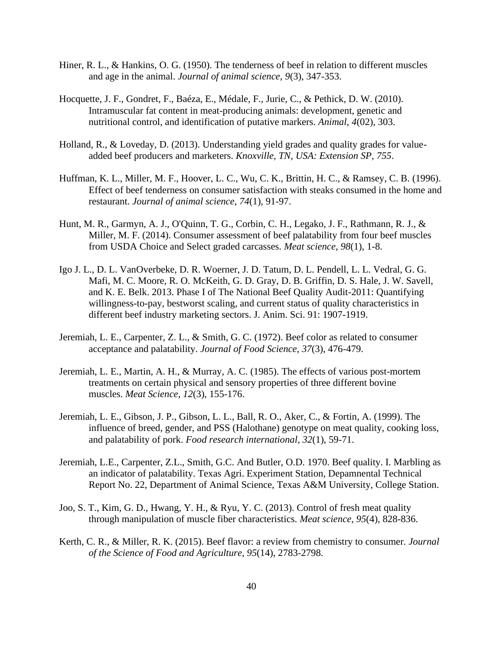- Hiner, R. L., & Hankins, O. G. (1950). The tenderness of beef in relation to different muscles and age in the animal. *Journal of animal science*, *9*(3), 347-353.
- Hocquette, J. F., Gondret, F., Baéza, E., Médale, F., Jurie, C., & Pethick, D. W. (2010). Intramuscular fat content in meat-producing animals: development, genetic and nutritional control, and identification of putative markers. *Animal*, *4*(02), 303.
- Holland, R., & Loveday, D. (2013). Understanding yield grades and quality grades for valueadded beef producers and marketers. *Knoxville, TN, USA: Extension SP*, *755*.
- Huffman, K. L., Miller, M. F., Hoover, L. C., Wu, C. K., Brittin, H. C., & Ramsey, C. B. (1996). Effect of beef tenderness on consumer satisfaction with steaks consumed in the home and restaurant. *Journal of animal science*, *74*(1), 91-97.
- Hunt, M. R., Garmyn, A. J., O'Quinn, T. G., Corbin, C. H., Legako, J. F., Rathmann, R. J., & Miller, M. F. (2014). Consumer assessment of beef palatability from four beef muscles from USDA Choice and Select graded carcasses. *Meat science*, *98*(1), 1-8.
- Igo J. L., D. L. VanOverbeke, D. R. Woerner, J. D. Tatum, D. L. Pendell, L. L. Vedral, G. G. Mafi, M. C. Moore, R. O. McKeith, G. D. Gray, D. B. Griffin, D. S. Hale, J. W. Savell, and K. E. Belk. 2013. Phase I of The National Beef Quality Audit-2011: Quantifying willingness-to-pay, bestworst scaling, and current status of quality characteristics in different beef industry marketing sectors. J. Anim. Sci. 91: 1907-1919.
- Jeremiah, L. E., Carpenter, Z. L., & Smith, G. C. (1972). Beef color as related to consumer acceptance and palatability. *Journal of Food Science*, *37*(3), 476-479.
- Jeremiah, L. E., Martin, A. H., & Murray, A. C. (1985). The effects of various post-mortem treatments on certain physical and sensory properties of three different bovine muscles. *Meat Science*, *12*(3), 155-176.
- Jeremiah, L. E., Gibson, J. P., Gibson, L. L., Ball, R. O., Aker, C., & Fortin, A. (1999). The influence of breed, gender, and PSS (Halothane) genotype on meat quality, cooking loss, and palatability of pork. *Food research international*, *32*(1), 59-71.
- Jeremiah, L.E., Carpenter, Z.L., Smith, G.C. And Butler, O.D. 1970. Beef quality. I. Marbling as an indicator of palatability. Texas Agri. Experiment Station, Depamnental Technical Report No. 22, Department of Animal Science, Texas A&M University, College Station.
- Joo, S. T., Kim, G. D., Hwang, Y. H., & Ryu, Y. C. (2013). Control of fresh meat quality through manipulation of muscle fiber characteristics. *Meat science*, *95*(4), 828-836.
- Kerth, C. R., & Miller, R. K. (2015). Beef flavor: a review from chemistry to consumer. *Journal of the Science of Food and Agriculture*, *95*(14), 2783-2798.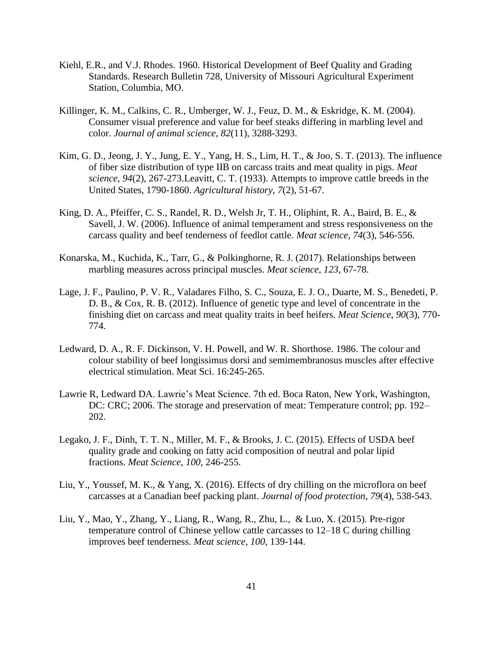- Kiehl, E.R., and V.J. Rhodes. 1960. Historical Development of Beef Quality and Grading Standards. Research Bulletin 728, University of Missouri Agricultural Experiment Station, Columbia, MO.
- Killinger, K. M., Calkins, C. R., Umberger, W. J., Feuz, D. M., & Eskridge, K. M. (2004). Consumer visual preference and value for beef steaks differing in marbling level and color. *Journal of animal science*, *82*(11), 3288-3293.
- Kim, G. D., Jeong, J. Y., Jung, E. Y., Yang, H. S., Lim, H. T., & Joo, S. T. (2013). The influence of fiber size distribution of type IIB on carcass traits and meat quality in pigs. *Meat science*, *94*(2), 267-273.Leavitt, C. T. (1933). Attempts to improve cattle breeds in the United States, 1790-1860. *Agricultural history*, *7*(2), 51-67.
- King, D. A., Pfeiffer, C. S., Randel, R. D., Welsh Jr, T. H., Oliphint, R. A., Baird, B. E., & Savell, J. W. (2006). Influence of animal temperament and stress responsiveness on the carcass quality and beef tenderness of feedlot cattle. *Meat science*, *74*(3), 546-556.
- Konarska, M., Kuchida, K., Tarr, G., & Polkinghorne, R. J. (2017). Relationships between marbling measures across principal muscles. *Meat science*, *123*, 67-78.
- Lage, J. F., Paulino, P. V. R., Valadares Filho, S. C., Souza, E. J. O., Duarte, M. S., Benedeti, P. D. B., & Cox, R. B. (2012). Influence of genetic type and level of concentrate in the finishing diet on carcass and meat quality traits in beef heifers. *Meat Science*, *90*(3), 770- 774.
- Ledward, D. A., R. F. Dickinson, V. H. Powell, and W. R. Shorthose. 1986. The colour and colour stability of beef longissimus dorsi and semimembranosus muscles after effective electrical stimulation. Meat Sci. 16:245-265.
- Lawrie R, Ledward DA. Lawrie's Meat Science. 7th ed. Boca Raton, New York, Washington, DC: CRC; 2006. The storage and preservation of meat: Temperature control; pp. 192– 202.
- Legako, J. F., Dinh, T. T. N., Miller, M. F., & Brooks, J. C. (2015). Effects of USDA beef quality grade and cooking on fatty acid composition of neutral and polar lipid fractions. *Meat Science*, *100*, 246-255.
- Liu, Y., Youssef, M. K., & Yang, X. (2016). Effects of dry chilling on the microflora on beef carcasses at a Canadian beef packing plant. *Journal of food protection*, *79*(4), 538-543.
- Liu, Y., Mao, Y., Zhang, Y., Liang, R., Wang, R., Zhu, L., & Luo, X. (2015). Pre-rigor temperature control of Chinese yellow cattle carcasses to 12–18 C during chilling improves beef tenderness. *Meat science*, *100*, 139-144.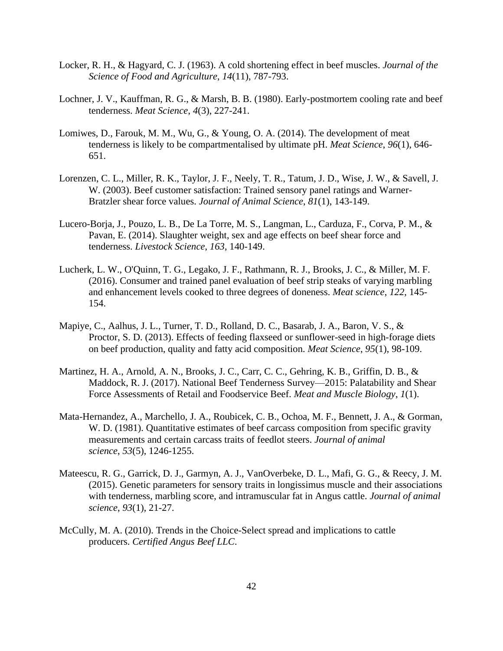- Locker, R. H., & Hagyard, C. J. (1963). A cold shortening effect in beef muscles. *Journal of the Science of Food and Agriculture*, *14*(11), 787-793.
- Lochner, J. V., Kauffman, R. G., & Marsh, B. B. (1980). Early-postmortem cooling rate and beef tenderness. *Meat Science*, *4*(3), 227-241.
- Lomiwes, D., Farouk, M. M., Wu, G., & Young, O. A. (2014). The development of meat tenderness is likely to be compartmentalised by ultimate pH. *Meat Science*, *96*(1), 646- 651.
- Lorenzen, C. L., Miller, R. K., Taylor, J. F., Neely, T. R., Tatum, J. D., Wise, J. W., & Savell, J. W. (2003). Beef customer satisfaction: Trained sensory panel ratings and Warner-Bratzler shear force values. *Journal of Animal Science*, *81*(1), 143-149.
- Lucero-Borja, J., Pouzo, L. B., De La Torre, M. S., Langman, L., Carduza, F., Corva, P. M., & Pavan, E. (2014). Slaughter weight, sex and age effects on beef shear force and tenderness. *Livestock Science*, *163*, 140-149.
- Lucherk, L. W., O'Quinn, T. G., Legako, J. F., Rathmann, R. J., Brooks, J. C., & Miller, M. F. (2016). Consumer and trained panel evaluation of beef strip steaks of varying marbling and enhancement levels cooked to three degrees of doneness. *Meat science*, *122*, 145- 154.
- Mapiye, C., Aalhus, J. L., Turner, T. D., Rolland, D. C., Basarab, J. A., Baron, V. S., & Proctor, S. D. (2013). Effects of feeding flaxseed or sunflower-seed in high-forage diets on beef production, quality and fatty acid composition. *Meat Science*, *95*(1), 98-109.
- Martinez, H. A., Arnold, A. N., Brooks, J. C., Carr, C. C., Gehring, K. B., Griffin, D. B., & Maddock, R. J. (2017). National Beef Tenderness Survey—2015: Palatability and Shear Force Assessments of Retail and Foodservice Beef. *Meat and Muscle Biology*, *1*(1).
- Mata-Hernandez, A., Marchello, J. A., Roubicek, C. B., Ochoa, M. F., Bennett, J. A., & Gorman, W. D. (1981). Quantitative estimates of beef carcass composition from specific gravity measurements and certain carcass traits of feedlot steers. *Journal of animal science*, *53*(5), 1246-1255.
- Mateescu, R. G., Garrick, D. J., Garmyn, A. J., VanOverbeke, D. L., Mafi, G. G., & Reecy, J. M. (2015). Genetic parameters for sensory traits in longissimus muscle and their associations with tenderness, marbling score, and intramuscular fat in Angus cattle. *Journal of animal science*, *93*(1), 21-27.
- McCully, M. A. (2010). Trends in the Choice-Select spread and implications to cattle producers. *Certified Angus Beef LLC*.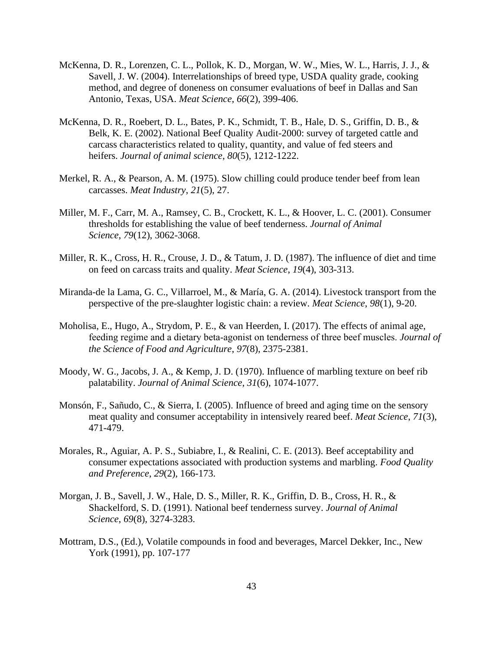- McKenna, D. R., Lorenzen, C. L., Pollok, K. D., Morgan, W. W., Mies, W. L., Harris, J. J., & Savell, J. W. (2004). Interrelationships of breed type, USDA quality grade, cooking method, and degree of doneness on consumer evaluations of beef in Dallas and San Antonio, Texas, USA. *Meat Science*, *66*(2), 399-406.
- McKenna, D. R., Roebert, D. L., Bates, P. K., Schmidt, T. B., Hale, D. S., Griffin, D. B., & Belk, K. E. (2002). National Beef Quality Audit-2000: survey of targeted cattle and carcass characteristics related to quality, quantity, and value of fed steers and heifers. *Journal of animal science*, *80*(5), 1212-1222.
- Merkel, R. A., & Pearson, A. M. (1975). Slow chilling could produce tender beef from lean carcasses. *Meat Industry*, *21*(5), 27.
- Miller, M. F., Carr, M. A., Ramsey, C. B., Crockett, K. L., & Hoover, L. C. (2001). Consumer thresholds for establishing the value of beef tenderness. *Journal of Animal Science*, *79*(12), 3062-3068.
- Miller, R. K., Cross, H. R., Crouse, J. D., & Tatum, J. D. (1987). The influence of diet and time on feed on carcass traits and quality. *Meat Science*, *19*(4), 303-313.
- Miranda-de la Lama, G. C., Villarroel, M., & María, G. A. (2014). Livestock transport from the perspective of the pre-slaughter logistic chain: a review. *Meat Science*, *98*(1), 9-20.
- Moholisa, E., Hugo, A., Strydom, P. E., & van Heerden, I. (2017). The effects of animal age, feeding regime and a dietary beta‐agonist on tenderness of three beef muscles. *Journal of the Science of Food and Agriculture*, *97*(8), 2375-2381.
- Moody, W. G., Jacobs, J. A., & Kemp, J. D. (1970). Influence of marbling texture on beef rib palatability. *Journal of Animal Science*, *31*(6), 1074-1077.
- Monsón, F., Sañudo, C., & Sierra, I. (2005). Influence of breed and aging time on the sensory meat quality and consumer acceptability in intensively reared beef. *Meat Science*, *71*(3), 471-479.
- Morales, R., Aguiar, A. P. S., Subiabre, I., & Realini, C. E. (2013). Beef acceptability and consumer expectations associated with production systems and marbling. *Food Quality and Preference*, *29*(2), 166-173.
- Morgan, J. B., Savell, J. W., Hale, D. S., Miller, R. K., Griffin, D. B., Cross, H. R., & Shackelford, S. D. (1991). National beef tenderness survey. *Journal of Animal Science*, *69*(8), 3274-3283.
- Mottram, D.S., (Ed.), Volatile compounds in food and beverages, Marcel Dekker, Inc., New York (1991), pp. 107-177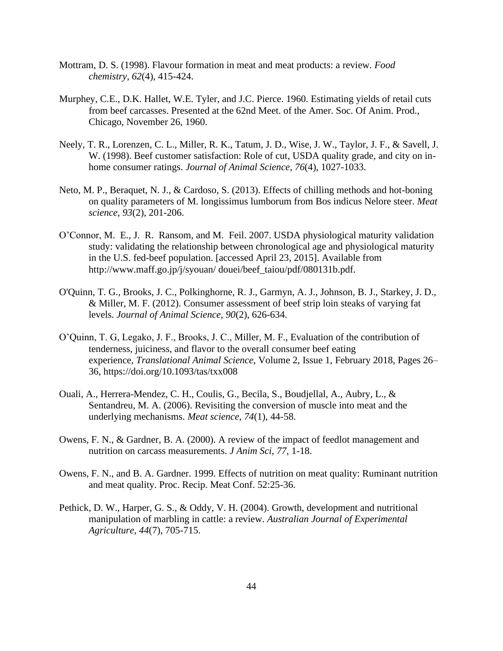- Mottram, D. S. (1998). Flavour formation in meat and meat products: a review. *Food chemistry*, *62*(4), 415-424.
- Murphey, C.E., D.K. Hallet, W.E. Tyler, and J.C. Pierce. 1960. Estimating yields of retail cuts from beef carcasses. Presented at the 62nd Meet. of the Amer. Soc. Of Anim. Prod., Chicago, November 26, 1960.
- Neely, T. R., Lorenzen, C. L., Miller, R. K., Tatum, J. D., Wise, J. W., Taylor, J. F., & Savell, J. W. (1998). Beef customer satisfaction: Role of cut, USDA quality grade, and city on inhome consumer ratings. *Journal of Animal Science*, *76*(4), 1027-1033.
- Neto, M. P., Beraquet, N. J., & Cardoso, S. (2013). Effects of chilling methods and hot-boning on quality parameters of M. longissimus lumborum from Bos indicus Nelore steer. *Meat science*, *93*(2), 201-206.
- O'Connor, M. E., J. R. Ransom, and M. Feil. 2007. USDA physiological maturity validation study: validating the relationship between chronological age and physiological maturity in the U.S. fed-beef population. [accessed April 23, 2015]. Available from http://www.maff.go.jp/j/syouan/ douei/beef\_taiou/pdf/080131b.pdf.
- O'Quinn, T. G., Brooks, J. C., Polkinghorne, R. J., Garmyn, A. J., Johnson, B. J., Starkey, J. D., & Miller, M. F. (2012). Consumer assessment of beef strip loin steaks of varying fat levels. *Journal of Animal Science*, *90*(2), 626-634.
- O'Quinn, T. G, Legako, J. F., Brooks, J. C., Miller, M. F., Evaluation of the contribution of tenderness, juiciness, and flavor to the overall consumer beef eating experience, *Translational Animal Science*, Volume 2, Issue 1, February 2018, Pages 26– 36, https://doi.org/10.1093/tas/txx008
- Ouali, A., Herrera-Mendez, C. H., Coulis, G., Becila, S., Boudjellal, A., Aubry, L., & Sentandreu, M. A. (2006). Revisiting the conversion of muscle into meat and the underlying mechanisms. *Meat science*, *74*(1), 44-58.
- Owens, F. N., & Gardner, B. A. (2000). A review of the impact of feedlot management and nutrition on carcass measurements. *J Anim Sci*, *77*, 1-18.
- Owens, F. N., and B. A. Gardner. 1999. Effects of nutrition on meat quality: Ruminant nutrition and meat quality. Proc. Recip. Meat Conf. 52:25-36.
- Pethick, D. W., Harper, G. S., & Oddy, V. H. (2004). Growth, development and nutritional manipulation of marbling in cattle: a review. *Australian Journal of Experimental Agriculture*, *44*(7), 705-715.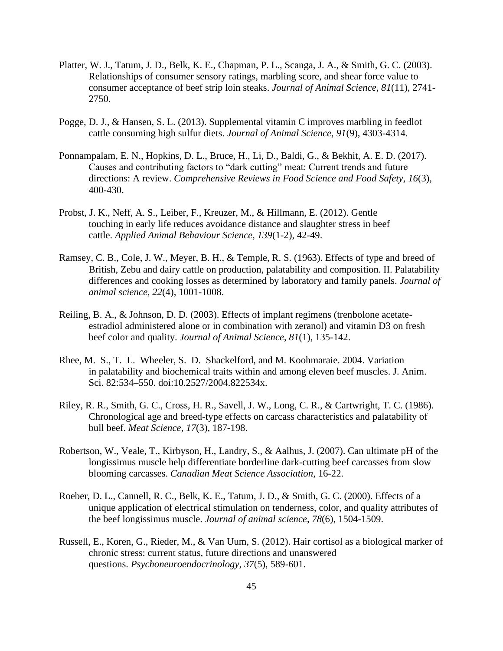- Platter, W. J., Tatum, J. D., Belk, K. E., Chapman, P. L., Scanga, J. A., & Smith, G. C. (2003). Relationships of consumer sensory ratings, marbling score, and shear force value to consumer acceptance of beef strip loin steaks. *Journal of Animal Science*, *81*(11), 2741- 2750.
- Pogge, D. J., & Hansen, S. L. (2013). Supplemental vitamin C improves marbling in feedlot cattle consuming high sulfur diets. *Journal of Animal Science*, *91*(9), 4303-4314.
- Ponnampalam, E. N., Hopkins, D. L., Bruce, H., Li, D., Baldi, G., & Bekhit, A. E. D. (2017). Causes and contributing factors to "dark cutting" meat: Current trends and future directions: A review. *Comprehensive Reviews in Food Science and Food Safety*, *16*(3), 400-430.
- Probst, J. K., Neff, A. S., Leiber, F., Kreuzer, M., & Hillmann, E. (2012). Gentle touching in early life reduces avoidance distance and slaughter stress in beef cattle. *Applied Animal Behaviour Science*, *139*(1-2), 42-49.
- Ramsey, C. B., Cole, J. W., Meyer, B. H., & Temple, R. S. (1963). Effects of type and breed of British, Zebu and dairy cattle on production, palatability and composition. II. Palatability differences and cooking losses as determined by laboratory and family panels. *Journal of animal science*, *22*(4), 1001-1008.
- Reiling, B. A., & Johnson, D. D. (2003). Effects of implant regimens (trenbolone acetateestradiol administered alone or in combination with zeranol) and vitamin D3 on fresh beef color and quality. *Journal of Animal Science*, *81*(1), 135-142.
- Rhee, M. S., T. L. Wheeler, S. D. Shackelford, and M. Koohmaraie. 2004. Variation in palatability and biochemical traits within and among eleven beef muscles. J. Anim. Sci. 82:534–550. doi:10.2527/2004.822534x.
- Riley, R. R., Smith, G. C., Cross, H. R., Savell, J. W., Long, C. R., & Cartwright, T. C. (1986). Chronological age and breed-type effects on carcass characteristics and palatability of bull beef. *Meat Science*, *17*(3), 187-198.
- Robertson, W., Veale, T., Kirbyson, H., Landry, S., & Aalhus, J. (2007). Can ultimate pH of the longissimus muscle help differentiate borderline dark-cutting beef carcasses from slow blooming carcasses. *Canadian Meat Science Association*, 16-22.
- Roeber, D. L., Cannell, R. C., Belk, K. E., Tatum, J. D., & Smith, G. C. (2000). Effects of a unique application of electrical stimulation on tenderness, color, and quality attributes of the beef longissimus muscle. *Journal of animal science*, *78*(6), 1504-1509.
- Russell, E., Koren, G., Rieder, M., & Van Uum, S. (2012). Hair cortisol as a biological marker of chronic stress: current status, future directions and unanswered questions. *Psychoneuroendocrinology*, *37*(5), 589-601.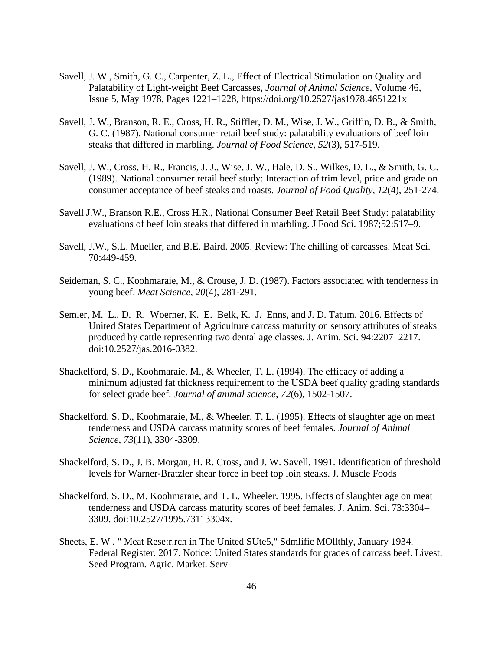- Savell, J. W., Smith, G. C., Carpenter, Z. L., Effect of Electrical Stimulation on Quality and Palatability of Light-weight Beef Carcasses, *Journal of Animal Science*, Volume 46, Issue 5, May 1978, Pages 1221–1228, https://doi.org/10.2527/jas1978.4651221x
- Savell, J. W., Branson, R. E., Cross, H. R., Stiffler, D. M., Wise, J. W., Griffin, D. B., & Smith, G. C. (1987). National consumer retail beef study: palatability evaluations of beef loin steaks that differed in marbling. *Journal of Food Science*, *52*(3), 517-519.
- Savell, J. W., Cross, H. R., Francis, J. J., Wise, J. W., Hale, D. S., Wilkes, D. L., & Smith, G. C. (1989). National consumer retail beef study: Interaction of trim level, price and grade on consumer acceptance of beef steaks and roasts. *Journal of Food Quality*, *12*(4), 251-274.
- Savell J.W., Branson R.E., Cross H.R., National Consumer Beef Retail Beef Study: palatability evaluations of beef loin steaks that differed in marbling. J Food Sci. 1987;52:517–9.
- Savell, J.W., S.L. Mueller, and B.E. Baird. 2005. Review: The chilling of carcasses. Meat Sci. 70:449-459.
- Seideman, S. C., Koohmaraie, M., & Crouse, J. D. (1987). Factors associated with tenderness in young beef. *Meat Science*, *20*(4), 281-291.
- Semler, M. L., D. R. Woerner, K. E. Belk, K. J. Enns, and J. D. Tatum. 2016. Effects of United States Department of Agriculture carcass maturity on sensory attributes of steaks produced by cattle representing two dental age classes. J. Anim. Sci. 94:2207–2217. doi:10.2527/jas.2016-0382.
- Shackelford, S. D., Koohmaraie, M., & Wheeler, T. L. (1994). The efficacy of adding a minimum adjusted fat thickness requirement to the USDA beef quality grading standards for select grade beef. *Journal of animal science*, *72*(6), 1502-1507.
- Shackelford, S. D., Koohmaraie, M., & Wheeler, T. L. (1995). Effects of slaughter age on meat tenderness and USDA carcass maturity scores of beef females. *Journal of Animal Science*, *73*(11), 3304-3309.
- Shackelford, S. D., J. B. Morgan, H. R. Cross, and J. W. Savell. 1991. Identification of threshold levels for Warner-Bratzler shear force in beef top loin steaks. J. Muscle Foods
- Shackelford, S. D., M. Koohmaraie, and T. L. Wheeler. 1995. Effects of slaughter age on meat tenderness and USDA carcass maturity scores of beef females. J. Anim. Sci. 73:3304– 3309. doi:10.2527/1995.73113304x.
- Sheets, E. W . " Meat Rese:r.rch in The United SUte5," Sdmlific MOllthly, January 1934. Federal Register. 2017. Notice: United States standards for grades of carcass beef. Livest. Seed Program. Agric. Market. Serv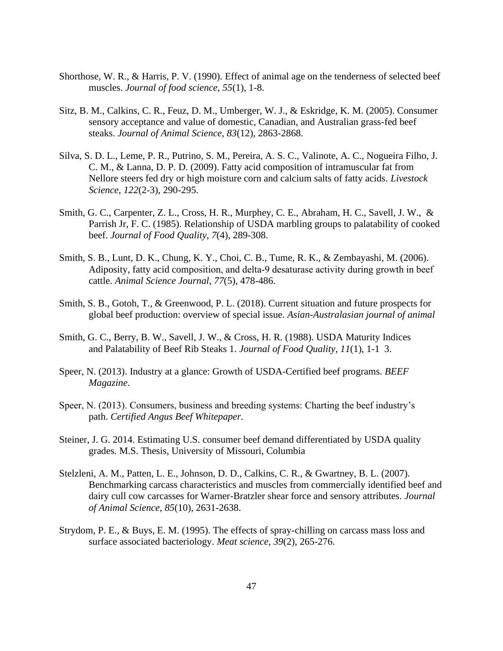- Shorthose, W. R., & Harris, P. V. (1990). Effect of animal age on the tenderness of selected beef muscles. *Journal of food science*, *55*(1), 1-8.
- Sitz, B. M., Calkins, C. R., Feuz, D. M., Umberger, W. J., & Eskridge, K. M. (2005). Consumer sensory acceptance and value of domestic, Canadian, and Australian grass-fed beef steaks. *Journal of Animal Science*, *83*(12), 2863-2868.
- Silva, S. D. L., Leme, P. R., Putrino, S. M., Pereira, A. S. C., Valinote, A. C., Nogueira Filho, J. C. M., & Lanna, D. P. D. (2009). Fatty acid composition of intramuscular fat from Nellore steers fed dry or high moisture corn and calcium salts of fatty acids. *Livestock Science*, *122*(2-3), 290-295.
- Smith, G. C., Carpenter, Z. L., Cross, H. R., Murphey, C. E., Abraham, H. C., Savell, J. W., & Parrish Jr, F. C. (1985). Relationship of USDA marbling groups to palatability of cooked beef. *Journal of Food Quality*, *7*(4), 289-308.
- Smith, S. B., Lunt, D. K., Chung, K. Y., Choi, C. B., Tume, R. K., & Zembayashi, M. (2006). Adiposity, fatty acid composition, and delta-9 desaturase activity during growth in beef cattle. *Animal Science Journal*, *77*(5), 478-486.
- Smith, S. B., Gotoh, T., & Greenwood, P. L. (2018). Current situation and future prospects for global beef production: overview of special issue. *Asian-Australasian journal of animal*
- Smith, G. C., Berry, B. W., Savell, J. W., & Cross, H. R. (1988). USDA Maturity Indices and Palatability of Beef Rib Steaks 1. *Journal of Food Quality*, *11*(1), 1-1 3.
- Speer, N. (2013). Industry at a glance: Growth of USDA-Certified beef programs. *BEEF Magazine*.
- Speer, N. (2013). Consumers, business and breeding systems: Charting the beef industry's path. *Certified Angus Beef Whitepaper.*
- Steiner, J. G. 2014. Estimating U.S. consumer beef demand differentiated by USDA quality grades. M.S. Thesis, University of Missouri, Columbia
- Stelzleni, A. M., Patten, L. E., Johnson, D. D., Calkins, C. R., & Gwartney, B. L. (2007). Benchmarking carcass characteristics and muscles from commercially identified beef and dairy cull cow carcasses for Warner-Bratzler shear force and sensory attributes. *Journal of Animal Science*, *85*(10), 2631-2638.
- Strydom, P. E., & Buys, E. M. (1995). The effects of spray-chilling on carcass mass loss and surface associated bacteriology. *Meat science*, *39*(2), 265-276.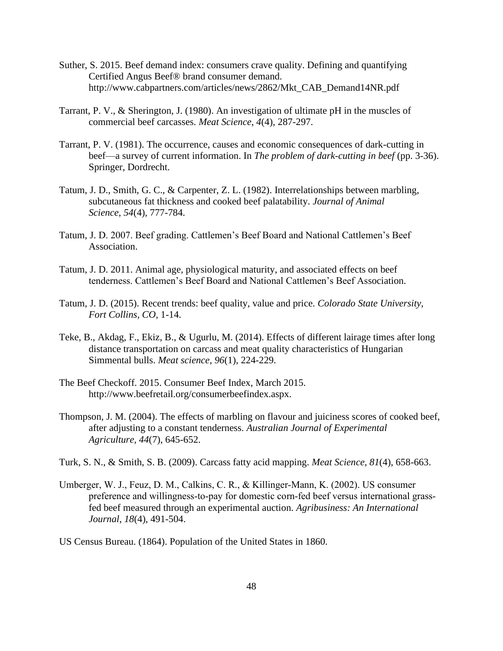- Suther, S. 2015. Beef demand index: consumers crave quality. Defining and quantifying Certified Angus Beef® brand consumer demand. http://www.cabpartners.com/articles/news/2862/Mkt\_CAB\_Demand14NR.pdf
- Tarrant, P. V., & Sherington, J. (1980). An investigation of ultimate pH in the muscles of commercial beef carcasses. *Meat Science*, *4*(4), 287-297.
- Tarrant, P. V. (1981). The occurrence, causes and economic consequences of dark-cutting in beef—a survey of current information. In *The problem of dark-cutting in beef* (pp. 3-36). Springer, Dordrecht.
- Tatum, J. D., Smith, G. C., & Carpenter, Z. L. (1982). Interrelationships between marbling, subcutaneous fat thickness and cooked beef palatability. *Journal of Animal Science*, *54*(4), 777-784.
- Tatum, J. D. 2007. Beef grading. Cattlemen's Beef Board and National Cattlemen's Beef Association.
- Tatum, J. D. 2011. Animal age, physiological maturity, and associated effects on beef tenderness. Cattlemen's Beef Board and National Cattlemen's Beef Association.
- Tatum, J. D. (2015). Recent trends: beef quality, value and price. *Colorado State University, Fort Collins, CO*, 1-14.
- Teke, B., Akdag, F., Ekiz, B., & Ugurlu, M. (2014). Effects of different lairage times after long distance transportation on carcass and meat quality characteristics of Hungarian Simmental bulls. *Meat science*, *96*(1), 224-229.
- The Beef Checkoff. 2015. Consumer Beef Index, March 2015. http://www.beefretail.org/consumerbeefindex.aspx.
- Thompson, J. M. (2004). The effects of marbling on flavour and juiciness scores of cooked beef, after adjusting to a constant tenderness. *Australian Journal of Experimental Agriculture*, *44*(7), 645-652.
- Turk, S. N., & Smith, S. B. (2009). Carcass fatty acid mapping. *Meat Science*, *81*(4), 658-663.
- Umberger, W. J., Feuz, D. M., Calkins, C. R., & Killinger‐Mann, K. (2002). US consumer preference and willingness-to-pay for domestic corn-fed beef versus international grassfed beef measured through an experimental auction. *Agribusiness: An International Journal*, *18*(4), 491-504.

US Census Bureau. (1864). Population of the United States in 1860.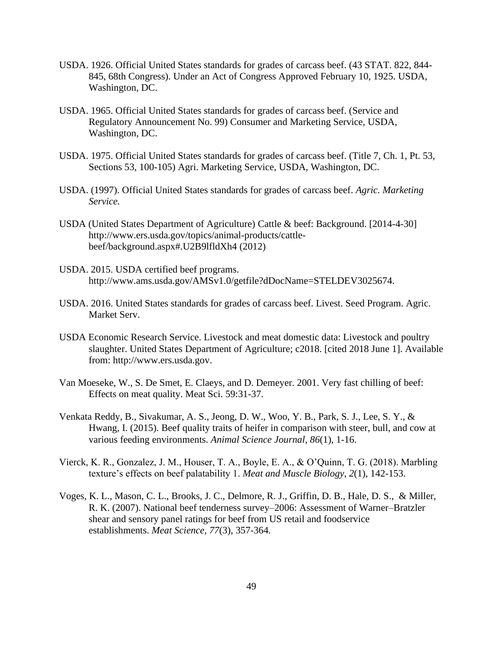- USDA. 1926. Official United States standards for grades of carcass beef. (43 STAT. 822, 844- 845, 68th Congress). Under an Act of Congress Approved February 10, 1925. USDA, Washington, DC.
- USDA. 1965. Official United States standards for grades of carcass beef. (Service and Regulatory Announcement No. 99) Consumer and Marketing Service, USDA, Washington, DC.
- USDA. 1975. Official United States standards for grades of carcass beef. (Title 7, Ch. 1, Pt. 53, Sections 53, 100-105) Agri. Marketing Service, USDA, Washington, DC.
- USDA. (1997). Official United States standards for grades of carcass beef. *Agric. Marketing Service.*
- USDA (United States Department of Agriculture) Cattle & beef: Background. [2014-4-30] http://www.ers.usda.gov/topics/animal-products/cattlebeef/background.aspx#.U2B9lfldXh4 (2012)
- USDA. 2015. USDA certified beef programs. http://www.ams.usda.gov/AMSv1.0/getfile?dDocName=STELDEV3025674.
- USDA. 2016. United States standards for grades of carcass beef. Livest. Seed Program. Agric. Market Serv.
- USDA Economic Research Service. Livestock and meat domestic data: Livestock and poultry slaughter. United States Department of Agriculture; c2018. [cited 2018 June 1]. Available from: http://www.ers.usda.gov.
- Van Moeseke, W., S. De Smet, E. Claeys, and D. Demeyer. 2001. Very fast chilling of beef: Effects on meat quality. Meat Sci. 59:31-37.
- Venkata Reddy, B., Sivakumar, A. S., Jeong, D. W., Woo, Y. B., Park, S. J., Lee, S. Y., & Hwang, I. (2015). Beef quality traits of heifer in comparison with steer, bull, and cow at various feeding environments. *Animal Science Journal*, *86*(1), 1-16.
- Vierck, K. R., Gonzalez, J. M., Houser, T. A., Boyle, E. A., & O'Quinn, T. G. (2018). Marbling texture's effects on beef palatability 1. *Meat and Muscle Biology*, *2*(1), 142-153.
- Voges, K. L., Mason, C. L., Brooks, J. C., Delmore, R. J., Griffin, D. B., Hale, D. S., & Miller, R. K. (2007). National beef tenderness survey–2006: Assessment of Warner–Bratzler shear and sensory panel ratings for beef from US retail and foodservice establishments. *Meat Science*, *77*(3), 357-364.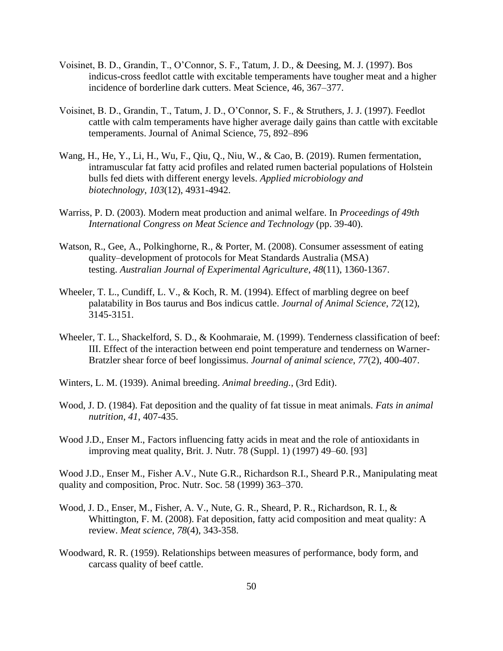- Voisinet, B. D., Grandin, T., O'Connor, S. F., Tatum, J. D., & Deesing, M. J. (1997). Bos indicus-cross feedlot cattle with excitable temperaments have tougher meat and a higher incidence of borderline dark cutters. Meat Science, 46, 367–377.
- Voisinet, B. D., Grandin, T., Tatum, J. D., O'Connor, S. F., & Struthers, J. J. (1997). Feedlot cattle with calm temperaments have higher average daily gains than cattle with excitable temperaments. Journal of Animal Science, 75, 892–896
- Wang, H., He, Y., Li, H., Wu, F., Qiu, Q., Niu, W., & Cao, B. (2019). Rumen fermentation, intramuscular fat fatty acid profiles and related rumen bacterial populations of Holstein bulls fed diets with different energy levels. *Applied microbiology and biotechnology*, *103*(12), 4931-4942.
- Warriss, P. D. (2003). Modern meat production and animal welfare. In *Proceedings of 49th International Congress on Meat Science and Technology* (pp. 39-40).
- Watson, R., Gee, A., Polkinghorne, R., & Porter, M. (2008). Consumer assessment of eating quality–development of protocols for Meat Standards Australia (MSA) testing. *Australian Journal of Experimental Agriculture*, *48*(11), 1360-1367.
- Wheeler, T. L., Cundiff, L. V., & Koch, R. M. (1994). Effect of marbling degree on beef palatability in Bos taurus and Bos indicus cattle. *Journal of Animal Science*, *72*(12), 3145-3151.
- Wheeler, T. L., Shackelford, S. D., & Koohmaraie, M. (1999). Tenderness classification of beef: III. Effect of the interaction between end point temperature and tenderness on Warner-Bratzler shear force of beef longissimus. *Journal of animal science*, *77*(2), 400-407.
- Winters, L. M. (1939). Animal breeding. *Animal breeding.*, (3rd Edit).
- Wood, J. D. (1984). Fat deposition and the quality of fat tissue in meat animals. *Fats in animal nutrition*, *41*, 407-435.
- Wood J.D., Enser M., Factors influencing fatty acids in meat and the role of antioxidants in improving meat quality, Brit. J. Nutr. 78 (Suppl. 1) (1997) 49–60. [93]

Wood J.D., Enser M., Fisher A.V., Nute G.R., Richardson R.I., Sheard P.R., Manipulating meat quality and composition, Proc. Nutr. Soc. 58 (1999) 363–370.

- Wood, J. D., Enser, M., Fisher, A. V., Nute, G. R., Sheard, P. R., Richardson, R. I., & Whittington, F. M. (2008). Fat deposition, fatty acid composition and meat quality: A review. *Meat science*, *78*(4), 343-358.
- Woodward, R. R. (1959). Relationships between measures of performance, body form, and carcass quality of beef cattle.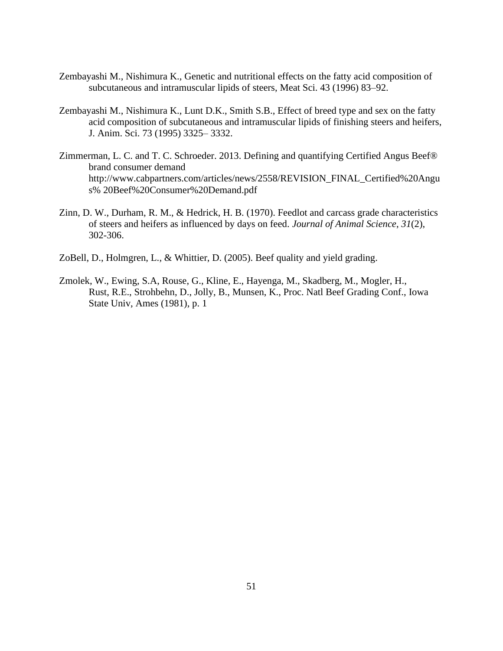- Zembayashi M., Nishimura K., Genetic and nutritional effects on the fatty acid composition of subcutaneous and intramuscular lipids of steers, Meat Sci. 43 (1996) 83–92.
- Zembayashi M., Nishimura K., Lunt D.K., Smith S.B., Effect of breed type and sex on the fatty acid composition of subcutaneous and intramuscular lipids of finishing steers and heifers, J. Anim. Sci. 73 (1995) 3325– 3332.
- Zimmerman, L. C. and T. C. Schroeder. 2013. Defining and quantifying Certified Angus Beef® brand consumer demand http://www.cabpartners.com/articles/news/2558/REVISION\_FINAL\_Certified%20Angu s% 20Beef%20Consumer%20Demand.pdf
- Zinn, D. W., Durham, R. M., & Hedrick, H. B. (1970). Feedlot and carcass grade characteristics of steers and heifers as influenced by days on feed. *Journal of Animal Science*, *31*(2), 302-306.
- ZoBell, D., Holmgren, L., & Whittier, D. (2005). Beef quality and yield grading.
- Zmolek, W., Ewing, S.A, Rouse, G., Kline, E., Hayenga, M., Skadberg, M., Mogler, H., Rust, R.E., Strohbehn, D., Jolly, B., Munsen, K., Proc. Natl Beef Grading Conf., Iowa State Univ, Ames (1981), p. 1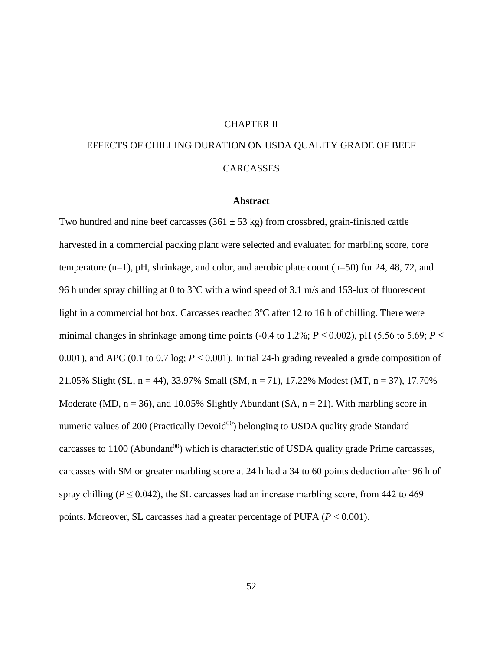# CHAPTER II

# EFFECTS OF CHILLING DURATION ON USDA QUALITY GRADE OF BEEF **CARCASSES**

## **Abstract**

Two hundred and nine beef carcasses (361  $\pm$  53 kg) from crossbred, grain-finished cattle harvested in a commercial packing plant were selected and evaluated for marbling score, core temperature  $(n=1)$ , pH, shrinkage, and color, and aerobic plate count  $(n=50)$  for 24, 48, 72, and 96 h under spray chilling at 0 to 3°C with a wind speed of 3.1 m/s and 153-lux of fluorescent light in a commercial hot box. Carcasses reached 3ºC after 12 to 16 h of chilling. There were minimal changes in shrinkage among time points (-0.4 to 1.2%;  $P \le 0.002$ ), pH (5.56 to 5.69;  $P \le$ 0.001), and APC (0.1 to 0.7 log; *P* ˂ 0.001). Initial 24-h grading revealed a grade composition of 21.05% Slight (SL, n = 44), 33.97% Small (SM, n = 71), 17.22% Modest (MT, n = 37), 17.70% Moderate (MD,  $n = 36$ ), and 10.05% Slightly Abundant (SA,  $n = 21$ ). With marbling score in numeric values of 200 (Practically Devoid $^{00}$ ) belonging to USDA quality grade Standard carcasses to  $1100$  (Abundant<sup>00</sup>) which is characteristic of USDA quality grade Prime carcasses, carcasses with SM or greater marbling score at 24 h had a 34 to 60 points deduction after 96 h of spray chilling ( $P \le 0.042$ ), the SL carcasses had an increase marbling score, from 442 to 469 points. Moreover, SL carcasses had a greater percentage of PUFA (*P* < 0.001).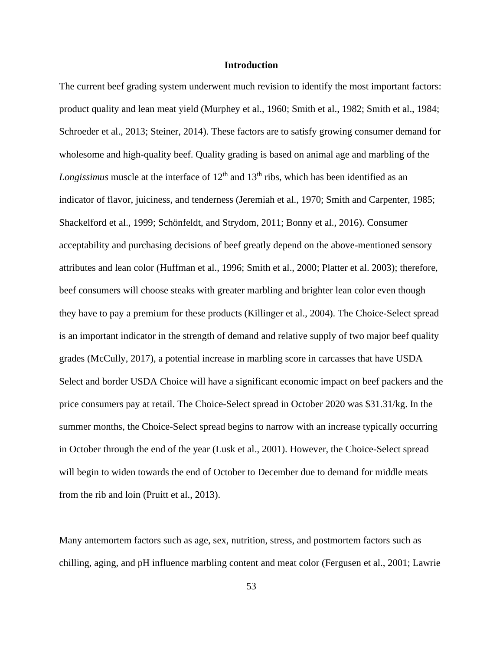# **Introduction**

The current beef grading system underwent much revision to identify the most important factors: product quality and lean meat yield (Murphey et al., 1960; Smith et al., 1982; Smith et al., 1984; Schroeder et al., 2013; Steiner, 2014). These factors are to satisfy growing consumer demand for wholesome and high-quality beef. Quality grading is based on animal age and marbling of the *Longissimus* muscle at the interface of 12<sup>th</sup> and 13<sup>th</sup> ribs, which has been identified as an indicator of flavor, juiciness, and tenderness (Jeremiah et al., 1970; Smith and Carpenter, 1985; Shackelford et al., 1999; Schönfeldt, and Strydom, 2011; Bonny et al., 2016). Consumer acceptability and purchasing decisions of beef greatly depend on the above-mentioned sensory attributes and lean color (Huffman et al., 1996; Smith et al., 2000; Platter et al. 2003); therefore, beef consumers will choose steaks with greater marbling and brighter lean color even though they have to pay a premium for these products (Killinger et al., 2004). The Choice-Select spread is an important indicator in the strength of demand and relative supply of two major beef quality grades (McCully, 2017), a potential increase in marbling score in carcasses that have USDA Select and border USDA Choice will have a significant economic impact on beef packers and the price consumers pay at retail. The Choice-Select spread in October 2020 was \$31.31/kg. In the summer months, the Choice-Select spread begins to narrow with an increase typically occurring in October through the end of the year (Lusk et al., 2001). However, the Choice-Select spread will begin to widen towards the end of October to December due to demand for middle meats from the rib and loin (Pruitt et al., 2013).

Many antemortem factors such as age, sex, nutrition, stress, and postmortem factors such as chilling, aging, and pH influence marbling content and meat color (Fergusen et al., 2001; Lawrie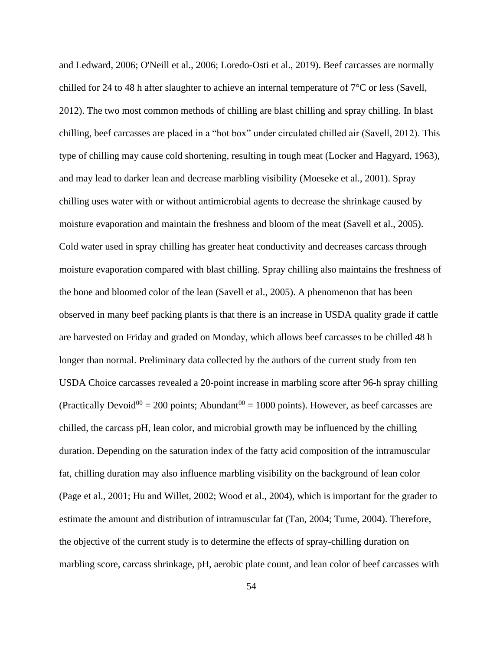and Ledward, 2006; O'Neill et al., 2006; Loredo-Osti et al., 2019). Beef carcasses are normally chilled for 24 to 48 h after slaughter to achieve an internal temperature of  $7^{\circ}$ C or less (Savell, 2012). The two most common methods of chilling are blast chilling and spray chilling. In blast chilling, beef carcasses are placed in a "hot box" under circulated chilled air (Savell, 2012). This type of chilling may cause cold shortening, resulting in tough meat (Locker and Hagyard, 1963), and may lead to darker lean and decrease marbling visibility (Moeseke et al., 2001). Spray chilling uses water with or without antimicrobial agents to decrease the shrinkage caused by moisture evaporation and maintain the freshness and bloom of the meat (Savell et al., 2005). Cold water used in spray chilling has greater heat conductivity and decreases carcass through moisture evaporation compared with blast chilling. Spray chilling also maintains the freshness of the bone and bloomed color of the lean (Savell et al., 2005). A phenomenon that has been observed in many beef packing plants is that there is an increase in USDA quality grade if cattle are harvested on Friday and graded on Monday, which allows beef carcasses to be chilled 48 h longer than normal. Preliminary data collected by the authors of the current study from ten USDA Choice carcasses revealed a 20-point increase in marbling score after 96-h spray chilling (Practically Devoid<sup>00</sup> = 200 points; Abundant<sup>00</sup> = 1000 points). However, as beef carcasses are chilled, the carcass pH, lean color, and microbial growth may be influenced by the chilling duration. Depending on the saturation index of the fatty acid composition of the intramuscular fat, chilling duration may also influence marbling visibility on the background of lean color (Page et al., 2001; Hu and Willet, 2002; Wood et al., 2004), which is important for the grader to estimate the amount and distribution of intramuscular fat (Tan, 2004; Tume, 2004). Therefore, the objective of the current study is to determine the effects of spray-chilling duration on marbling score, carcass shrinkage, pH, aerobic plate count, and lean color of beef carcasses with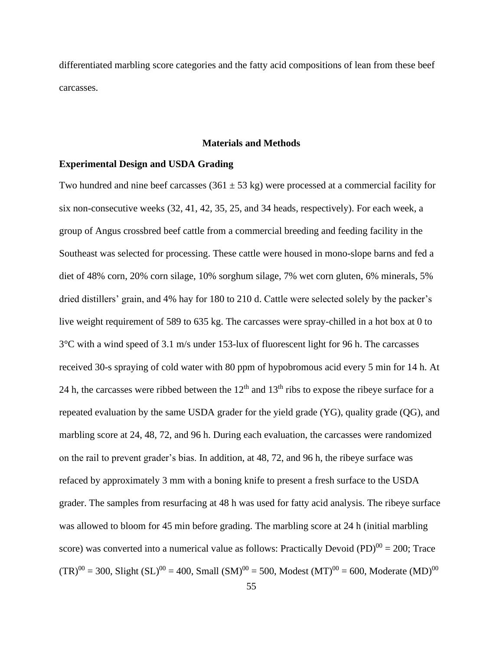differentiated marbling score categories and the fatty acid compositions of lean from these beef carcasses.

## **Materials and Methods**

# **Experimental Design and USDA Grading**

Two hundred and nine beef carcasses (361  $\pm$  53 kg) were processed at a commercial facility for six non-consecutive weeks (32, 41, 42, 35, 25, and 34 heads, respectively). For each week, a group of Angus crossbred beef cattle from a commercial breeding and feeding facility in the Southeast was selected for processing. These cattle were housed in mono-slope barns and fed a diet of 48% corn, 20% corn silage, 10% sorghum silage, 7% wet corn gluten, 6% minerals, 5% dried distillers' grain, and 4% hay for 180 to 210 d. Cattle were selected solely by the packer's live weight requirement of 589 to 635 kg. The carcasses were spray-chilled in a hot box at 0 to 3°C with a wind speed of 3.1 m/s under 153-lux of fluorescent light for 96 h. The carcasses received 30-s spraying of cold water with 80 ppm of hypobromous acid every 5 min for 14 h. At 24 h, the carcasses were ribbed between the  $12<sup>th</sup>$  and  $13<sup>th</sup>$  ribs to expose the ribeye surface for a repeated evaluation by the same USDA grader for the yield grade (YG), quality grade (QG), and marbling score at 24, 48, 72, and 96 h. During each evaluation, the carcasses were randomized on the rail to prevent grader's bias. In addition, at 48, 72, and 96 h, the ribeye surface was refaced by approximately 3 mm with a boning knife to present a fresh surface to the USDA grader. The samples from resurfacing at 48 h was used for fatty acid analysis. The ribeye surface was allowed to bloom for 45 min before grading. The marbling score at 24 h (initial marbling score) was converted into a numerical value as follows: Practically Devoid (PD) $^{00} = 200$ ; Trace  $(TR)^{00} = 300$ , Slight  $(SL)^{00} = 400$ , Small  $(SM)^{00} = 500$ , Modest  $(MT)^{00} = 600$ , Moderate  $(MD)^{00}$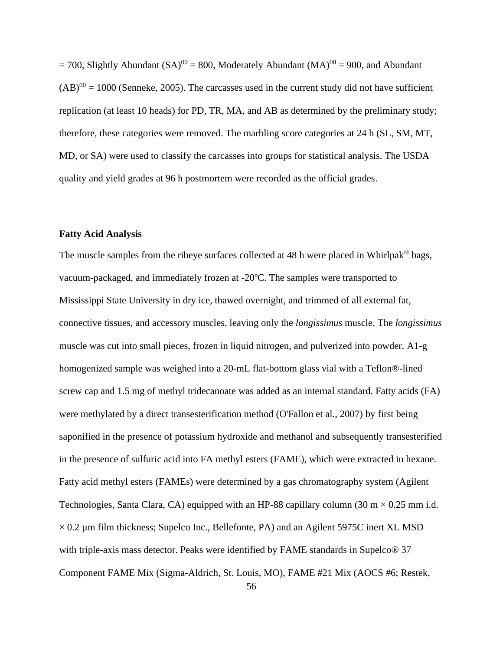$= 700$ , Slightly Abundant (SA)<sup>00</sup> = 800, Moderately Abundant (MA)<sup>00</sup> = 900, and Abundant  $(AB)^{00} = 1000$  (Senneke, 2005). The carcasses used in the current study did not have sufficient replication (at least 10 heads) for PD, TR, MA, and AB as determined by the preliminary study; therefore, these categories were removed. The marbling score categories at 24 h (SL, SM, MT, MD, or SA) were used to classify the carcasses into groups for statistical analysis. The USDA quality and yield grades at 96 h postmortem were recorded as the official grades.

## **Fatty Acid Analysis**

The muscle samples from the ribeye surfaces collected at 48 h were placed in Whirlpak<sup>®</sup> bags, vacuum-packaged, and immediately frozen at -20ºC. The samples were transported to Mississippi State University in dry ice, thawed overnight, and trimmed of all external fat, connective tissues, and accessory muscles, leaving only the *longissimus* muscle. The *longissimus* muscle was cut into small pieces, frozen in liquid nitrogen, and pulverized into powder. A1-g homogenized sample was weighed into a 20-mL flat-bottom glass vial with a Teflon®-lined screw cap and 1.5 mg of methyl tridecanoate was added as an internal standard. Fatty acids (FA) were methylated by a direct transesterification method (O'Fallon et al., 2007) by first being saponified in the presence of potassium hydroxide and methanol and subsequently transesterified in the presence of sulfuric acid into FA methyl esters (FAME), which were extracted in hexane. Fatty acid methyl esters (FAMEs) were determined by a gas chromatography system (Agilent Technologies, Santa Clara, CA) equipped with an HP-88 capillary column (30 m  $\times$  0.25 mm i.d.  $\times$  0.2 µm film thickness; Supelco Inc., Bellefonte, PA) and an Agilent 5975C inert XL MSD with triple-axis mass detector. Peaks were identified by FAME standards in Supelco® 37 Component FAME Mix (Sigma-Aldrich, St. Louis, MO), FAME #21 Mix (AOCS #6; Restek,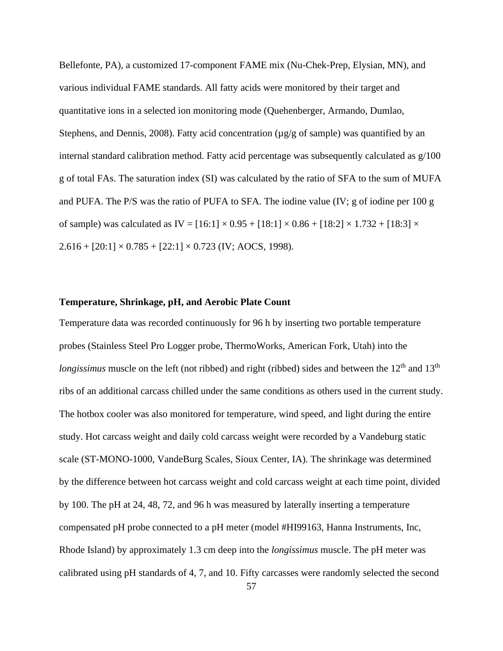Bellefonte, PA), a customized 17-component FAME mix (Nu-Chek-Prep, Elysian, MN), and various individual FAME standards. All fatty acids were monitored by their target and quantitative ions in a selected ion monitoring mode (Quehenberger, Armando, Dumlao, Stephens, and Dennis, 2008). Fatty acid concentration ( $\mu$ g/g of sample) was quantified by an internal standard calibration method. Fatty acid percentage was subsequently calculated as g/100 g of total FAs. The saturation index (SI) was calculated by the ratio of SFA to the sum of MUFA and PUFA. The P/S was the ratio of PUFA to SFA. The iodine value (IV; g of iodine per 100 g of sample) was calculated as IV =  $[16:1] \times 0.95 + [18:1] \times 0.86 + [18:2] \times 1.732 + [18:3] \times$  $2.616 + [20:1] \times 0.785 + [22:1] \times 0.723$  (IV; AOCS, 1998).

## **Temperature, Shrinkage, pH, and Aerobic Plate Count**

Temperature data was recorded continuously for 96 h by inserting two portable temperature probes (Stainless Steel Pro Logger probe, ThermoWorks, American Fork, Utah) into the *longissimus* muscle on the left (not ribbed) and right (ribbed) sides and between the 12<sup>th</sup> and 13<sup>th</sup> ribs of an additional carcass chilled under the same conditions as others used in the current study. The hotbox cooler was also monitored for temperature, wind speed, and light during the entire study. Hot carcass weight and daily cold carcass weight were recorded by a Vandeburg static scale (ST-MONO-1000, VandeBurg Scales, Sioux Center, IA). The shrinkage was determined by the difference between hot carcass weight and cold carcass weight at each time point, divided by 100. The pH at 24, 48, 72, and 96 h was measured by laterally inserting a temperature compensated pH probe connected to a pH meter (model #HI99163, Hanna Instruments, Inc, Rhode Island) by approximately 1.3 cm deep into the *longissimus* muscle. The pH meter was calibrated using pH standards of 4, 7, and 10. Fifty carcasses were randomly selected the second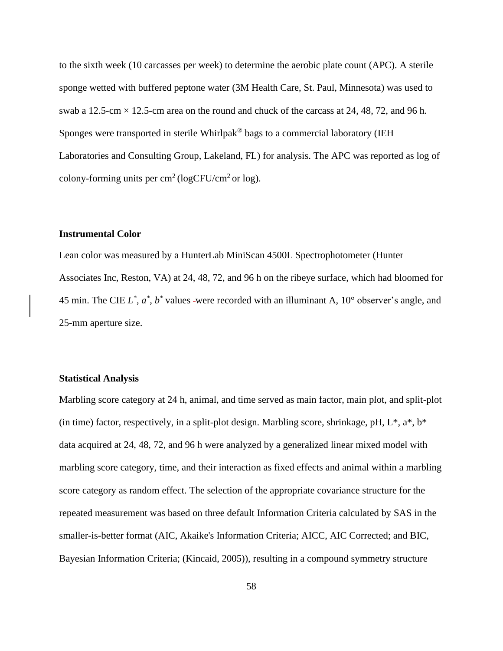to the sixth week (10 carcasses per week) to determine the aerobic plate count (APC). A sterile sponge wetted with buffered peptone water (3M Health Care, St. Paul, Minnesota) was used to swab a 12.5-cm  $\times$  12.5-cm area on the round and chuck of the carcass at 24, 48, 72, and 96 h. Sponges were transported in sterile Whirlpak® bags to a commercial laboratory (IEH Laboratories and Consulting Group, Lakeland, FL) for analysis. The APC was reported as log of colony-forming units per  $\text{cm}^2$  (logCFU/cm<sup>2</sup> or log).

## **Instrumental Color**

Lean color was measured by a HunterLab MiniScan 4500L Spectrophotometer (Hunter Associates Inc, Reston, VA) at 24, 48, 72, and 96 h on the ribeye surface, which had bloomed for 45 min. The CIE  $L^*$ ,  $a^*$ ,  $b^*$  values -were recorded with an illuminant A,  $10^{\circ}$  observer's angle, and 25-mm aperture size.

## **Statistical Analysis**

Marbling score category at 24 h, animal, and time served as main factor, main plot, and split-plot (in time) factor, respectively, in a split-plot design. Marbling score, shrinkage, pH,  $L^*$ ,  $a^*$ ,  $b^*$ data acquired at 24, 48, 72, and 96 h were analyzed by a generalized linear mixed model with marbling score category, time, and their interaction as fixed effects and animal within a marbling score category as random effect. The selection of the appropriate covariance structure for the repeated measurement was based on three default Information Criteria calculated by SAS in the smaller-is-better format (AIC, Akaike's Information Criteria; AICC, AIC Corrected; and BIC, Bayesian Information Criteria; (Kincaid, 2005)), resulting in a compound symmetry structure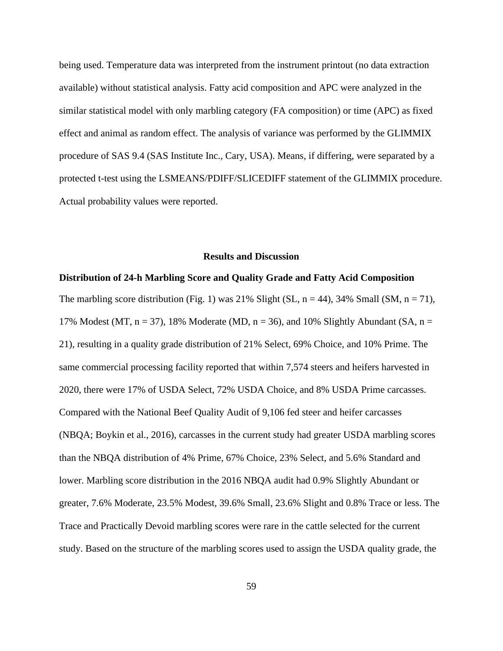being used. Temperature data was interpreted from the instrument printout (no data extraction available) without statistical analysis. Fatty acid composition and APC were analyzed in the similar statistical model with only marbling category (FA composition) or time (APC) as fixed effect and animal as random effect. The analysis of variance was performed by the GLIMMIX procedure of SAS 9.4 (SAS Institute Inc., Cary, USA). Means, if differing, were separated by a protected t-test using the LSMEANS/PDIFF/SLICEDIFF statement of the GLIMMIX procedure. Actual probability values were reported.

## **Results and Discussion**

#### **Distribution of 24-h Marbling Score and Quality Grade and Fatty Acid Composition**

The marbling score distribution (Fig. 1) was 21% Slight (SL,  $n = 44$ ), 34% Small (SM,  $n = 71$ ), 17% Modest (MT,  $n = 37$ ), 18% Moderate (MD,  $n = 36$ ), and 10% Slightly Abundant (SA,  $n =$ 21), resulting in a quality grade distribution of 21% Select, 69% Choice, and 10% Prime. The same commercial processing facility reported that within 7,574 steers and heifers harvested in 2020, there were 17% of USDA Select, 72% USDA Choice, and 8% USDA Prime carcasses. Compared with the National Beef Quality Audit of 9,106 fed steer and heifer carcasses (NBQA; Boykin et al., 2016), carcasses in the current study had greater USDA marbling scores than the NBQA distribution of 4% Prime, 67% Choice, 23% Select, and 5.6% Standard and lower. Marbling score distribution in the 2016 NBQA audit had 0.9% Slightly Abundant or greater, 7.6% Moderate, 23.5% Modest, 39.6% Small, 23.6% Slight and 0.8% Trace or less. The Trace and Practically Devoid marbling scores were rare in the cattle selected for the current study. Based on the structure of the marbling scores used to assign the USDA quality grade, the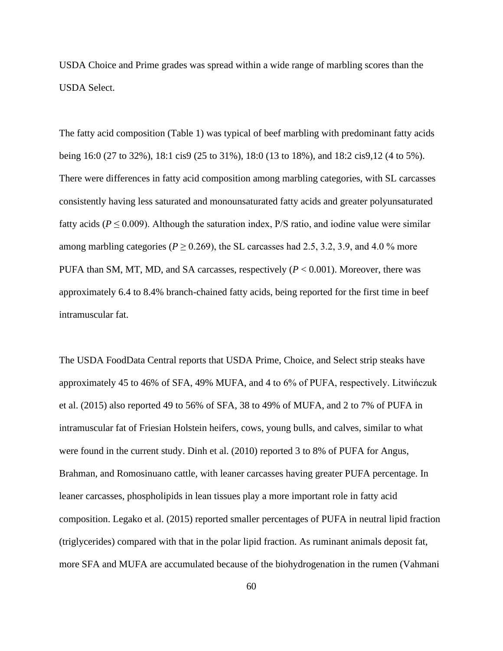USDA Choice and Prime grades was spread within a wide range of marbling scores than the USDA Select.

The fatty acid composition (Table 1) was typical of beef marbling with predominant fatty acids being 16:0 (27 to 32%), 18:1 cis9 (25 to 31%), 18:0 (13 to 18%), and 18:2 cis9,12 (4 to 5%). There were differences in fatty acid composition among marbling categories, with SL carcasses consistently having less saturated and monounsaturated fatty acids and greater polyunsaturated fatty acids ( $P \le 0.009$ ). Although the saturation index,  $P/S$  ratio, and iodine value were similar among marbling categories ( $P \ge 0.269$ ), the SL carcasses had 2.5, 3.2, 3.9, and 4.0 % more PUFA than SM, MT, MD, and SA carcasses, respectively (*P* < 0.001). Moreover, there was approximately 6.4 to 8.4% branch-chained fatty acids, being reported for the first time in beef intramuscular fat.

The USDA FoodData Central reports that USDA Prime, Choice, and Select strip steaks have approximately 45 to 46% of SFA, 49% MUFA, and 4 to 6% of PUFA, respectively. Litwińczuk et al. (2015) also reported 49 to 56% of SFA, 38 to 49% of MUFA, and 2 to 7% of PUFA in intramuscular fat of Friesian Holstein heifers, cows, young bulls, and calves, similar to what were found in the current study. Dinh et al. (2010) reported 3 to 8% of PUFA for Angus, Brahman, and Romosinuano cattle, with leaner carcasses having greater PUFA percentage. In leaner carcasses, phospholipids in lean tissues play a more important role in fatty acid composition. Legako et al. (2015) reported smaller percentages of PUFA in neutral lipid fraction (triglycerides) compared with that in the polar lipid fraction. As ruminant animals deposit fat, more SFA and MUFA are accumulated because of the biohydrogenation in the rumen (Vahmani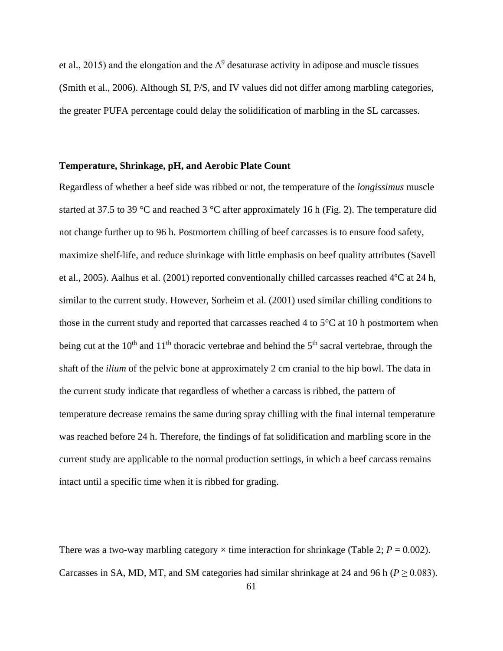et al., 2015) and the elongation and the  $\Delta^9$  desaturase activity in adipose and muscle tissues (Smith et al., 2006). Although SI, P/S, and IV values did not differ among marbling categories, the greater PUFA percentage could delay the solidification of marbling in the SL carcasses.

# **Temperature, Shrinkage, pH, and Aerobic Plate Count**

Regardless of whether a beef side was ribbed or not, the temperature of the *longissimus* muscle started at 37.5 to 39 °C and reached 3 °C after approximately 16 h (Fig. 2). The temperature did not change further up to 96 h. Postmortem chilling of beef carcasses is to ensure food safety, maximize shelf-life, and reduce shrinkage with little emphasis on beef quality attributes (Savell et al., 2005). Aalhus et al. (2001) reported conventionally chilled carcasses reached 4ºC at 24 h, similar to the current study. However, Sorheim et al. (2001) used similar chilling conditions to those in the current study and reported that carcasses reached 4 to 5°C at 10 h postmortem when being cut at the  $10<sup>th</sup>$  and  $11<sup>th</sup>$  thoracic vertebrae and behind the  $5<sup>th</sup>$  sacral vertebrae, through the shaft of the *ilium* of the pelvic bone at approximately 2 cm cranial to the hip bowl. The data in the current study indicate that regardless of whether a carcass is ribbed, the pattern of temperature decrease remains the same during spray chilling with the final internal temperature was reached before 24 h. Therefore, the findings of fat solidification and marbling score in the current study are applicable to the normal production settings, in which a beef carcass remains intact until a specific time when it is ribbed for grading.

There was a two-way marbling category  $\times$  time interaction for shrinkage (Table 2;  $P = 0.002$ ). Carcasses in SA, MD, MT, and SM categories had similar shrinkage at 24 and 96 h ( $P \ge 0.083$ ).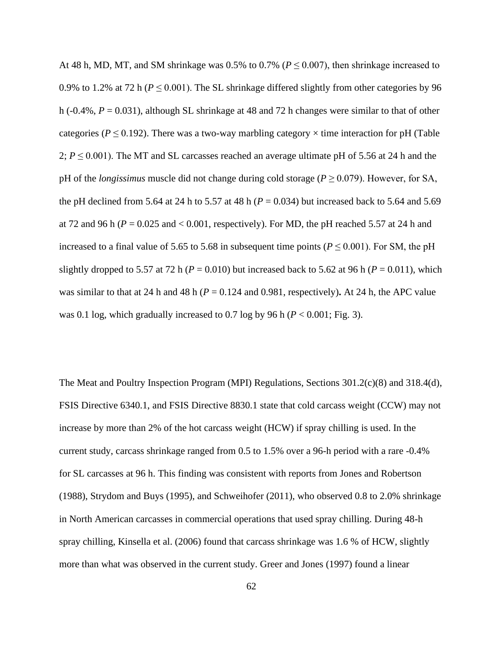At 48 h, MD, MT, and SM shrinkage was  $0.5\%$  to  $0.7\%$  ( $P \le 0.007$ ), then shrinkage increased to 0.9% to 1.2% at 72 h ( $P \le 0.001$ ). The SL shrinkage differed slightly from other categories by 96 h ( $-0.4\%$ ,  $P = 0.031$ ), although SL shrinkage at 48 and 72 h changes were similar to that of other categories ( $P \le 0.192$ ). There was a two-way marbling category  $\times$  time interaction for pH (Table 2;  $P \le 0.001$ ). The MT and SL carcasses reached an average ultimate pH of 5.56 at 24 h and the pH of the *longissimus* muscle did not change during cold storage ( $P \ge 0.079$ ). However, for SA, the pH declined from 5.64 at 24 h to 5.57 at 48 h (*P* = 0.034) but increased back to 5.64 and 5.69 at 72 and 96 h (*P* = 0.025 and < 0.001, respectively). For MD, the pH reached 5.57 at 24 h and increased to a final value of 5.65 to 5.68 in subsequent time points ( $P \le 0.001$ ). For SM, the pH slightly dropped to 5.57 at 72 h ( $P = 0.010$ ) but increased back to 5.62 at 96 h ( $P = 0.011$ ), which was similar to that at 24 h and 48 h ( $P = 0.124$  and 0.981, respectively). At 24 h, the APC value was 0.1 log, which gradually increased to 0.7 log by 96 h (*P* < 0.001; Fig. 3).

The Meat and Poultry Inspection Program (MPI) Regulations, Sections 301.2(c)(8) and 318.4(d), FSIS Directive 6340.1, and FSIS Directive 8830.1 state that cold carcass weight (CCW) may not increase by more than 2% of the hot carcass weight (HCW) if spray chilling is used. In the current study, carcass shrinkage ranged from 0.5 to 1.5% over a 96-h period with a rare -0.4% for SL carcasses at 96 h. This finding was consistent with reports from Jones and Robertson (1988), Strydom and Buys (1995), and Schweihofer (2011), who observed 0.8 to 2.0% shrinkage in North American carcasses in commercial operations that used spray chilling. During 48-h spray chilling, Kinsella et al. (2006) found that carcass shrinkage was 1.6 % of HCW, slightly more than what was observed in the current study. Greer and Jones (1997) found a linear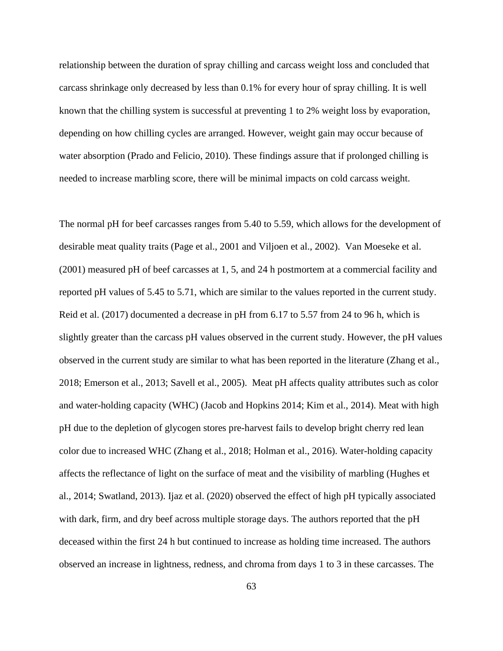relationship between the duration of spray chilling and carcass weight loss and concluded that carcass shrinkage only decreased by less than 0.1% for every hour of spray chilling. It is well known that the chilling system is successful at preventing 1 to 2% weight loss by evaporation, depending on how chilling cycles are arranged. However, weight gain may occur because of water absorption (Prado and Felicio, 2010). These findings assure that if prolonged chilling is needed to increase marbling score, there will be minimal impacts on cold carcass weight.

The normal pH for beef carcasses ranges from 5.40 to 5.59, which allows for the development of desirable meat quality traits (Page et al., 2001 and Viljoen et al., 2002). Van Moeseke et al. (2001) measured pH of beef carcasses at 1, 5, and 24 h postmortem at a commercial facility and reported pH values of 5.45 to 5.71, which are similar to the values reported in the current study. Reid et al. (2017) documented a decrease in pH from 6.17 to 5.57 from 24 to 96 h, which is slightly greater than the carcass pH values observed in the current study. However, the pH values observed in the current study are similar to what has been reported in the literature (Zhang et al., 2018; Emerson et al., 2013; Savell et al., 2005). Meat pH affects quality attributes such as color and water-holding capacity (WHC) (Jacob and Hopkins 2014; Kim et al., 2014). Meat with high pH due to the depletion of glycogen stores pre-harvest fails to develop bright cherry red lean color due to increased WHC (Zhang et al., 2018; Holman et al., 2016). Water-holding capacity affects the reflectance of light on the surface of meat and the visibility of marbling (Hughes et al., 2014; Swatland, 2013). Ijaz et al. (2020) observed the effect of high pH typically associated with dark, firm, and dry beef across multiple storage days. The authors reported that the pH deceased within the first 24 h but continued to increase as holding time increased. The authors observed an increase in lightness, redness, and chroma from days 1 to 3 in these carcasses. The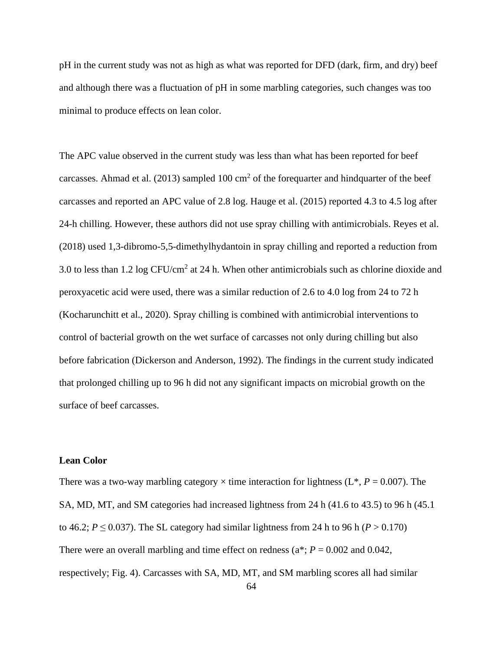pH in the current study was not as high as what was reported for DFD (dark, firm, and dry) beef and although there was a fluctuation of pH in some marbling categories, such changes was too minimal to produce effects on lean color.

The APC value observed in the current study was less than what has been reported for beef carcasses. Ahmad et al. (2013) sampled 100  $\text{cm}^2$  of the forequarter and hindquarter of the beef carcasses and reported an APC value of 2.8 log. Hauge et al. (2015) reported 4.3 to 4.5 log after 24-h chilling. However, these authors did not use spray chilling with antimicrobials. Reyes et al. (2018) used 1,3-dibromo-5,5-dimethylhydantoin in spray chilling and reported a reduction from 3.0 to less than  $1.2 \log CFU/cm^2$  at  $24$  h. When other antimicrobials such as chlorine dioxide and peroxyacetic acid were used, there was a similar reduction of 2.6 to 4.0 log from 24 to 72 h (Kocharunchitt et al., 2020). Spray chilling is combined with antimicrobial interventions to control of bacterial growth on the wet surface of carcasses not only during chilling but also before fabrication (Dickerson and Anderson, 1992). The findings in the current study indicated that prolonged chilling up to 96 h did not any significant impacts on microbial growth on the surface of beef carcasses.

# **Lean Color**

There was a two-way marbling category  $\times$  time interaction for lightness ( $L^*$ ,  $P = 0.007$ ). The SA, MD, MT, and SM categories had increased lightness from 24 h (41.6 to 43.5) to 96 h (45.1 to 46.2;  $P \le 0.037$ ). The SL category had similar lightness from 24 h to 96 h ( $P > 0.170$ ) There were an overall marbling and time effect on redness ( $a^*$ ;  $P = 0.002$  and 0.042, respectively; Fig. 4). Carcasses with SA, MD, MT, and SM marbling scores all had similar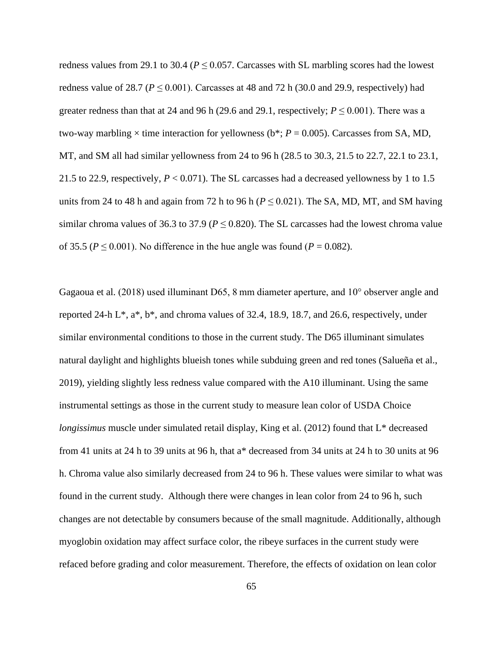redness values from 29.1 to 30.4 ( $P \le 0.057$ . Carcasses with SL marbling scores had the lowest redness value of 28.7 ( $P \le 0.001$ ). Carcasses at 48 and 72 h (30.0 and 29.9, respectively) had greater redness than that at 24 and 96 h (29.6 and 29.1, respectively;  $P \le 0.001$ ). There was a two-way marbling  $\times$  time interaction for yellowness (b<sup>\*</sup>;  $P = 0.005$ ). Carcasses from SA, MD, MT, and SM all had similar yellowness from 24 to 96 h (28.5 to 30.3, 21.5 to 22.7, 22.1 to 23.1, 21.5 to 22.9, respectively,  $P < 0.071$ ). The SL carcasses had a decreased yellowness by 1 to 1.5 units from 24 to 48 h and again from 72 h to 96 h ( $P \le 0.021$ ). The SA, MD, MT, and SM having similar chroma values of 36.3 to 37.9 ( $P \le 0.820$ ). The SL carcasses had the lowest chroma value of 35.5 ( $P \le 0.001$ ). No difference in the hue angle was found ( $P = 0.082$ ).

Gagaoua et al. (2018) used illuminant D65, 8 mm diameter aperture, and 10° observer angle and reported 24-h  $L^*$ ,  $a^*$ ,  $b^*$ , and chroma values of 32.4, 18.9, 18.7, and 26.6, respectively, under similar environmental conditions to those in the current study. The D65 illuminant simulates natural daylight and highlights blueish tones while subduing green and red tones (Salueña et al., 2019), yielding slightly less redness value compared with the A10 illuminant. Using the same instrumental settings as those in the current study to measure lean color of USDA Choice *longissimus* muscle under simulated retail display, King et al. (2012) found that L<sup>\*</sup> decreased from 41 units at 24 h to 39 units at 96 h, that a\* decreased from 34 units at 24 h to 30 units at 96 h. Chroma value also similarly decreased from 24 to 96 h. These values were similar to what was found in the current study. Although there were changes in lean color from 24 to 96 h, such changes are not detectable by consumers because of the small magnitude. Additionally, although myoglobin oxidation may affect surface color, the ribeye surfaces in the current study were refaced before grading and color measurement. Therefore, the effects of oxidation on lean color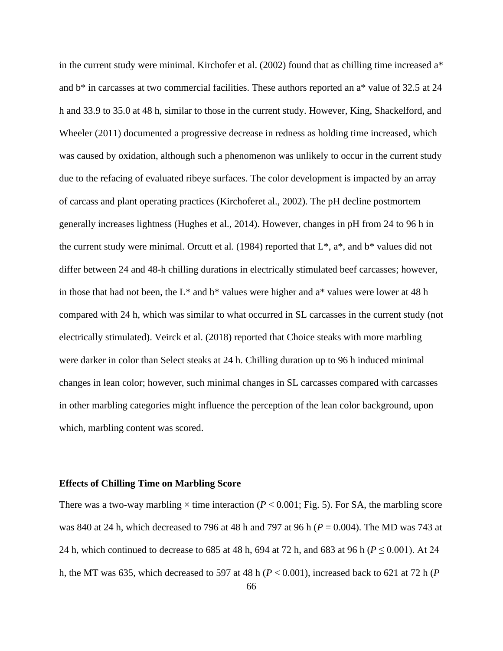in the current study were minimal. Kirchofer et al. (2002) found that as chilling time increased a\* and b\* in carcasses at two commercial facilities. These authors reported an a\* value of 32.5 at 24 h and 33.9 to 35.0 at 48 h, similar to those in the current study. However, King, Shackelford, and Wheeler (2011) documented a progressive decrease in redness as holding time increased, which was caused by oxidation, although such a phenomenon was unlikely to occur in the current study due to the refacing of evaluated ribeye surfaces. The color development is impacted by an array of carcass and plant operating practices (Kirchoferet al., 2002). The pH decline postmortem generally increases lightness (Hughes et al., 2014). However, changes in pH from 24 to 96 h in the current study were minimal. Orcutt et al. (1984) reported that  $L^*$ ,  $a^*$ , and  $b^*$  values did not differ between 24 and 48-h chilling durations in electrically stimulated beef carcasses; however, in those that had not been, the  $L^*$  and  $b^*$  values were higher and  $a^*$  values were lower at 48 h compared with 24 h, which was similar to what occurred in SL carcasses in the current study (not electrically stimulated). Veirck et al. (2018) reported that Choice steaks with more marbling were darker in color than Select steaks at 24 h. Chilling duration up to 96 h induced minimal changes in lean color; however, such minimal changes in SL carcasses compared with carcasses in other marbling categories might influence the perception of the lean color background, upon which, marbling content was scored.

### **Effects of Chilling Time on Marbling Score**

There was a two-way marbling  $\times$  time interaction ( $P < 0.001$ ; Fig. 5). For SA, the marbling score was 840 at 24 h, which decreased to 796 at 48 h and 797 at 96 h (*P* = 0.004). The MD was 743 at 24 h, which continued to decrease to 685 at 48 h, 694 at 72 h, and 683 at 96 h (*P* ≤ 0.001). At 24 h, the MT was 635, which decreased to 597 at 48 h ( $P < 0.001$ ), increased back to 621 at 72 h ( $P$ )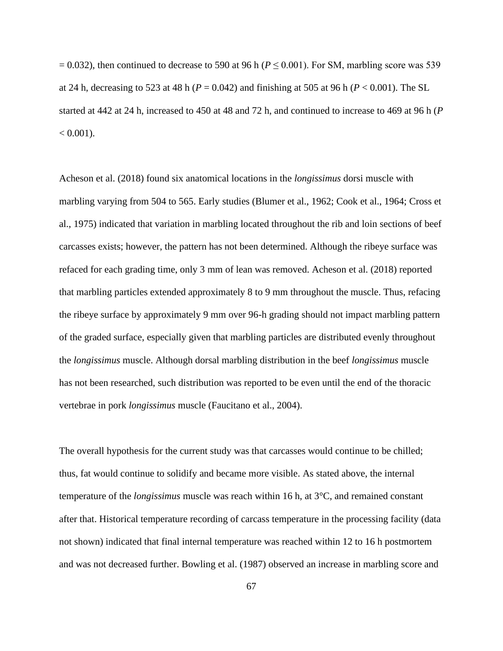$= 0.032$ ), then continued to decrease to 590 at 96 h ( $P \le 0.001$ ). For SM, marbling score was 539 at 24 h, decreasing to 523 at 48 h ( $P = 0.042$ ) and finishing at 505 at 96 h ( $P < 0.001$ ). The SL started at 442 at 24 h, increased to 450 at 48 and 72 h, and continued to increase to 469 at 96 h (*P*  $< 0.001$ ).

Acheson et al. (2018) found six anatomical locations in the *longissimus* dorsi muscle with marbling varying from 504 to 565. Early studies (Blumer et al., 1962; Cook et al., 1964; Cross et al., 1975) indicated that variation in marbling located throughout the rib and loin sections of beef carcasses exists; however, the pattern has not been determined. Although the ribeye surface was refaced for each grading time, only 3 mm of lean was removed. Acheson et al. (2018) reported that marbling particles extended approximately 8 to 9 mm throughout the muscle. Thus, refacing the ribeye surface by approximately 9 mm over 96-h grading should not impact marbling pattern of the graded surface, especially given that marbling particles are distributed evenly throughout the *longissimus* muscle. Although dorsal marbling distribution in the beef *longissimus* muscle has not been researched, such distribution was reported to be even until the end of the thoracic vertebrae in pork *longissimus* muscle (Faucitano et al., 2004).

The overall hypothesis for the current study was that carcasses would continue to be chilled; thus, fat would continue to solidify and became more visible. As stated above, the internal temperature of the *longissimus* muscle was reach within 16 h, at 3°C, and remained constant after that. Historical temperature recording of carcass temperature in the processing facility (data not shown) indicated that final internal temperature was reached within 12 to 16 h postmortem and was not decreased further. Bowling et al. (1987) observed an increase in marbling score and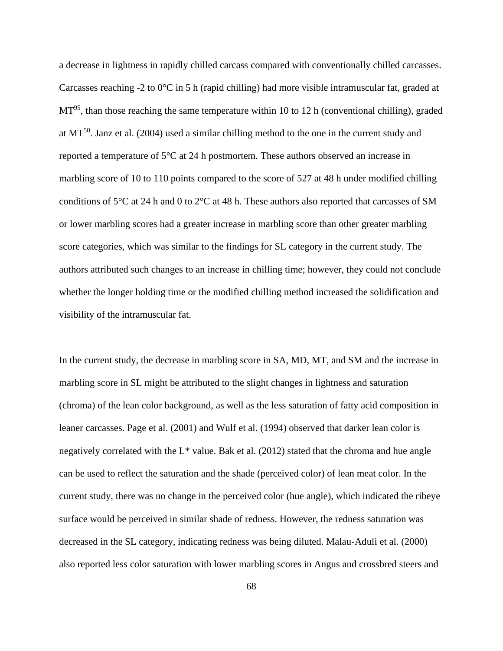a decrease in lightness in rapidly chilled carcass compared with conventionally chilled carcasses. Carcasses reaching -2 to 0°C in 5 h (rapid chilling) had more visible intramuscular fat, graded at  $MT<sup>95</sup>$ , than those reaching the same temperature within 10 to 12 h (conventional chilling), graded at  $MT^{50}$ . Janz et al. (2004) used a similar chilling method to the one in the current study and reported a temperature of 5°C at 24 h postmortem. These authors observed an increase in marbling score of 10 to 110 points compared to the score of 527 at 48 h under modified chilling conditions of 5 $\degree$ C at 24 h and 0 to 2 $\degree$ C at 48 h. These authors also reported that carcasses of SM or lower marbling scores had a greater increase in marbling score than other greater marbling score categories, which was similar to the findings for SL category in the current study. The authors attributed such changes to an increase in chilling time; however, they could not conclude whether the longer holding time or the modified chilling method increased the solidification and visibility of the intramuscular fat.

In the current study, the decrease in marbling score in SA, MD, MT, and SM and the increase in marbling score in SL might be attributed to the slight changes in lightness and saturation (chroma) of the lean color background, as well as the less saturation of fatty acid composition in leaner carcasses. Page et al. (2001) and Wulf et al. (1994) observed that darker lean color is negatively correlated with the  $L^*$  value. Bak et al. (2012) stated that the chroma and hue angle can be used to reflect the saturation and the shade (perceived color) of lean meat color. In the current study, there was no change in the perceived color (hue angle), which indicated the ribeye surface would be perceived in similar shade of redness. However, the redness saturation was decreased in the SL category, indicating redness was being diluted. Malau-Aduli et al. (2000) also reported less color saturation with lower marbling scores in Angus and crossbred steers and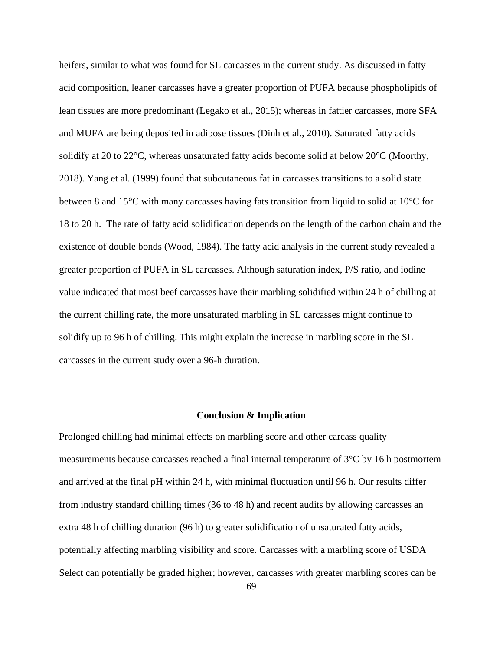heifers, similar to what was found for SL carcasses in the current study. As discussed in fatty acid composition, leaner carcasses have a greater proportion of PUFA because phospholipids of lean tissues are more predominant (Legako et al., 2015); whereas in fattier carcasses, more SFA and MUFA are being deposited in adipose tissues (Dinh et al., 2010). Saturated fatty acids solidify at 20 to 22°C, whereas unsaturated fatty acids become solid at below 20°C (Moorthy, 2018). Yang et al. (1999) found that subcutaneous fat in carcasses transitions to a solid state between 8 and 15°C with many carcasses having fats transition from liquid to solid at 10°C for 18 to 20 h. The rate of fatty acid solidification depends on the length of the carbon chain and the existence of double bonds (Wood, 1984). The fatty acid analysis in the current study revealed a greater proportion of PUFA in SL carcasses. Although saturation index, P/S ratio, and iodine value indicated that most beef carcasses have their marbling solidified within 24 h of chilling at the current chilling rate, the more unsaturated marbling in SL carcasses might continue to solidify up to 96 h of chilling. This might explain the increase in marbling score in the SL carcasses in the current study over a 96-h duration.

#### **Conclusion & Implication**

Prolonged chilling had minimal effects on marbling score and other carcass quality measurements because carcasses reached a final internal temperature of 3°C by 16 h postmortem and arrived at the final pH within 24 h, with minimal fluctuation until 96 h. Our results differ from industry standard chilling times (36 to 48 h) and recent audits by allowing carcasses an extra 48 h of chilling duration (96 h) to greater solidification of unsaturated fatty acids, potentially affecting marbling visibility and score. Carcasses with a marbling score of USDA Select can potentially be graded higher; however, carcasses with greater marbling scores can be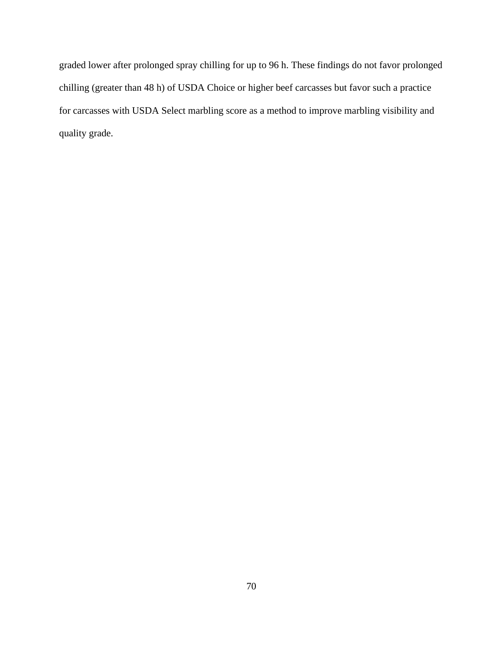graded lower after prolonged spray chilling for up to 96 h. These findings do not favor prolonged chilling (greater than 48 h) of USDA Choice or higher beef carcasses but favor such a practice for carcasses with USDA Select marbling score as a method to improve marbling visibility and quality grade.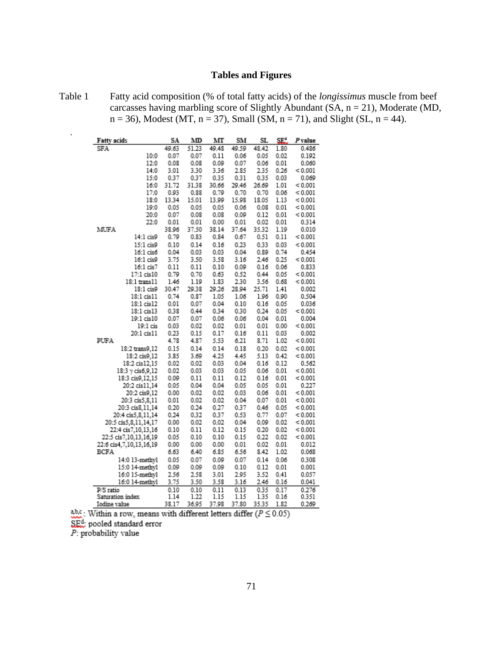# **Tables and Figures**

Table 1 Fatty acid composition (% of total fatty acids) of the *longissimus* muscle from beef carcasses having marbling score of Slightly Abundant (SA, n = 21), Moderate (MD,  $n = 36$ , Modest (MT,  $n = 37$ ), Small (SM,  $n = 71$ ), and Slight (SL,  $n = 44$ ).

| Fatty acids             | SA    | MD    | мт    | SM    | SL       | SE.  | P value |
|-------------------------|-------|-------|-------|-------|----------|------|---------|
| SFA                     | 49.63 | 51.23 | 49.48 | 49.59 | 48.42    | 1.80 | 0.486   |
| 10:0                    | 0.07  | 0.07  | 0.11  | 0.06  | 0.05     | 0.02 | 0.192   |
| 12:0                    | 0.08  | 0.08  | 0.09  | 0.07  | 0.06     | 0.01 | 0.060   |
| 14:0                    | 3.01  | 3.30  | 3.36  | 2.85  | 2.35     | 0.26 | < 0.001 |
| 15:0                    | 0.37  | 0.37  | 0.35  | 0.31  | 0.35     | 0.03 | 0.069   |
| 16:0                    | 31.72 | 31.38 | 30.66 | 29.46 | 26.69    | 1.01 | < 0.001 |
| 17:0                    | 0.93  | 0.88  | 0.79  | 0.70  | 0.70     | 0.06 | < 0.001 |
| 18:0                    | 13.34 | 15.01 | 13.99 | 15.98 | 18.05    | 1.13 | < 0.001 |
| 19:0                    | 0.05  | 0.05  | 0.05  | 0.06  | 0.08     | 0.01 | 0.001   |
| 20:0                    | 0.07  | 0.08  | 0.08  | 0.09  | 0.12     | 0.01 | 0.001   |
| 22:0                    | 0.01  | 0.01  | 0.00  | 0.01  | 0.02     | 0.01 | 0.314   |
| MUFA                    | 38.96 | 37.50 | 38.14 | 37.64 | 35.32    | 1.19 | 0.010   |
| 14:1 cis9               | 0.79  | 0.83  | 0.84  | 0.67  | 0.51     | 0.11 | 0.001   |
| 15:1 cis9               | 0.10  | 0.14  | 0.16  | 0.23  | 0.33     | 0.03 | < 0.001 |
| 16:1 cis6               | 0.04  | 0.03  | 0.03  | 0.04  | 0.89     | 0.74 | 0.454   |
| 16:1 cis9               | 3.75  | 3.50  | 3.58  | 3.16  | 2.46     | 0.25 | < 0.001 |
| 16:1 cis7               | 0.11  | 0.11  | 0.10  | 0.09  | 0.16     | 0.06 | 0.833   |
| 17:1 cis10              | 0.79  | 0.70  | 0.63  | 0.52  | 0.44     | 0.05 | < 0.001 |
| 18:1 trans11            | 1.46  | 1.19  | 1.83  | 2.30  | 3.56     | 0.68 | < 0.001 |
| 18:1 cis9               | 30.47 | 29.38 | 29.26 | 28.94 | 25.71    | 1.41 | 0.002   |
| 18:1 cis11              | 0.74  | 0.87  | 1.05  | 1.06  | 1.96     | 0.90 | 0.504   |
| 18:1 cis12              | 0.01  | 0.07  | 0.04  | 0.10  | 0.16     | 0.05 | 0.036   |
| 18:1 cis13              | 0.38  | 0.44  | 0.34  | 0.30  | 0.24     | 0.05 | < 0.001 |
| 19:1 cis10              | 0.07  | 0.07  | 0.06  | 0.06  | 0.04     | 0.01 | 0.004   |
| 19:1 cis                | 0.03  | 0.02  | 0.02  | 0.01  | 0.01     | 0.00 | < 0.001 |
| 20:1 cis11              | 0.23  | 0.15  | 0.17  | 0.16  | 0.11     | 0.03 | 0.002   |
| PUFA                    | 4.78  | 4.87  | 5.53  | 6.21  | 8.71     | 1.02 | 0.001   |
| 18:2 trans9,12          | 0.15  | 0.14  | 0.14  | 0.18  | 0.20     | 0.02 | < 0.001 |
| 18:2 cis9,12            | 3.85  | 3.69  | 4.25  | 4.45  | 5.13     | 0.42 | < 0.001 |
| 18:2 cis12,15           | 0.02  | 0.02  | 0.03  | 0.04  | 0.16     | 0.12 | 0.562   |
| 18:3 y cis6,9,12        | 0.02  | 0.03  | 0.03  | 0.05  | 0.06     | 0.01 | < 0.001 |
| 18:3 cis9,12,15         | 0.09  | 0.11  | 0.11  | 0.12  | 0.16     | 0.01 | < 0.001 |
| 20:2 cis11,14           | 0.05  | 0.04  | 0.04  | 0.05  | 0.05     | 0.01 | 0.227   |
| 20:2 cis9,12            | 0.00  | 0.02  | 0.02  | 0.03  | 0.06     | 0.01 | < 0.001 |
| 20:3 cis5,8,11          | 0.01  | 0.02  | 0.02  | 0.04  | 0.07     | 0.01 | < 0.001 |
| 20:3 cis8,11,14         | 0.20  | 0.24  | 0.27  | 0.37  | 0.46     | 0.05 | < 0.001 |
| 20:4 cis5,8,11,14       | 0.24  | 0.32  | 0.37  | 0.53  | 0.77     | 0.07 | < 0.001 |
| 20:5 cis5,8,11,14,17    | 0.00  | 0.02  | 0.02  | 0.04  | 0.09     | 0.02 | < 0.001 |
| 22:4 cis7,10,13,16      | 0.10  | 0.11  | 0.12  | 0.15  | 0.20     | 0.02 | < 0.001 |
| 22:5 cis7,10,13,16,19   | 0.05  | 0.10  | 0.10  | 0.15  | 0.22     | 0.02 | < 0.001 |
| 22:6 cis4,7,10,13,16,19 | 0.00  | 0.00  | 0.00  | 0.01  | 0.02     | 0.01 | 0.012   |
| BCFA                    | 6.63  | 6.40  | 6.85  | 6.56  | 8.42     | 1.02 | 0.068   |
| 14:0 13-methyl          | 0.05  | 0.07  | 0.09  | 0.07  | 0.14     | 0.06 | 0.308   |
| 15:0 14-methyl          | 0.09  | 0.09  | 0.09  | 0.10  | 0.12     | 0.01 | 0.001   |
| 16:0 15-methyl          | 2.56  | 2.58  | 3.01  | 2.95  | 3.52     | 0.41 | 0.057   |
| 16:0 14-methyl          | 3.75  | 3.50  | 3.58  | 3.16  | 2.46     | 0.16 | 0.041   |
| P/S ratio               | 0.10  | 0.10  | 0.11  | 0.13  | 0.35     | 0.17 | 0.276   |
| Saturation index        | 1.14  | 1.22  | 1.15  | 1.15  | 1.35     | 0.16 | 0.351   |
| Iodine value.           | 38.17 | 36.05 | 37 08 | 37.80 | 3535 182 |      | 0.260   |

abc: Within a row, means with different letters differ ( $P \le 0.05$ )

SEd pooled standard error

 $P$ : probability value

t.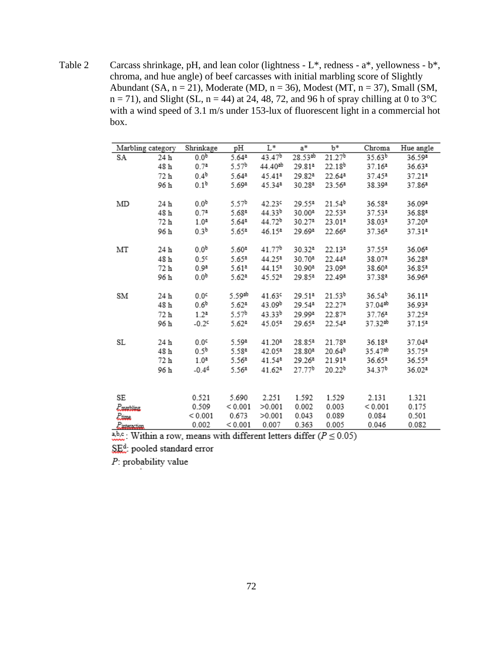Table 2 Carcass shrinkage, pH, and lean color (lightness - L\*, redness - a\*, yellowness - b\*, chroma, and hue angle) of beef carcasses with initial marbling score of Slightly Abundant (SA,  $n = 21$ ), Moderate (MD,  $n = 36$ ), Modest (MT,  $n = 37$ ), Small (SM,  $n = 71$ ), and Slight (SL,  $n = 44$ ) at 24, 48, 72, and 96 h of spray chilling at 0 to 3<sup>o</sup>C with a wind speed of 3.1 m/s under 153-lux of fluorescent light in a commercial hot box.

| Marbling category               |      | Shrinkage        | pH                | L*                  | $a^*$              | $b^*$              | Chroma             | Hue angle          |
|---------------------------------|------|------------------|-------------------|---------------------|--------------------|--------------------|--------------------|--------------------|
| SA                              | 24 h | 0.0 <sup>b</sup> | 5.64ª             | 43.47 <sup>b</sup>  | 28.53ab            | 21.27 <sup>b</sup> | 35.63 <sup>b</sup> | 36.59ª             |
|                                 | 48 h | $0.7^{a}$        | 5.57 <sup>b</sup> | 44.40 <sup>ab</sup> | 29.81ª             | 22.18 <sup>b</sup> | 37.16 <sup>a</sup> | 36.63ª             |
|                                 | 72 h | 0.4 <sup>b</sup> | 5.64ª             | 45.41ª              | 29.82ª             | 22.64 <sup>a</sup> | $37.45^a$          | 37.21 <sup>a</sup> |
|                                 | 96 h | 0.1 <sup>b</sup> | 5.69ª             | 45.34ª              | 30.28ª             | 23.56ª             | 38.39ª             | 37.86ª             |
|                                 |      |                  |                   |                     |                    |                    |                    |                    |
| MD                              | 24 h | 0.0 <sup>b</sup> | 5.57 <sup>b</sup> | 42.239              | 29.55ª             | 21.54 <sup>b</sup> | 36.58ª             | 36.09ª             |
|                                 | 48h  | 0.7 <sup>a</sup> | 5.68ª             | 44.33 <sup>b</sup>  | 30.00 <sup>a</sup> | 22.53ª             | 37.53ª             | 36.88ª             |
|                                 | 72 h | 1.0 <sup>a</sup> | 5.64ª             | 44.72 <sup>b</sup>  | 30.27ª             | 23.01ª             | 38.03ª             | 37.20 <sup>a</sup> |
|                                 | 96 h | 0.3 <sup>b</sup> | 5.65ª             | $46.15^a$           | 29.69ª             | 22.66ª             | 37.36 <sup>a</sup> | 37.31 <sup>a</sup> |
|                                 |      |                  |                   |                     |                    |                    |                    |                    |
| МT                              | 24 h | 0.0 <sup>b</sup> | 5.604             | 41.77 <sup>b</sup>  | $30.32^a$          | 22.13 <sup>a</sup> | 37.55ª             | 36.06 <sup>a</sup> |
|                                 | 48 h | 0.5 <sup>c</sup> | 5.65ª             | 44.25ª              | 30.70ª             | 22.44ª             | 38.07ª             | 36.28ª             |
|                                 | 72 h | 0.9 <sup>a</sup> | 5.61 <sup>a</sup> | 44.15ª              | 30.90ª             | 23.09ª             | 38.60ª             | 36.85ª             |
|                                 | 96 h | 0.0 <sup>b</sup> | 5.62 <sup>a</sup> | 45.52ª              | 29.85ª             | 22.49ª             | 37.38ª             | 36.96ª             |
|                                 |      |                  |                   |                     |                    |                    |                    |                    |
| SM                              | 24 h | 0.0 <sup>c</sup> | 5.59ab            | 41.639              | 29.51ª             | 21.53 <sup>b</sup> | 36.54 <sup>b</sup> | 36.11ª             |
|                                 | 48 h | 0.6 <sup>b</sup> | 5.62 <sup>a</sup> | 43.09 <sup>b</sup>  | 29.54ª             | 22.27 <sup>a</sup> | 37.04ab            | 36.93ª             |
|                                 | 72 h | $1.2^a$          | 5.57b             | $43.33^{b}$         | 29.99ª             | 22.874             | 37.76 <sup>a</sup> | 37.25ª             |
|                                 | 96 h | $-0.2c$          | $5.62^a$          | 45.05ª              | 29.65ª             | 22.54ª             | 37.32ab            | 37.15ª             |
|                                 |      |                  |                   |                     |                    |                    |                    |                    |
| SL                              | 24 h | 0.0 <sup>c</sup> | 5.59ª             | 41.20 <sup>a</sup>  | 28.85ª             | 21.78ª             | 36.18ª             | 37.04 <sup>a</sup> |
|                                 | 48 h | 0.5 <sup>b</sup> | 5.58ª             | 42.05ª              | 28.80 <sup>a</sup> | $20.64^{b}$        | 35.47ab            | 35.75ª             |
|                                 | 72 h | 1.0 <sup>a</sup> | 5.56ª             | 41.54ª              | 29.26 <sup>a</sup> | 21.91ª             | 36.65ª             | 36.55ª             |
|                                 | 96 h | $-0.4d$          | 5.56ª             | 41.62 <sup>a</sup>  | 27.77 <sup>b</sup> | 20.22 <sup>b</sup> | 34.37 <sup>b</sup> | 36.02ª             |
|                                 |      |                  |                   |                     |                    |                    |                    |                    |
|                                 |      |                  |                   |                     |                    |                    |                    |                    |
| SE                              |      | 0.521            | 5.690             | 2.251               | 1.592              | 1.529              | 2.131              | 1.321              |
| <i><u><b>P.marbling</b></u></i> |      | 0.509            | < 0.001           | >0.001              | 0.002              | 0.003              | < 0.001            | 0.175              |
| Liime                           |      | < 0.001          | 0.673             | >0.001              | 0.043              | 0.089              | 0.084              | 0.501              |
| $P_{\rm interaction}$           |      | 0.002            | < 0.001           | 0.007               | 0.363              | 0.005              | 0.046              | 0.082              |

a,b,c.: Within a row, means with different letters differ ( $P \le 0.05$ )

SE<sup>d</sup>: pooled standard error

 $P$ : probability value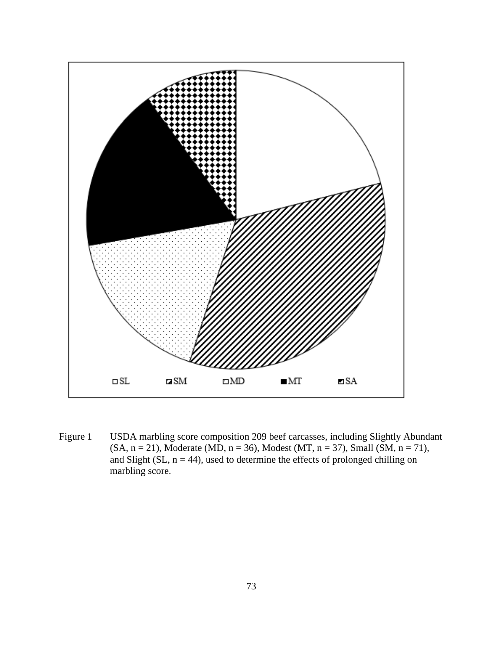

Figure 1 USDA marbling score composition 209 beef carcasses, including Slightly Abundant  $(SA, n = 21)$ , Moderate (MD,  $n = 36$ ), Modest (MT,  $n = 37$ ), Small (SM,  $n = 71$ ), and Slight (SL,  $n = 44$ ), used to determine the effects of prolonged chilling on marbling score.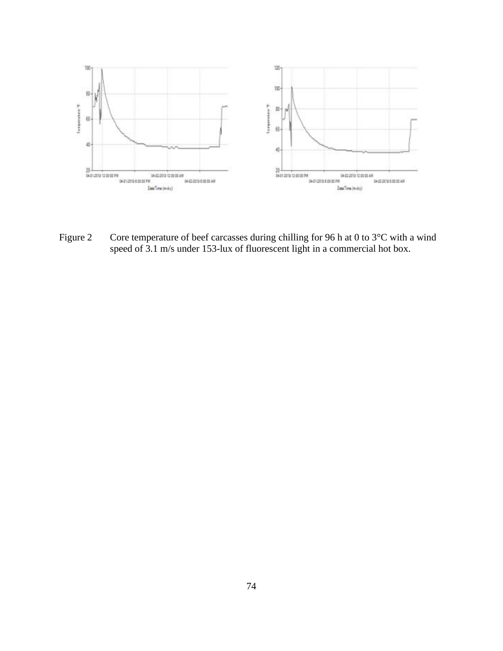

Figure 2 Core temperature of beef carcasses during chilling for 96 h at 0 to 3°C with a wind speed of 3.1 m/s under 153-lux of fluorescent light in a commercial hot box.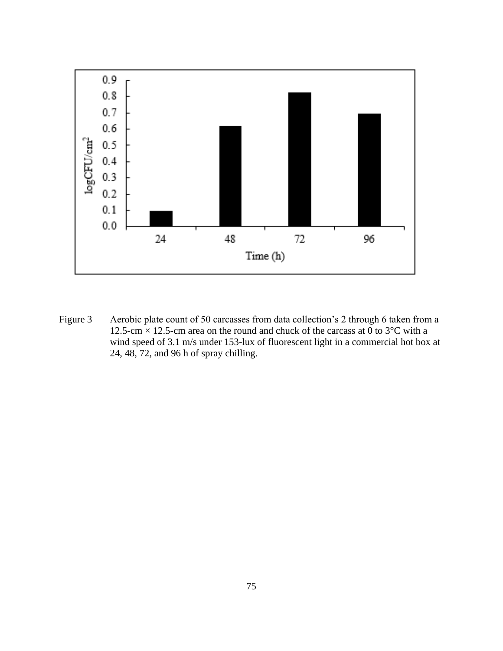

Figure 3 Aerobic plate count of 50 carcasses from data collection's 2 through 6 taken from a 12.5-cm  $\times$  12.5-cm area on the round and chuck of the carcass at 0 to 3 $\degree$ C with a wind speed of 3.1 m/s under 153-lux of fluorescent light in a commercial hot box at 24, 48, 72, and 96 h of spray chilling.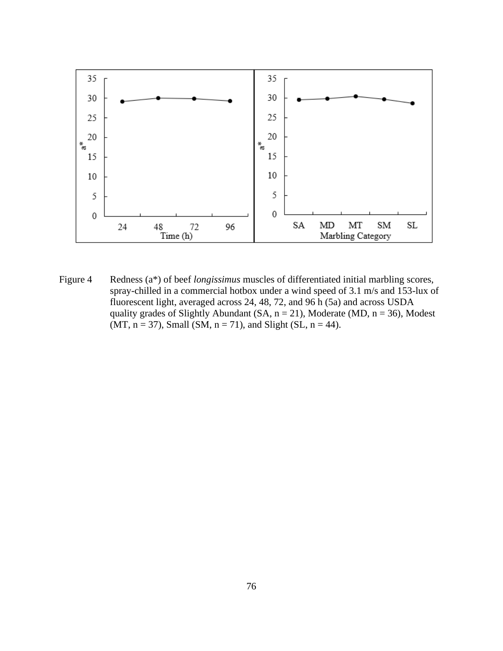

Figure 4 Redness (a\*) of beef *longissimus* muscles of differentiated initial marbling scores, spray-chilled in a commercial hotbox under a wind speed of 3.1 m/s and 153-lux of fluorescent light, averaged across 24, 48, 72, and 96 h (5a) and across USDA quality grades of Slightly Abundant (SA,  $n = 21$ ), Moderate (MD,  $n = 36$ ), Modest (MT,  $n = 37$ ), Small (SM,  $n = 71$ ), and Slight (SL,  $n = 44$ ).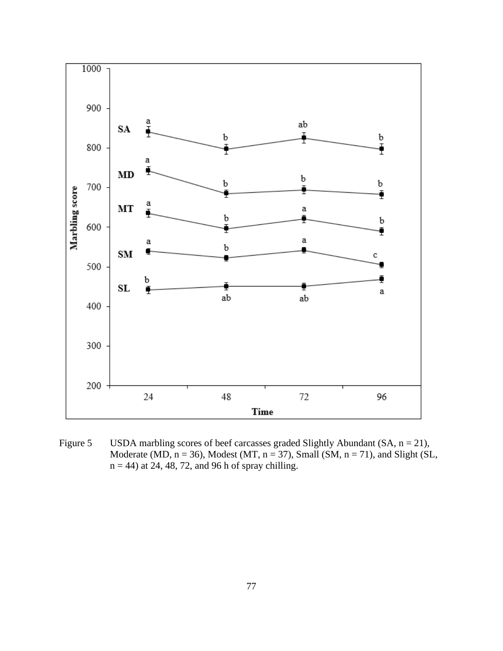

Figure 5 USDA marbling scores of beef carcasses graded Slightly Abundant (SA,  $n = 21$ ), Moderate (MD,  $n = 36$ ), Modest (MT,  $n = 37$ ), Small (SM,  $n = 71$ ), and Slight (SL,  $n = 44$ ) at 24, 48, 72, and 96 h of spray chilling.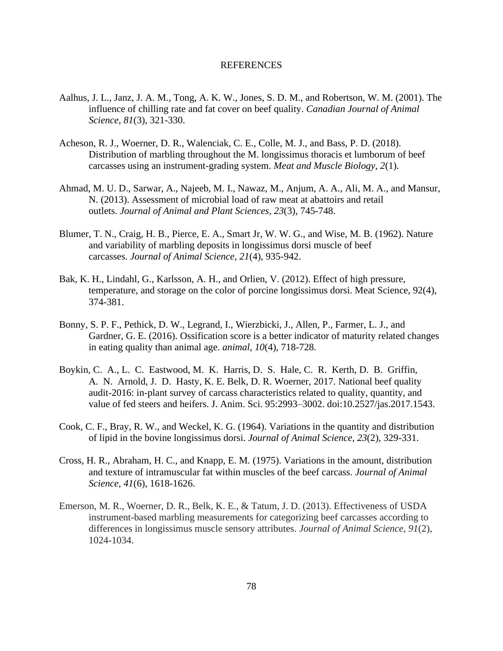### REFERENCES

- Aalhus, J. L., Janz, J. A. M., Tong, A. K. W., Jones, S. D. M., and Robertson, W. M. (2001). The influence of chilling rate and fat cover on beef quality. *Canadian Journal of Animal Science*, *81*(3), 321-330.
- Acheson, R. J., Woerner, D. R., Walenciak, C. E., Colle, M. J., and Bass, P. D. (2018). Distribution of marbling throughout the M. longissimus thoracis et lumborum of beef carcasses using an instrument-grading system. *Meat and Muscle Biology*, *2*(1).
- Ahmad, M. U. D., Sarwar, A., Najeeb, M. I., Nawaz, M., Anjum, A. A., Ali, M. A., and Mansur, N. (2013). Assessment of microbial load of raw meat at abattoirs and retail outlets. *Journal of Animal and Plant Sciences*, *23*(3), 745-748.
- Blumer, T. N., Craig, H. B., Pierce, E. A., Smart Jr, W. W. G., and Wise, M. B. (1962). Nature and variability of marbling deposits in longissimus dorsi muscle of beef carcasses. *Journal of Animal Science*, *21*(4), 935-942.
- Bak, K. H., Lindahl, G., Karlsson, A. H., and Orlien, V. (2012). Effect of high pressure, temperature, and storage on the color of porcine longissimus dorsi. Meat Science, 92(4), 374-381.
- Bonny, S. P. F., Pethick, D. W., Legrand, I., Wierzbicki, J., Allen, P., Farmer, L. J., and Gardner, G. E. (2016). Ossification score is a better indicator of maturity related changes in eating quality than animal age. *animal*, *10*(4), 718-728.
- Boykin, C. A., L. C. Eastwood, M. K. Harris, D. S. Hale, C. R. Kerth, D. B. Griffin, A. N. Arnold, J. D. Hasty, K. E. Belk, D. R. Woerner, 2017. National beef quality audit-2016: in-plant survey of carcass characteristics related to quality, quantity, and value of fed steers and heifers. J. Anim. Sci. 95:2993–3002. doi:10.2527/jas.2017.1543.
- Cook, C. F., Bray, R. W., and Weckel, K. G. (1964). Variations in the quantity and distribution of lipid in the bovine longissimus dorsi. *Journal of Animal Science*, *23*(2), 329-331.
- Cross, H. R., Abraham, H. C., and Knapp, E. M. (1975). Variations in the amount, distribution and texture of intramuscular fat within muscles of the beef carcass. *Journal of Animal Science*, *41*(6), 1618-1626.
- Emerson, M. R., Woerner, D. R., Belk, K. E., & Tatum, J. D. (2013). Effectiveness of USDA instrument-based marbling measurements for categorizing beef carcasses according to differences in longissimus muscle sensory attributes. *Journal of Animal Science*, *91*(2), 1024-1034.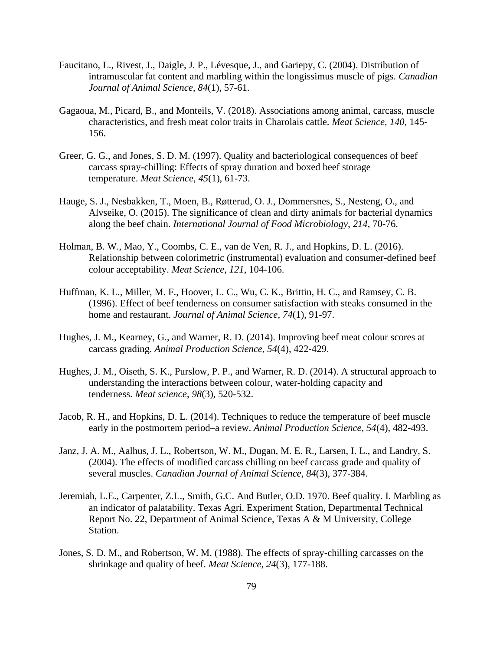- Faucitano, L., Rivest, J., Daigle, J. P., Lévesque, J., and Gariepy, C. (2004). Distribution of intramuscular fat content and marbling within the longissimus muscle of pigs. *Canadian Journal of Animal Science*, *84*(1), 57-61.
- Gagaoua, M., Picard, B., and Monteils, V. (2018). Associations among animal, carcass, muscle characteristics, and fresh meat color traits in Charolais cattle. *Meat Science*, *140*, 145- 156.
- Greer, G. G., and Jones, S. D. M. (1997). Quality and bacteriological consequences of beef carcass spray-chilling: Effects of spray duration and boxed beef storage temperature. *Meat Science*, *45*(1), 61-73.
- Hauge, S. J., Nesbakken, T., Moen, B., Røtterud, O. J., Dommersnes, S., Nesteng, O., and Alvseike, O. (2015). The significance of clean and dirty animals for bacterial dynamics along the beef chain. *International Journal of Food Microbiology*, *214*, 70-76.
- Holman, B. W., Mao, Y., Coombs, C. E., van de Ven, R. J., and Hopkins, D. L. (2016). Relationship between colorimetric (instrumental) evaluation and consumer-defined beef colour acceptability. *Meat Science*, *121*, 104-106.
- Huffman, K. L., Miller, M. F., Hoover, L. C., Wu, C. K., Brittin, H. C., and Ramsey, C. B. (1996). Effect of beef tenderness on consumer satisfaction with steaks consumed in the home and restaurant. *Journal of Animal Science*, *74*(1), 91-97.
- Hughes, J. M., Kearney, G., and Warner, R. D. (2014). Improving beef meat colour scores at carcass grading. *Animal Production Science*, *54*(4), 422-429.
- Hughes, J. M., Oiseth, S. K., Purslow, P. P., and Warner, R. D. (2014). A structural approach to understanding the interactions between colour, water-holding capacity and tenderness. *Meat science*, *98*(3), 520-532.
- Jacob, R. H., and Hopkins, D. L. (2014). Techniques to reduce the temperature of beef muscle early in the postmortem period–a review. *Animal Production Science*, *54*(4), 482-493.
- Janz, J. A. M., Aalhus, J. L., Robertson, W. M., Dugan, M. E. R., Larsen, I. L., and Landry, S. (2004). The effects of modified carcass chilling on beef carcass grade and quality of several muscles. *Canadian Journal of Animal Science*, *84*(3), 377-384.
- Jeremiah, L.E., Carpenter, Z.L., Smith, G.C. And Butler, O.D. 1970. Beef quality. I. Marbling as an indicator of palatability. Texas Agri. Experiment Station, Departmental Technical Report No. 22, Department of Animal Science, Texas A & M University, College Station.
- Jones, S. D. M., and Robertson, W. M. (1988). The effects of spray-chilling carcasses on the shrinkage and quality of beef. *Meat Science*, *24*(3), 177-188.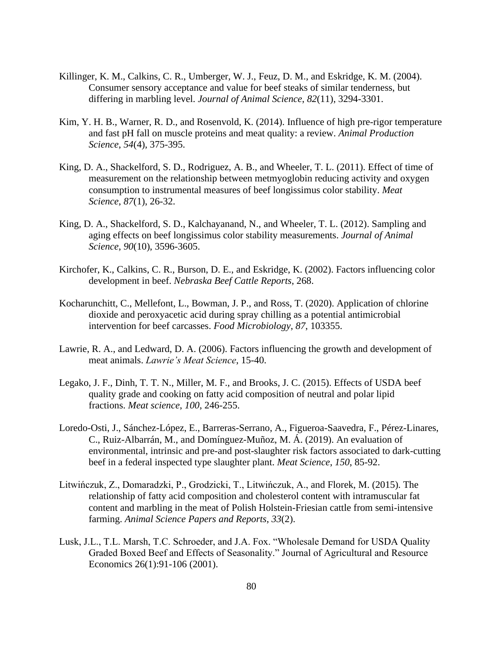- Killinger, K. M., Calkins, C. R., Umberger, W. J., Feuz, D. M., and Eskridge, K. M. (2004). Consumer sensory acceptance and value for beef steaks of similar tenderness, but differing in marbling level. *Journal of Animal Science*, *82*(11), 3294-3301.
- Kim, Y. H. B., Warner, R. D., and Rosenvold, K. (2014). Influence of high pre-rigor temperature and fast pH fall on muscle proteins and meat quality: a review. *Animal Production Science*, *54*(4), 375-395.
- King, D. A., Shackelford, S. D., Rodriguez, A. B., and Wheeler, T. L. (2011). Effect of time of measurement on the relationship between metmyoglobin reducing activity and oxygen consumption to instrumental measures of beef longissimus color stability. *Meat Science*, *87*(1), 26-32.
- King, D. A., Shackelford, S. D., Kalchayanand, N., and Wheeler, T. L. (2012). Sampling and aging effects on beef longissimus color stability measurements. *Journal of Animal Science*, *90*(10), 3596-3605.
- Kirchofer, K., Calkins, C. R., Burson, D. E., and Eskridge, K. (2002). Factors influencing color development in beef. *Nebraska Beef Cattle Reports*, 268.
- Kocharunchitt, C., Mellefont, L., Bowman, J. P., and Ross, T. (2020). Application of chlorine dioxide and peroxyacetic acid during spray chilling as a potential antimicrobial intervention for beef carcasses. *Food Microbiology*, *87*, 103355.
- Lawrie, R. A., and Ledward, D. A. (2006). Factors influencing the growth and development of meat animals. *Lawrie's Meat Science*, 15-40.
- Legako, J. F., Dinh, T. T. N., Miller, M. F., and Brooks, J. C. (2015). Effects of USDA beef quality grade and cooking on fatty acid composition of neutral and polar lipid fractions. *Meat science*, *100*, 246-255.
- Loredo-Osti, J., Sánchez-López, E., Barreras-Serrano, A., Figueroa-Saavedra, F., Pérez-Linares, C., Ruiz-Albarrán, M., and Domínguez-Muñoz, M. Á. (2019). An evaluation of environmental, intrinsic and pre-and post-slaughter risk factors associated to dark-cutting beef in a federal inspected type slaughter plant. *Meat Science*, *150*, 85-92.
- Litwińczuk, Z., Domaradzki, P., Grodzicki, T., Litwińczuk, A., and Florek, M. (2015). The relationship of fatty acid composition and cholesterol content with intramuscular fat content and marbling in the meat of Polish Holstein-Friesian cattle from semi-intensive farming. *Animal Science Papers and Reports*, *33*(2).
- Lusk, J.L., T.L. Marsh, T.C. Schroeder, and J.A. Fox. "Wholesale Demand for USDA Quality Graded Boxed Beef and Effects of Seasonality." Journal of Agricultural and Resource Economics 26(1):91-106 (2001).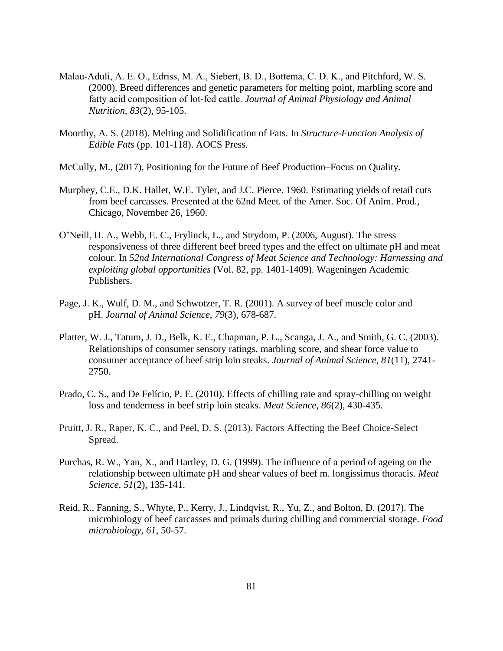- Malau‐Aduli, A. E. O., Edriss, M. A., Siebert, B. D., Bottema, C. D. K., and Pitchford, W. S. (2000). Breed differences and genetic parameters for melting point, marbling score and fatty acid composition of lot‐fed cattle. *Journal of Animal Physiology and Animal Nutrition*, *83*(2), 95-105.
- Moorthy, A. S. (2018). Melting and Solidification of Fats. In *Structure-Function Analysis of Edible Fats* (pp. 101-118). AOCS Press.
- McCully, M., (2017), Positioning for the Future of Beef Production–Focus on Quality.
- Murphey, C.E., D.K. Hallet, W.E. Tyler, and J.C. Pierce. 1960. Estimating yields of retail cuts from beef carcasses. Presented at the 62nd Meet. of the Amer. Soc. Of Anim. Prod., Chicago, November 26, 1960.
- O'Neill, H. A., Webb, E. C., Frylinck, L., and Strydom, P. (2006, August). The stress responsiveness of three different beef breed types and the effect on ultimate pH and meat colour. In *52nd International Congress of Meat Science and Technology: Harnessing and exploiting global opportunities* (Vol. 82, pp. 1401-1409). Wageningen Academic Publishers.
- Page, J. K., Wulf, D. M., and Schwotzer, T. R. (2001). A survey of beef muscle color and pH. *Journal of Animal Science*, *79*(3), 678-687.
- Platter, W. J., Tatum, J. D., Belk, K. E., Chapman, P. L., Scanga, J. A., and Smith, G. C. (2003). Relationships of consumer sensory ratings, marbling score, and shear force value to consumer acceptance of beef strip loin steaks. *Journal of Animal Science*, *81*(11), 2741- 2750.
- Prado, C. S., and De Felício, P. E. (2010). Effects of chilling rate and spray-chilling on weight loss and tenderness in beef strip loin steaks. *Meat Science*, *86*(2), 430-435.
- Pruitt, J. R., Raper, K. C., and Peel, D. S. (2013). Factors Affecting the Beef Choice-Select Spread.
- Purchas, R. W., Yan, X., and Hartley, D. G. (1999). The influence of a period of ageing on the relationship between ultimate pH and shear values of beef m. longissimus thoracis. *Meat Science*, *51*(2), 135-141.
- Reid, R., Fanning, S., Whyte, P., Kerry, J., Lindqvist, R., Yu, Z., and Bolton, D. (2017). The microbiology of beef carcasses and primals during chilling and commercial storage. *Food microbiology*, *61*, 50-57.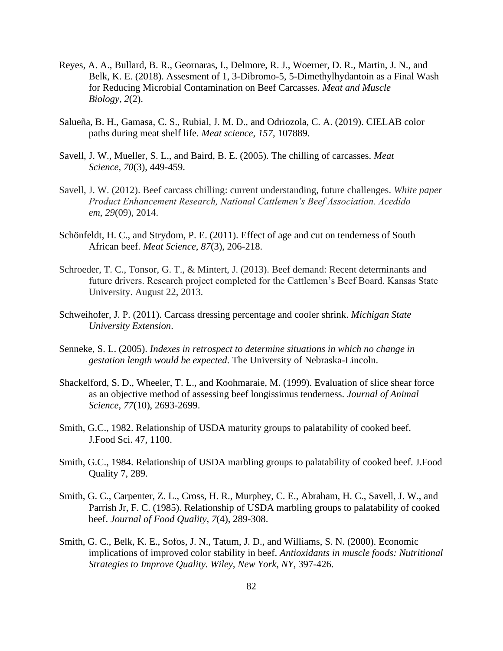- Reyes, A. A., Bullard, B. R., Geornaras, I., Delmore, R. J., Woerner, D. R., Martin, J. N., and Belk, K. E. (2018). Assesment of 1, 3-Dibromo-5, 5-Dimethylhydantoin as a Final Wash for Reducing Microbial Contamination on Beef Carcasses. *Meat and Muscle Biology*, *2*(2).
- Salueña, B. H., Gamasa, C. S., Rubial, J. M. D., and Odriozola, C. A. (2019). CIELAB color paths during meat shelf life. *Meat science*, *157*, 107889.
- Savell, J. W., Mueller, S. L., and Baird, B. E. (2005). The chilling of carcasses. *Meat Science*, *70*(3), 449-459.
- Savell, J. W. (2012). Beef carcass chilling: current understanding, future challenges. *White paper Product Enhancement Research, National Cattlemen's Beef Association. Acedido em*, *29*(09), 2014.
- Schönfeldt, H. C., and Strydom, P. E. (2011). Effect of age and cut on tenderness of South African beef. *Meat Science*, *87*(3), 206-218.
- Schroeder, T. C., Tonsor, G. T., & Mintert, J. (2013). Beef demand: Recent determinants and future drivers. Research project completed for the Cattlemen's Beef Board. Kansas State University. August 22, 2013.
- Schweihofer, J. P. (2011). Carcass dressing percentage and cooler shrink. *Michigan State University Extension*.
- Senneke, S. L. (2005). *Indexes in retrospect to determine situations in which no change in gestation length would be expected*. The University of Nebraska-Lincoln.
- Shackelford, S. D., Wheeler, T. L., and Koohmaraie, M. (1999). Evaluation of slice shear force as an objective method of assessing beef longissimus tenderness. *Journal of Animal Science*, *77*(10), 2693-2699.
- Smith, G.C., 1982. Relationship of USDA maturity groups to palatability of cooked beef. J.Food Sci. 47, 1100.
- Smith, G.C., 1984. Relationship of USDA marbling groups to palatability of cooked beef. J.Food Quality 7, 289.
- Smith, G. C., Carpenter, Z. L., Cross, H. R., Murphey, C. E., Abraham, H. C., Savell, J. W., and Parrish Jr, F. C. (1985). Relationship of USDA marbling groups to palatability of cooked beef. *Journal of Food Quality*, *7*(4), 289-308.
- Smith, G. C., Belk, K. E., Sofos, J. N., Tatum, J. D., and Williams, S. N. (2000). Economic implications of improved color stability in beef. *Antioxidants in muscle foods: Nutritional Strategies to Improve Quality. Wiley, New York, NY*, 397-426.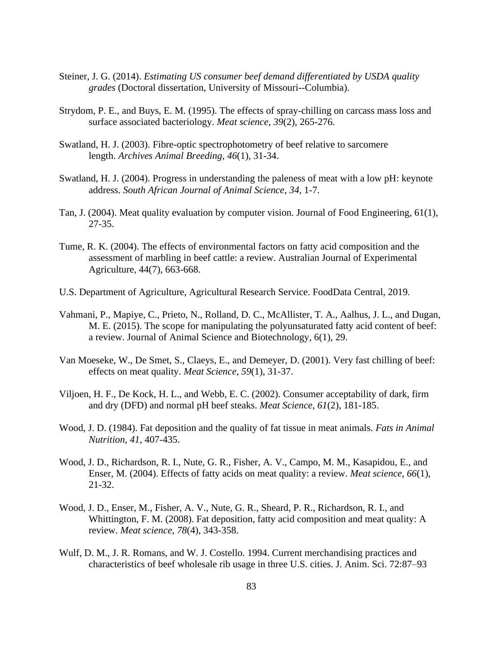- Steiner, J. G. (2014). *Estimating US consumer beef demand differentiated by USDA quality grades* (Doctoral dissertation, University of Missouri--Columbia).
- Strydom, P. E., and Buys, E. M. (1995). The effects of spray-chilling on carcass mass loss and surface associated bacteriology. *Meat science*, *39*(2), 265-276.
- Swatland, H. J. (2003). Fibre-optic spectrophotometry of beef relative to sarcomere length. *Archives Animal Breeding*, *46*(1), 31-34.
- Swatland, H. J. (2004). Progress in understanding the paleness of meat with a low pH: keynote address. *South African Journal of Animal Science*, *34*, 1-7.
- Tan, J. (2004). Meat quality evaluation by computer vision. Journal of Food Engineering, 61(1), 27-35.
- Tume, R. K. (2004). The effects of environmental factors on fatty acid composition and the assessment of marbling in beef cattle: a review. Australian Journal of Experimental Agriculture, 44(7), 663-668.
- U.S. Department of Agriculture, Agricultural Research Service. FoodData Central, 2019.
- Vahmani, P., Mapiye, C., Prieto, N., Rolland, D. C., McAllister, T. A., Aalhus, J. L., and Dugan, M. E. (2015). The scope for manipulating the polyunsaturated fatty acid content of beef: a review. Journal of Animal Science and Biotechnology, 6(1), 29.
- Van Moeseke, W., De Smet, S., Claeys, E., and Demeyer, D. (2001). Very fast chilling of beef: effects on meat quality. *Meat Science*, *59*(1), 31-37.
- Viljoen, H. F., De Kock, H. L., and Webb, E. C. (2002). Consumer acceptability of dark, firm and dry (DFD) and normal pH beef steaks. *Meat Science*, *61*(2), 181-185.
- Wood, J. D. (1984). Fat deposition and the quality of fat tissue in meat animals. *Fats in Animal Nutrition*, *41*, 407-435.
- Wood, J. D., Richardson, R. I., Nute, G. R., Fisher, A. V., Campo, M. M., Kasapidou, E., and Enser, M. (2004). Effects of fatty acids on meat quality: a review. *Meat science*, *66*(1), 21-32.
- Wood, J. D., Enser, M., Fisher, A. V., Nute, G. R., Sheard, P. R., Richardson, R. I., and Whittington, F. M. (2008). Fat deposition, fatty acid composition and meat quality: A review. *Meat science*, *78*(4), 343-358.
- Wulf, D. M., J. R. Romans, and W. J. Costello. 1994. Current merchandising practices and characteristics of beef wholesale rib usage in three U.S. cities. J. Anim. Sci. 72:87–93